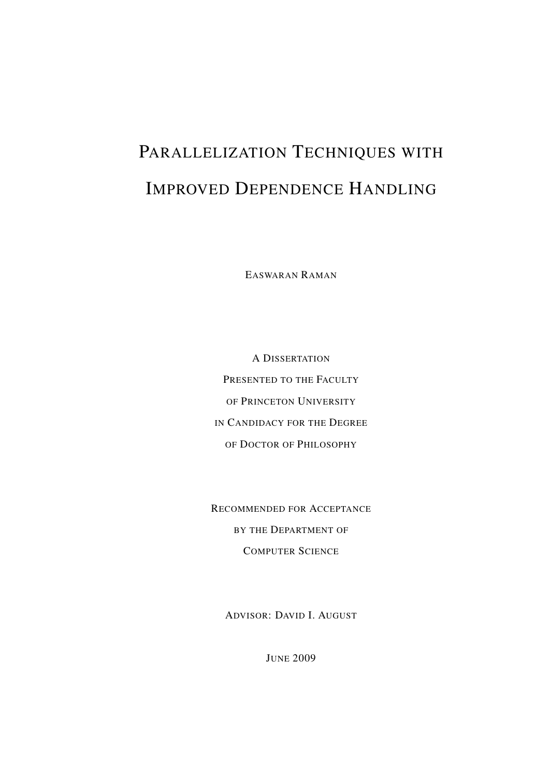# PARALLELIZATION TECHNIQUES WITH IMPROVED DEPENDENCE HANDLING

EASWARAN RAMAN

A DISSERTATION PRESENTED TO THE FACULTY OF PRINCETON UNIVERSITY IN CANDIDACY FOR THE DEGREE OF DOCTOR OF PHILOSOPHY

RECOMMENDED FOR ACCEPTANCE BY THE DEPARTMENT OF COMPUTER SCIENCE

ADVISOR: DAVID I. AUGUST

JUNE 2009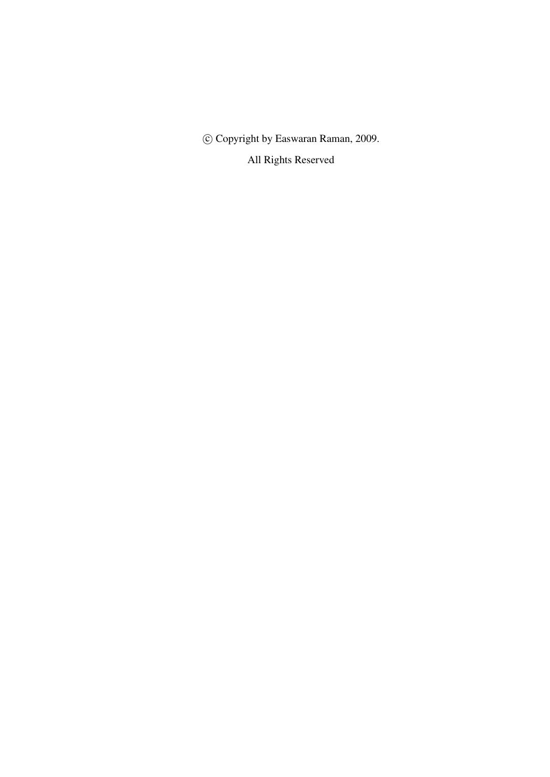c Copyright by Easwaran Raman, 2009.

All Rights Reserved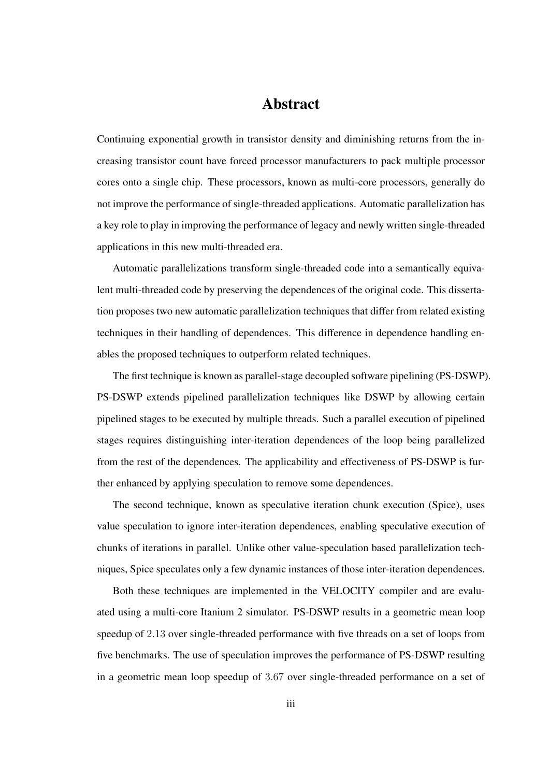### Abstract

Continuing exponential growth in transistor density and diminishing returns from the increasing transistor count have forced processor manufacturers to pack multiple processor cores onto a single chip. These processors, known as multi-core processors, generally do not improve the performance of single-threaded applications. Automatic parallelization has a key role to play in improving the performance of legacy and newly written single-threaded applications in this new multi-threaded era.

Automatic parallelizations transform single-threaded code into a semantically equivalent multi-threaded code by preserving the dependences of the original code. This dissertation proposes two new automatic parallelization techniques that differ from related existing techniques in their handling of dependences. This difference in dependence handling enables the proposed techniques to outperform related techniques.

The first technique is known as parallel-stage decoupled software pipelining (PS-DSWP). PS-DSWP extends pipelined parallelization techniques like DSWP by allowing certain pipelined stages to be executed by multiple threads. Such a parallel execution of pipelined stages requires distinguishing inter-iteration dependences of the loop being parallelized from the rest of the dependences. The applicability and effectiveness of PS-DSWP is further enhanced by applying speculation to remove some dependences.

The second technique, known as speculative iteration chunk execution (Spice), uses value speculation to ignore inter-iteration dependences, enabling speculative execution of chunks of iterations in parallel. Unlike other value-speculation based parallelization techniques, Spice speculates only a few dynamic instances of those inter-iteration dependences.

Both these techniques are implemented in the VELOCITY compiler and are evaluated using a multi-core Itanium 2 simulator. PS-DSWP results in a geometric mean loop speedup of 2.13 over single-threaded performance with five threads on a set of loops from five benchmarks. The use of speculation improves the performance of PS-DSWP resulting in a geometric mean loop speedup of 3.67 over single-threaded performance on a set of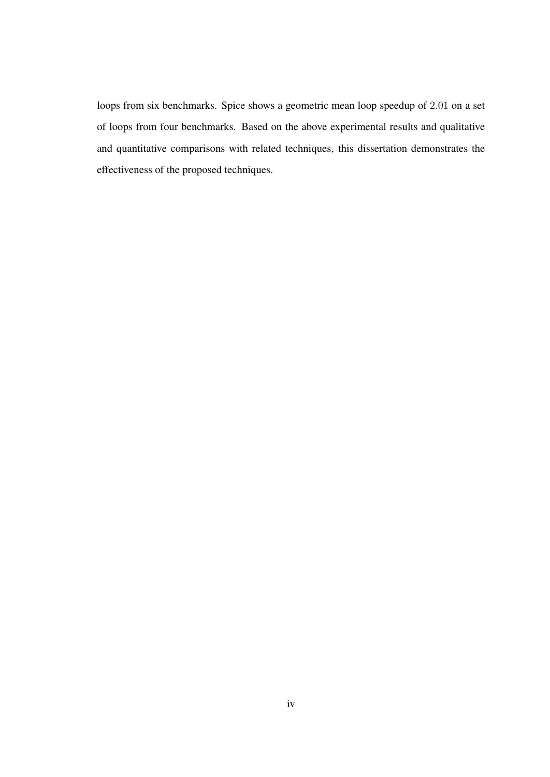loops from six benchmarks. Spice shows a geometric mean loop speedup of 2.01 on a set of loops from four benchmarks. Based on the above experimental results and qualitative and quantitative comparisons with related techniques, this dissertation demonstrates the effectiveness of the proposed techniques.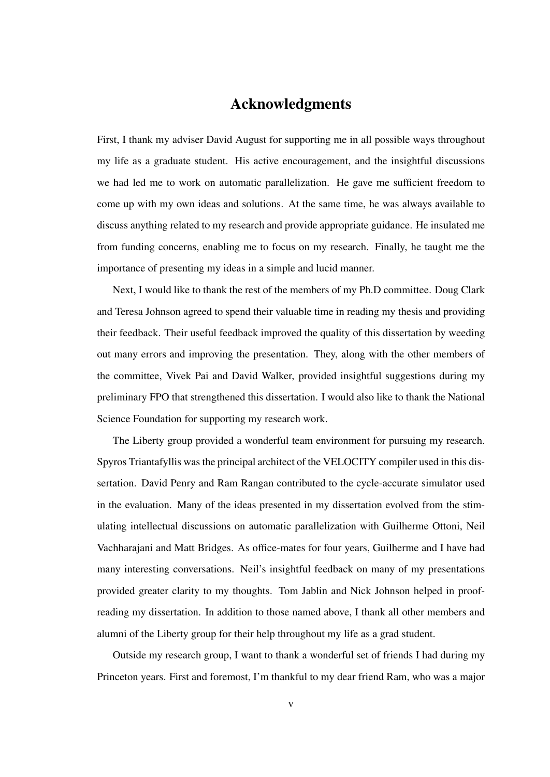## Acknowledgments

First, I thank my adviser David August for supporting me in all possible ways throughout my life as a graduate student. His active encouragement, and the insightful discussions we had led me to work on automatic parallelization. He gave me sufficient freedom to come up with my own ideas and solutions. At the same time, he was always available to discuss anything related to my research and provide appropriate guidance. He insulated me from funding concerns, enabling me to focus on my research. Finally, he taught me the importance of presenting my ideas in a simple and lucid manner.

Next, I would like to thank the rest of the members of my Ph.D committee. Doug Clark and Teresa Johnson agreed to spend their valuable time in reading my thesis and providing their feedback. Their useful feedback improved the quality of this dissertation by weeding out many errors and improving the presentation. They, along with the other members of the committee, Vivek Pai and David Walker, provided insightful suggestions during my preliminary FPO that strengthened this dissertation. I would also like to thank the National Science Foundation for supporting my research work.

The Liberty group provided a wonderful team environment for pursuing my research. Spyros Triantafyllis was the principal architect of the VELOCITY compiler used in this dissertation. David Penry and Ram Rangan contributed to the cycle-accurate simulator used in the evaluation. Many of the ideas presented in my dissertation evolved from the stimulating intellectual discussions on automatic parallelization with Guilherme Ottoni, Neil Vachharajani and Matt Bridges. As office-mates for four years, Guilherme and I have had many interesting conversations. Neil's insightful feedback on many of my presentations provided greater clarity to my thoughts. Tom Jablin and Nick Johnson helped in proofreading my dissertation. In addition to those named above, I thank all other members and alumni of the Liberty group for their help throughout my life as a grad student.

Outside my research group, I want to thank a wonderful set of friends I had during my Princeton years. First and foremost, I'm thankful to my dear friend Ram, who was a major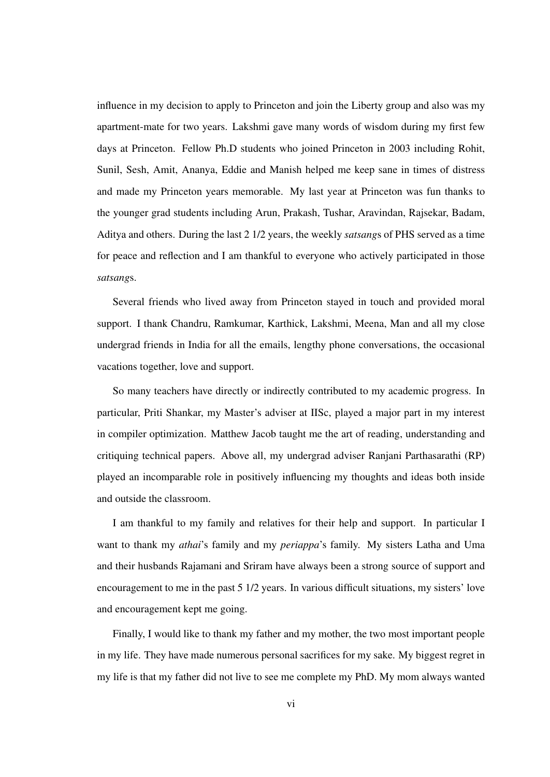influence in my decision to apply to Princeton and join the Liberty group and also was my apartment-mate for two years. Lakshmi gave many words of wisdom during my first few days at Princeton. Fellow Ph.D students who joined Princeton in 2003 including Rohit, Sunil, Sesh, Amit, Ananya, Eddie and Manish helped me keep sane in times of distress and made my Princeton years memorable. My last year at Princeton was fun thanks to the younger grad students including Arun, Prakash, Tushar, Aravindan, Rajsekar, Badam, Aditya and others. During the last 2 1/2 years, the weekly *satsang*s of PHS served as a time for peace and reflection and I am thankful to everyone who actively participated in those *satsang*s.

Several friends who lived away from Princeton stayed in touch and provided moral support. I thank Chandru, Ramkumar, Karthick, Lakshmi, Meena, Man and all my close undergrad friends in India for all the emails, lengthy phone conversations, the occasional vacations together, love and support.

So many teachers have directly or indirectly contributed to my academic progress. In particular, Priti Shankar, my Master's adviser at IISc, played a major part in my interest in compiler optimization. Matthew Jacob taught me the art of reading, understanding and critiquing technical papers. Above all, my undergrad adviser Ranjani Parthasarathi (RP) played an incomparable role in positively influencing my thoughts and ideas both inside and outside the classroom.

I am thankful to my family and relatives for their help and support. In particular I want to thank my *athai*'s family and my *periappa*'s family. My sisters Latha and Uma and their husbands Rajamani and Sriram have always been a strong source of support and encouragement to me in the past 5 1/2 years. In various difficult situations, my sisters' love and encouragement kept me going.

Finally, I would like to thank my father and my mother, the two most important people in my life. They have made numerous personal sacrifices for my sake. My biggest regret in my life is that my father did not live to see me complete my PhD. My mom always wanted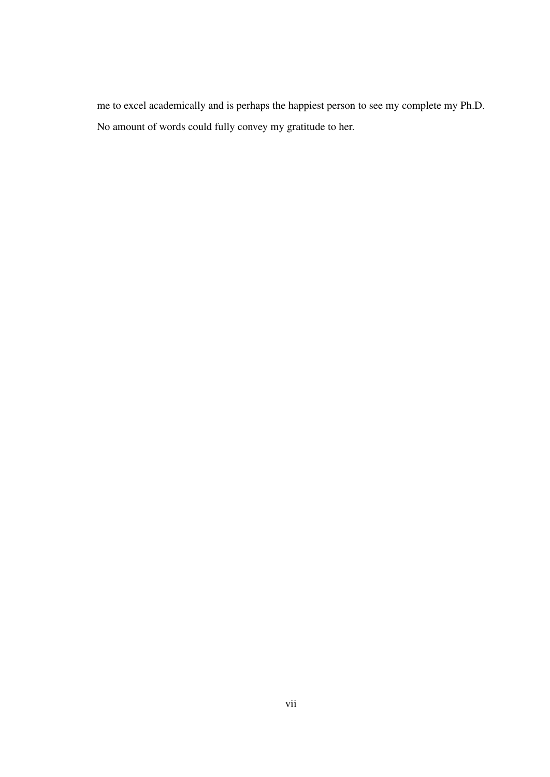me to excel academically and is perhaps the happiest person to see my complete my Ph.D. No amount of words could fully convey my gratitude to her.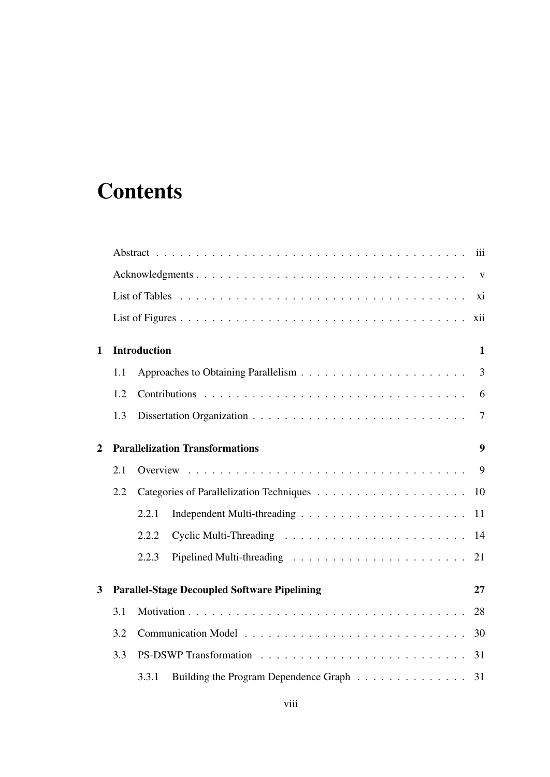# **Contents**

|                |     | iii                                                       |  |
|----------------|-----|-----------------------------------------------------------|--|
|                |     |                                                           |  |
|                |     | xi                                                        |  |
|                |     | xii                                                       |  |
| $\mathbf{1}$   |     | <b>Introduction</b><br>$\mathbf{1}$                       |  |
|                | 1.1 | 3                                                         |  |
|                | 1.2 | 6                                                         |  |
|                | 1.3 | $\tau$                                                    |  |
| $\overline{2}$ |     | <b>Parallelization Transformations</b><br>9               |  |
|                | 2.1 | 9                                                         |  |
|                | 2.2 | 10                                                        |  |
|                |     | 2.2.1<br>11                                               |  |
|                |     | 2.2.2                                                     |  |
|                |     | 2.2.3<br>21                                               |  |
| 3              |     | <b>Parallel-Stage Decoupled Software Pipelining</b><br>27 |  |
|                | 3.1 | 28                                                        |  |
|                | 3.2 |                                                           |  |
|                | 3.3 |                                                           |  |
|                |     | 3.3.1<br>Building the Program Dependence Graph 31         |  |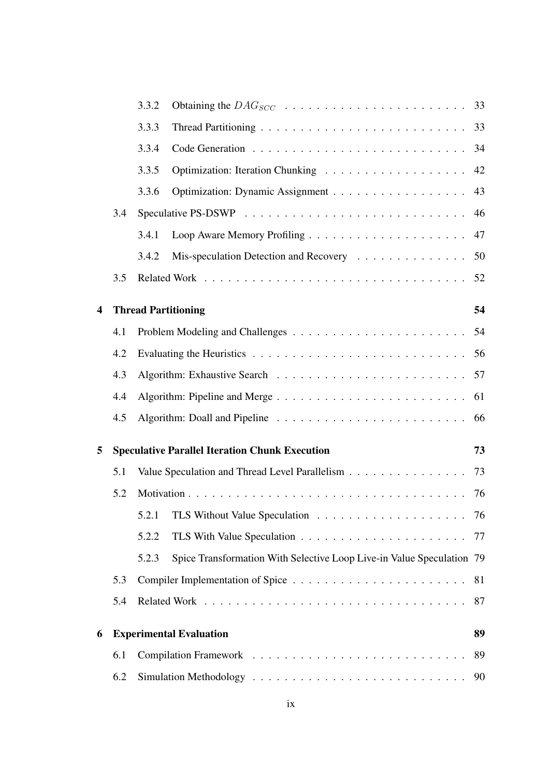|                         |     | 3.3.2                                                                          |    |
|-------------------------|-----|--------------------------------------------------------------------------------|----|
|                         |     | 3.3.3                                                                          |    |
|                         |     | 3.3.4                                                                          |    |
|                         |     | 3.3.5                                                                          | 42 |
|                         |     | 3.3.6                                                                          | 43 |
|                         | 3.4 |                                                                                | 46 |
|                         |     | 3.4.1                                                                          | 47 |
|                         |     | Mis-speculation Detection and Recovery<br>3.4.2                                | 50 |
|                         | 3.5 |                                                                                | 52 |
| $\overline{\mathbf{4}}$ |     | <b>Thread Partitioning</b>                                                     | 54 |
|                         | 4.1 |                                                                                |    |
|                         | 4.2 |                                                                                |    |
|                         | 4.3 |                                                                                |    |
|                         | 4.4 |                                                                                | 61 |
|                         | 4.5 |                                                                                | 66 |
| 5                       |     | <b>Speculative Parallel Iteration Chunk Execution</b>                          | 73 |
|                         | 5.1 | Value Speculation and Thread Level Parallelism 73                              |    |
|                         | 5.2 |                                                                                |    |
|                         |     | 5.2.1                                                                          |    |
|                         |     | 5.2.2                                                                          |    |
|                         |     | Spice Transformation With Selective Loop Live-in Value Speculation 79<br>5.2.3 |    |
|                         | 5.3 |                                                                                |    |
|                         | 5.4 |                                                                                | 87 |
| 6                       |     | <b>Experimental Evaluation</b>                                                 | 89 |
|                         | 6.1 |                                                                                | 89 |
|                         | 6.2 |                                                                                |    |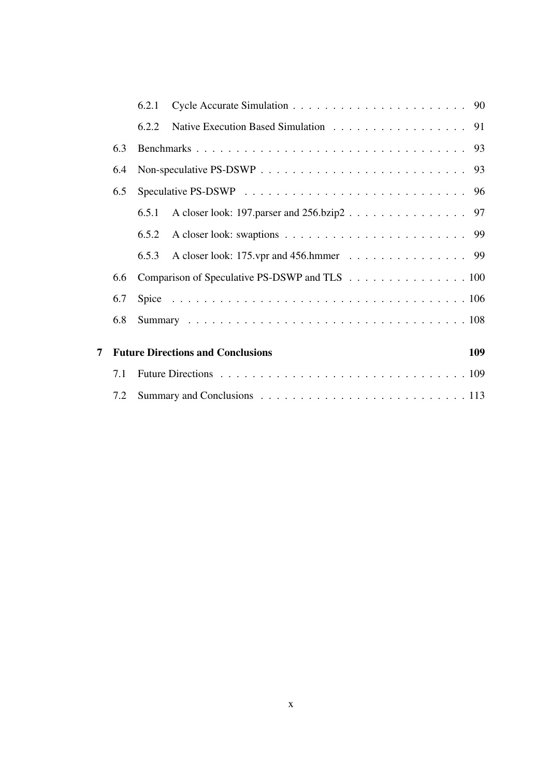|   |     | 6.2.1 |                                                 |
|---|-----|-------|-------------------------------------------------|
|   |     | 6.2.2 | Native Execution Based Simulation 91            |
|   | 6.3 |       |                                                 |
|   | 6.4 |       |                                                 |
|   | 6.5 |       |                                                 |
|   |     | 6.5.1 |                                                 |
|   |     | 6.5.2 |                                                 |
|   |     | 6.5.3 | A closer look: 175.vpr and 456.hmmer 99         |
|   | 6.6 |       | Comparison of Speculative PS-DSWP and TLS 100   |
|   | 6.7 |       |                                                 |
|   | 6.8 |       |                                                 |
| 7 |     |       | <b>Future Directions and Conclusions</b><br>109 |
|   | 7.1 |       |                                                 |
|   | 7.2 |       |                                                 |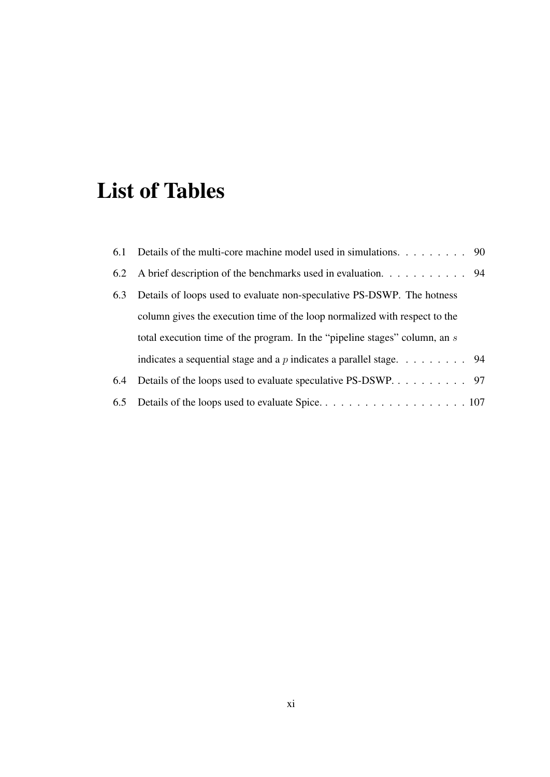# List of Tables

|     | 6.1 Details of the multi-core machine model used in simulations. 90                     |  |
|-----|-----------------------------------------------------------------------------------------|--|
|     | 6.2 A brief description of the benchmarks used in evaluation. 94                        |  |
| 6.3 | Details of loops used to evaluate non-speculative PS-DSWP. The hotness                  |  |
|     | column gives the execution time of the loop normalized with respect to the              |  |
|     | total execution time of the program. In the "pipeline stages" column, an s              |  |
|     | indicates a sequential stage and a p indicates a parallel stage. $\dots \dots \dots$ 94 |  |
| 6.4 | Details of the loops used to evaluate speculative PS-DSWP. 97                           |  |
|     |                                                                                         |  |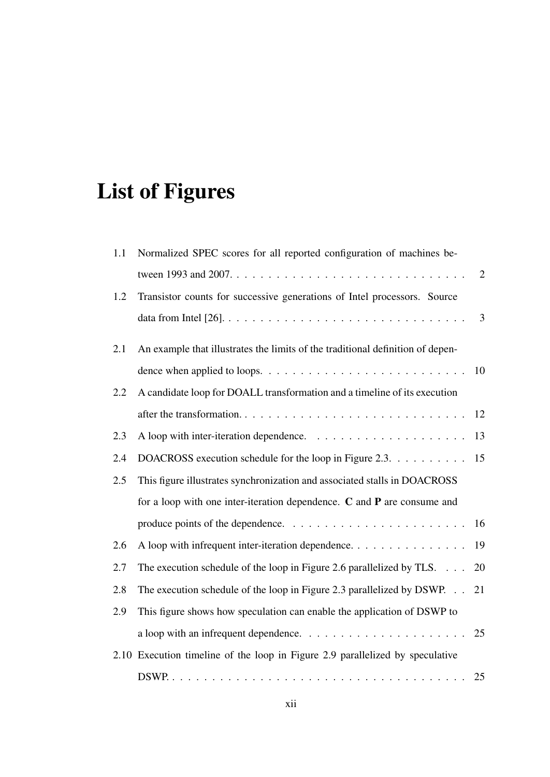# List of Figures

| 1.1 | Normalized SPEC scores for all reported configuration of machines be-                              |                |
|-----|----------------------------------------------------------------------------------------------------|----------------|
|     |                                                                                                    | $\overline{2}$ |
| 1.2 | Transistor counts for successive generations of Intel processors. Source                           |                |
|     |                                                                                                    | $\overline{3}$ |
| 2.1 | An example that illustrates the limits of the traditional definition of depen-                     |                |
|     |                                                                                                    | 10             |
| 2.2 | A candidate loop for DOALL transformation and a timeline of its execution                          |                |
|     |                                                                                                    | 12             |
| 2.3 |                                                                                                    | 13             |
| 2.4 | DOACROSS execution schedule for the loop in Figure 2.3.                                            | 15             |
| 2.5 | This figure illustrates synchronization and associated stalls in DOACROSS                          |                |
|     | for a loop with one inter-iteration dependence. $C$ and $P$ are consume and                        |                |
|     |                                                                                                    |                |
| 2.6 | A loop with infrequent inter-iteration dependence.                                                 | 19             |
| 2.7 | The execution schedule of the loop in Figure 2.6 parallelized by TLS.                              | 20             |
| 2.8 | The execution schedule of the loop in Figure 2.3 parallelized by DSWP. 21                          |                |
| 2.9 | This figure shows how speculation can enable the application of DSWP to                            |                |
|     | a loop with an infrequent dependence. $\ldots \ldots \ldots \ldots \ldots \ldots \ldots \ldots$ 25 |                |
|     | 2.10 Execution timeline of the loop in Figure 2.9 parallelized by speculative                      |                |
|     |                                                                                                    |                |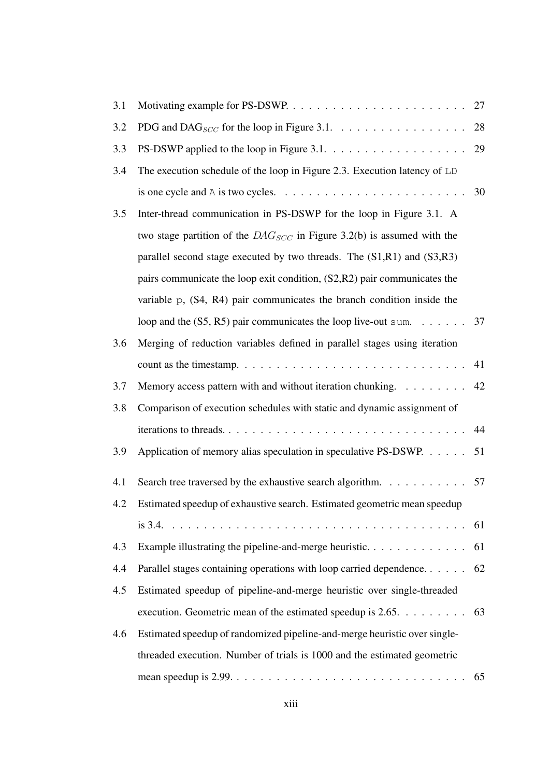| 3.1 |                                                                                                                | 27 |
|-----|----------------------------------------------------------------------------------------------------------------|----|
| 3.2 | PDG and DAG <sub>SCC</sub> for the loop in Figure 3.1. $\dots \dots \dots \dots \dots \dots$                   | 28 |
| 3.3 |                                                                                                                | 29 |
| 3.4 | The execution schedule of the loop in Figure 2.3. Execution latency of LD                                      |    |
|     | is one cycle and A is two cycles. $\ldots \ldots \ldots \ldots \ldots \ldots \ldots \ldots \ldots 30$          |    |
| 3.5 | Inter-thread communication in PS-DSWP for the loop in Figure 3.1. A                                            |    |
|     | two stage partition of the $DAG_{SCC}$ in Figure 3.2(b) is assumed with the                                    |    |
|     | parallel second stage executed by two threads. The $(S1,R1)$ and $(S3,R3)$                                     |    |
|     | pairs communicate the loop exit condition, (S2,R2) pair communicates the                                       |    |
|     | variable $p$ , $(S4, R4)$ pair communicates the branch condition inside the                                    |    |
|     | loop and the $(S5, R5)$ pair communicates the loop live-out sum. 37                                            |    |
| 3.6 | Merging of reduction variables defined in parallel stages using iteration                                      |    |
|     |                                                                                                                | 41 |
| 3.7 | Memory access pattern with and without iteration chunking. 42                                                  |    |
| 3.8 | Comparison of execution schedules with static and dynamic assignment of                                        |    |
|     |                                                                                                                | 44 |
| 3.9 | Application of memory alias speculation in speculative PS-DSWP. 51                                             |    |
| 4.1 | Search tree traversed by the exhaustive search algorithm. 57                                                   |    |
| 4.2 | Estimated speedup of exhaustive search. Estimated geometric mean speedup                                       |    |
|     |                                                                                                                |    |
| 4.3 |                                                                                                                |    |
| 4.4 | Parallel stages containing operations with loop carried dependence 62                                          |    |
| 4.5 | Estimated speedup of pipeline-and-merge heuristic over single-threaded                                         |    |
|     | execution. Geometric mean of the estimated speedup is $2.65. \ldots \ldots$ 63                                 |    |
| 4.6 | Estimated speedup of randomized pipeline-and-merge heuristic over single-                                      |    |
|     | threaded execution. Number of trials is 1000 and the estimated geometric                                       |    |
|     | mean speedup is $2.99. \ldots \ldots \ldots \ldots \ldots \ldots \ldots \ldots \ldots \ldots \ldots \ldots 65$ |    |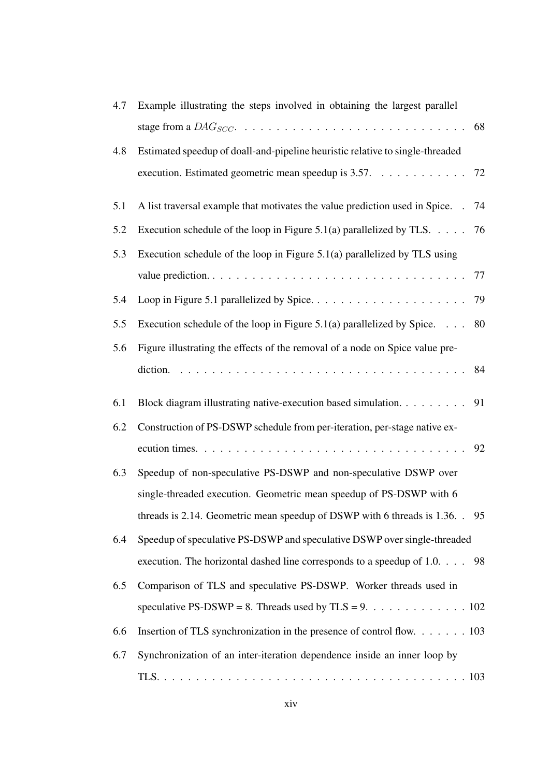| 4.7 | Example illustrating the steps involved in obtaining the largest parallel          |    |
|-----|------------------------------------------------------------------------------------|----|
|     |                                                                                    | 68 |
| 4.8 | Estimated speedup of doall-and-pipeline heuristic relative to single-threaded      |    |
|     | execution. Estimated geometric mean speedup is 3.57. 72                            |    |
| 5.1 | A list traversal example that motivates the value prediction used in Spice.        | 74 |
| 5.2 | Execution schedule of the loop in Figure 5.1(a) parallelized by TLS. $\dots$ . 76  |    |
| 5.3 | Execution schedule of the loop in Figure 5.1(a) parallelized by TLS using          |    |
|     |                                                                                    |    |
| 5.4 |                                                                                    |    |
| 5.5 | Execution schedule of the loop in Figure 5.1(a) parallelized by Spice. $\ldots$ 80 |    |
| 5.6 | Figure illustrating the effects of the removal of a node on Spice value pre-       |    |
|     |                                                                                    |    |
| 6.1 | Block diagram illustrating native-execution based simulation.                      | 91 |
| 6.2 | Construction of PS-DSWP schedule from per-iteration, per-stage native ex-          |    |
|     |                                                                                    |    |
| 6.3 | Speedup of non-speculative PS-DSWP and non-speculative DSWP over                   |    |
|     | single-threaded execution. Geometric mean speedup of PS-DSWP with 6                |    |
|     | threads is 2.14. Geometric mean speedup of DSWP with 6 threads is 1.36. . 95       |    |
| 6.4 | Speedup of speculative PS-DSWP and speculative DSWP over single-threaded           |    |
|     | execution. The horizontal dashed line corresponds to a speedup of 1.0. 98          |    |
| 6.5 | Comparison of TLS and speculative PS-DSWP. Worker threads used in                  |    |
|     | speculative PS-DSWP = 8. Threads used by TLS = 9. 102                              |    |
| 6.6 | Insertion of TLS synchronization in the presence of control flow. 103              |    |
| 6.7 | Synchronization of an inter-iteration dependence inside an inner loop by           |    |
|     |                                                                                    |    |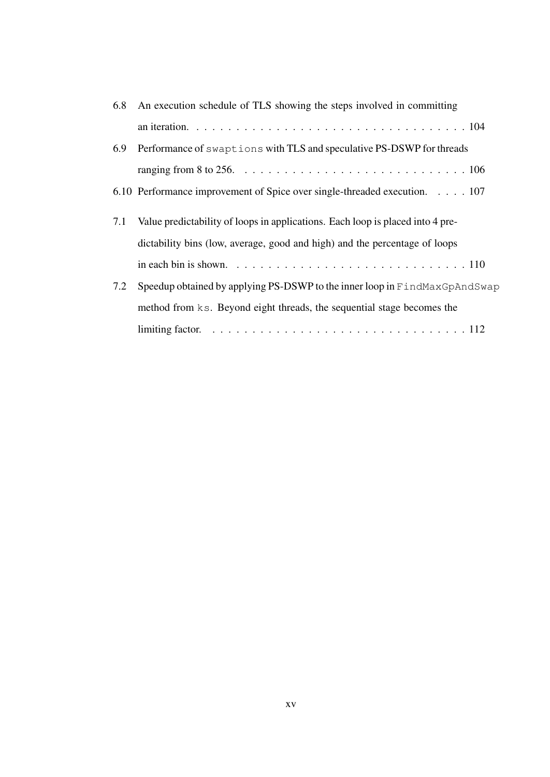| 6.8 | An execution schedule of TLS showing the steps involved in committing          |
|-----|--------------------------------------------------------------------------------|
|     |                                                                                |
| 6.9 | Performance of swaptions with TLS and speculative PS-DSWP for threads          |
|     |                                                                                |
|     | 6.10 Performance improvement of Spice over single-threaded execution. 107      |
| 7.1 | Value predictability of loops in applications. Each loop is placed into 4 pre- |
|     |                                                                                |
|     | dictability bins (low, average, good and high) and the percentage of loops     |
|     |                                                                                |
| 7.2 | Speedup obtained by applying PS-DSWP to the inner loop in FindMaxGpAndSwap     |
|     | method from ks. Beyond eight threads, the sequential stage becomes the         |
|     |                                                                                |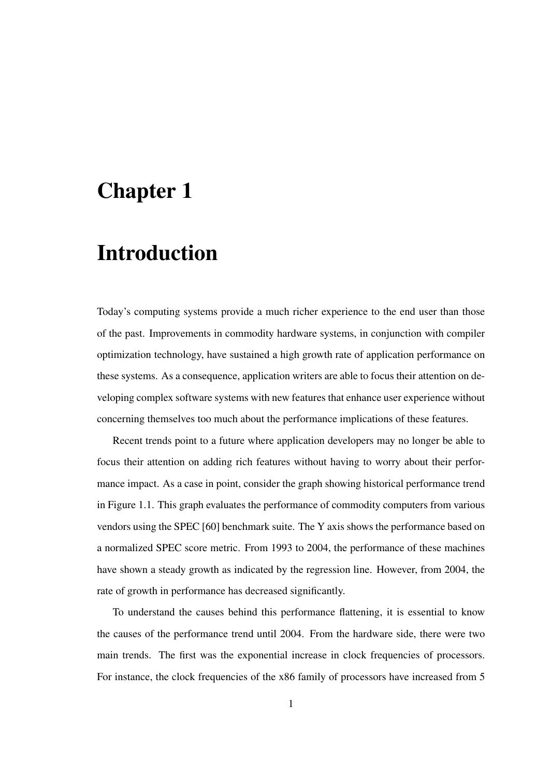## Chapter 1

# Introduction

Today's computing systems provide a much richer experience to the end user than those of the past. Improvements in commodity hardware systems, in conjunction with compiler optimization technology, have sustained a high growth rate of application performance on these systems. As a consequence, application writers are able to focus their attention on developing complex software systems with new features that enhance user experience without concerning themselves too much about the performance implications of these features.

Recent trends point to a future where application developers may no longer be able to focus their attention on adding rich features without having to worry about their performance impact. As a case in point, consider the graph showing historical performance trend in Figure 1.1. This graph evaluates the performance of commodity computers from various vendors using the SPEC [60] benchmark suite. The Y axis shows the performance based on a normalized SPEC score metric. From 1993 to 2004, the performance of these machines have shown a steady growth as indicated by the regression line. However, from 2004, the rate of growth in performance has decreased significantly.

To understand the causes behind this performance flattening, it is essential to know the causes of the performance trend until 2004. From the hardware side, there were two main trends. The first was the exponential increase in clock frequencies of processors. For instance, the clock frequencies of the x86 family of processors have increased from 5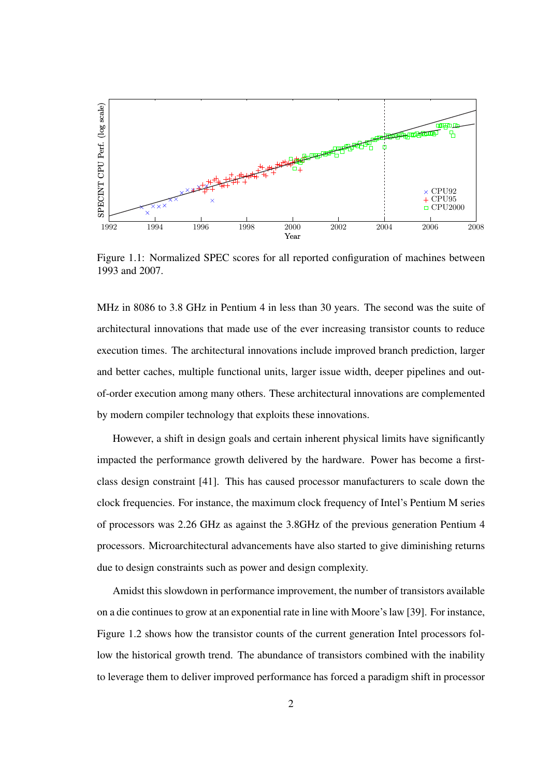

Figure 1.1: Normalized SPEC scores for all reported configuration of machines between 1993 and 2007.

MHz in 8086 to 3.8 GHz in Pentium 4 in less than 30 years. The second was the suite of architectural innovations that made use of the ever increasing transistor counts to reduce execution times. The architectural innovations include improved branch prediction, larger and better caches, multiple functional units, larger issue width, deeper pipelines and outof-order execution among many others. These architectural innovations are complemented by modern compiler technology that exploits these innovations.

However, a shift in design goals and certain inherent physical limits have significantly impacted the performance growth delivered by the hardware. Power has become a firstclass design constraint [41]. This has caused processor manufacturers to scale down the clock frequencies. For instance, the maximum clock frequency of Intel's Pentium M series of processors was 2.26 GHz as against the 3.8GHz of the previous generation Pentium 4 processors. Microarchitectural advancements have also started to give diminishing returns due to design constraints such as power and design complexity.

Amidst this slowdown in performance improvement, the number of transistors available on a die continuesto grow at an exponential rate in line with Moore'slaw [39]. For instance, Figure 1.2 shows how the transistor counts of the current generation Intel processors follow the historical growth trend. The abundance of transistors combined with the inability to leverage them to deliver improved performance has forced a paradigm shift in processor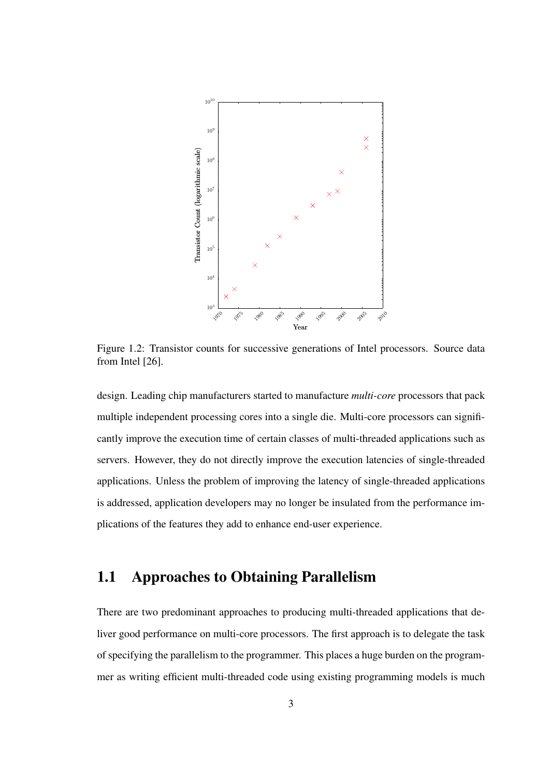

Figure 1.2: Transistor counts for successive generations of Intel processors. Source data from Intel [26].

design. Leading chip manufacturers started to manufacture *multi-core* processors that pack multiple independent processing cores into a single die. Multi-core processors can significantly improve the execution time of certain classes of multi-threaded applications such as servers. However, they do not directly improve the execution latencies of single-threaded applications. Unless the problem of improving the latency of single-threaded applications is addressed, application developers may no longer be insulated from the performance implications of the features they add to enhance end-user experience.

## 1.1 Approaches to Obtaining Parallelism

There are two predominant approaches to producing multi-threaded applications that deliver good performance on multi-core processors. The first approach is to delegate the task of specifying the parallelism to the programmer. This places a huge burden on the programmer as writing efficient multi-threaded code using existing programming models is much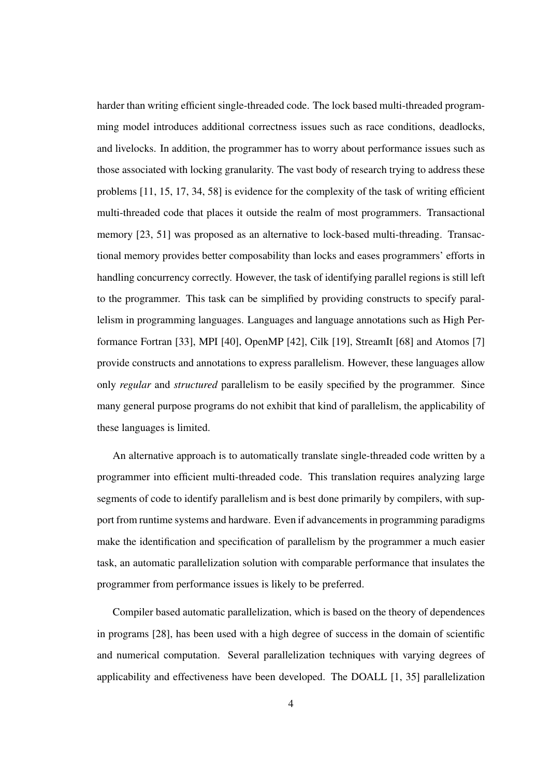harder than writing efficient single-threaded code. The lock based multi-threaded programming model introduces additional correctness issues such as race conditions, deadlocks, and livelocks. In addition, the programmer has to worry about performance issues such as those associated with locking granularity. The vast body of research trying to address these problems [11, 15, 17, 34, 58] is evidence for the complexity of the task of writing efficient multi-threaded code that places it outside the realm of most programmers. Transactional memory [23, 51] was proposed as an alternative to lock-based multi-threading. Transactional memory provides better composability than locks and eases programmers' efforts in handling concurrency correctly. However, the task of identifying parallel regions is still left to the programmer. This task can be simplified by providing constructs to specify parallelism in programming languages. Languages and language annotations such as High Performance Fortran [33], MPI [40], OpenMP [42], Cilk [19], StreamIt [68] and Atomos [7] provide constructs and annotations to express parallelism. However, these languages allow only *regular* and *structured* parallelism to be easily specified by the programmer. Since many general purpose programs do not exhibit that kind of parallelism, the applicability of these languages is limited.

An alternative approach is to automatically translate single-threaded code written by a programmer into efficient multi-threaded code. This translation requires analyzing large segments of code to identify parallelism and is best done primarily by compilers, with support from runtime systems and hardware. Even if advancementsin programming paradigms make the identification and specification of parallelism by the programmer a much easier task, an automatic parallelization solution with comparable performance that insulates the programmer from performance issues is likely to be preferred.

Compiler based automatic parallelization, which is based on the theory of dependences in programs [28], has been used with a high degree of success in the domain of scientific and numerical computation. Several parallelization techniques with varying degrees of applicability and effectiveness have been developed. The DOALL [1, 35] parallelization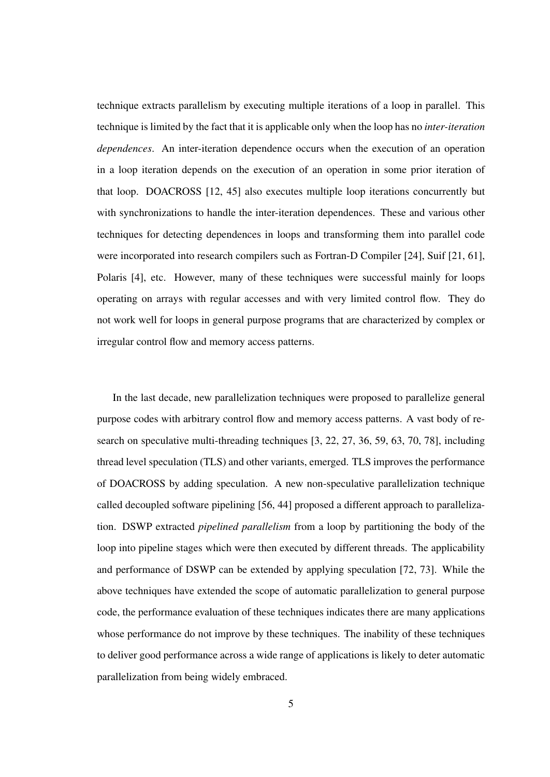technique extracts parallelism by executing multiple iterations of a loop in parallel. This technique is limited by the fact that it is applicable only when the loop has no *inter-iteration dependences*. An inter-iteration dependence occurs when the execution of an operation in a loop iteration depends on the execution of an operation in some prior iteration of that loop. DOACROSS [12, 45] also executes multiple loop iterations concurrently but with synchronizations to handle the inter-iteration dependences. These and various other techniques for detecting dependences in loops and transforming them into parallel code were incorporated into research compilers such as Fortran-D Compiler [24], Suif [21, 61], Polaris [4], etc. However, many of these techniques were successful mainly for loops operating on arrays with regular accesses and with very limited control flow. They do not work well for loops in general purpose programs that are characterized by complex or irregular control flow and memory access patterns.

In the last decade, new parallelization techniques were proposed to parallelize general purpose codes with arbitrary control flow and memory access patterns. A vast body of research on speculative multi-threading techniques [3, 22, 27, 36, 59, 63, 70, 78], including thread level speculation (TLS) and other variants, emerged. TLS improves the performance of DOACROSS by adding speculation. A new non-speculative parallelization technique called decoupled software pipelining [56, 44] proposed a different approach to parallelization. DSWP extracted *pipelined parallelism* from a loop by partitioning the body of the loop into pipeline stages which were then executed by different threads. The applicability and performance of DSWP can be extended by applying speculation [72, 73]. While the above techniques have extended the scope of automatic parallelization to general purpose code, the performance evaluation of these techniques indicates there are many applications whose performance do not improve by these techniques. The inability of these techniques to deliver good performance across a wide range of applications is likely to deter automatic parallelization from being widely embraced.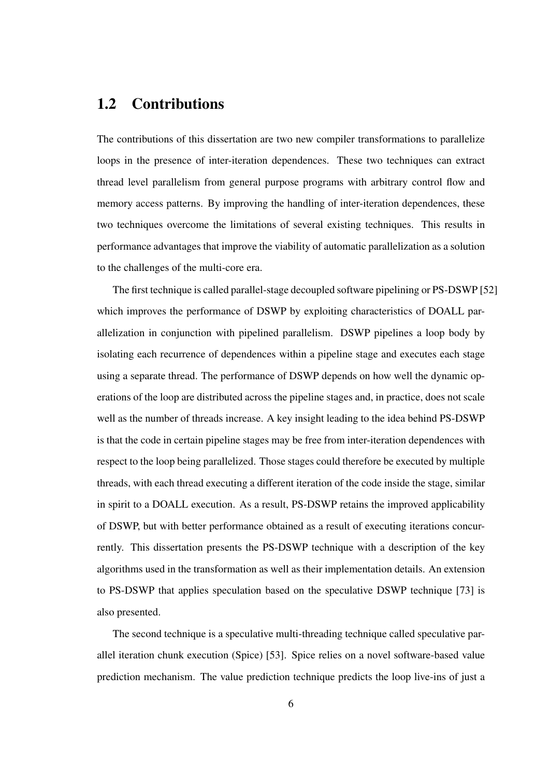## 1.2 Contributions

The contributions of this dissertation are two new compiler transformations to parallelize loops in the presence of inter-iteration dependences. These two techniques can extract thread level parallelism from general purpose programs with arbitrary control flow and memory access patterns. By improving the handling of inter-iteration dependences, these two techniques overcome the limitations of several existing techniques. This results in performance advantages that improve the viability of automatic parallelization as a solution to the challenges of the multi-core era.

The first technique is called parallel-stage decoupled software pipelining or PS-DSWP [52] which improves the performance of DSWP by exploiting characteristics of DOALL parallelization in conjunction with pipelined parallelism. DSWP pipelines a loop body by isolating each recurrence of dependences within a pipeline stage and executes each stage using a separate thread. The performance of DSWP depends on how well the dynamic operations of the loop are distributed across the pipeline stages and, in practice, does not scale well as the number of threads increase. A key insight leading to the idea behind PS-DSWP is that the code in certain pipeline stages may be free from inter-iteration dependences with respect to the loop being parallelized. Those stages could therefore be executed by multiple threads, with each thread executing a different iteration of the code inside the stage, similar in spirit to a DOALL execution. As a result, PS-DSWP retains the improved applicability of DSWP, but with better performance obtained as a result of executing iterations concurrently. This dissertation presents the PS-DSWP technique with a description of the key algorithms used in the transformation as well as their implementation details. An extension to PS-DSWP that applies speculation based on the speculative DSWP technique [73] is also presented.

The second technique is a speculative multi-threading technique called speculative parallel iteration chunk execution (Spice) [53]. Spice relies on a novel software-based value prediction mechanism. The value prediction technique predicts the loop live-ins of just a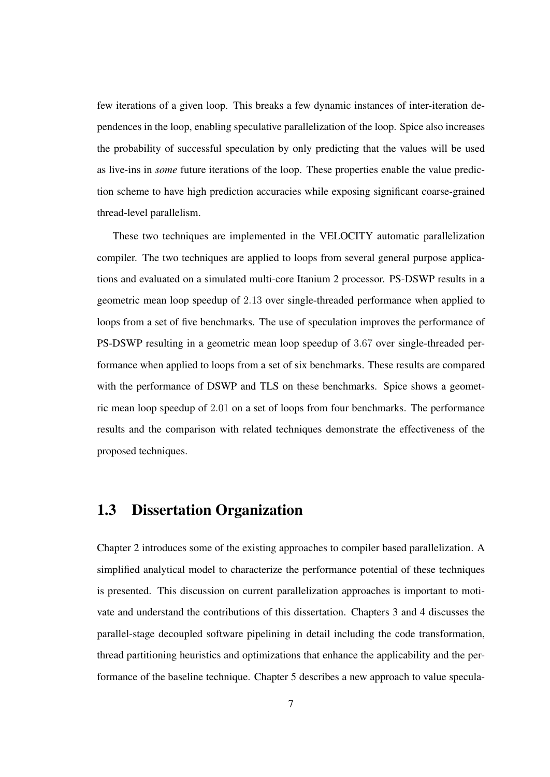few iterations of a given loop. This breaks a few dynamic instances of inter-iteration dependences in the loop, enabling speculative parallelization of the loop. Spice also increases the probability of successful speculation by only predicting that the values will be used as live-ins in *some* future iterations of the loop. These properties enable the value prediction scheme to have high prediction accuracies while exposing significant coarse-grained thread-level parallelism.

These two techniques are implemented in the VELOCITY automatic parallelization compiler. The two techniques are applied to loops from several general purpose applications and evaluated on a simulated multi-core Itanium 2 processor. PS-DSWP results in a geometric mean loop speedup of 2.13 over single-threaded performance when applied to loops from a set of five benchmarks. The use of speculation improves the performance of PS-DSWP resulting in a geometric mean loop speedup of 3.67 over single-threaded performance when applied to loops from a set of six benchmarks. These results are compared with the performance of DSWP and TLS on these benchmarks. Spice shows a geometric mean loop speedup of 2.01 on a set of loops from four benchmarks. The performance results and the comparison with related techniques demonstrate the effectiveness of the proposed techniques.

## 1.3 Dissertation Organization

Chapter 2 introduces some of the existing approaches to compiler based parallelization. A simplified analytical model to characterize the performance potential of these techniques is presented. This discussion on current parallelization approaches is important to motivate and understand the contributions of this dissertation. Chapters 3 and 4 discusses the parallel-stage decoupled software pipelining in detail including the code transformation, thread partitioning heuristics and optimizations that enhance the applicability and the performance of the baseline technique. Chapter 5 describes a new approach to value specula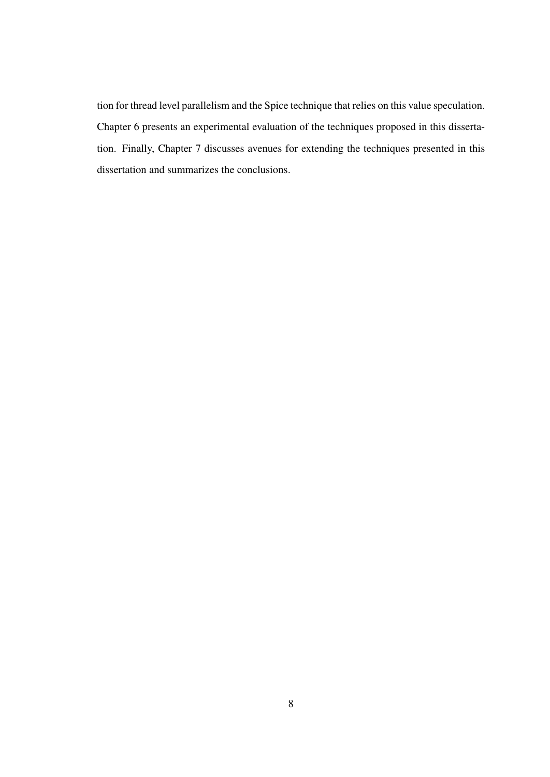tion for thread level parallelism and the Spice technique that relies on this value speculation. Chapter 6 presents an experimental evaluation of the techniques proposed in this dissertation. Finally, Chapter 7 discusses avenues for extending the techniques presented in this dissertation and summarizes the conclusions.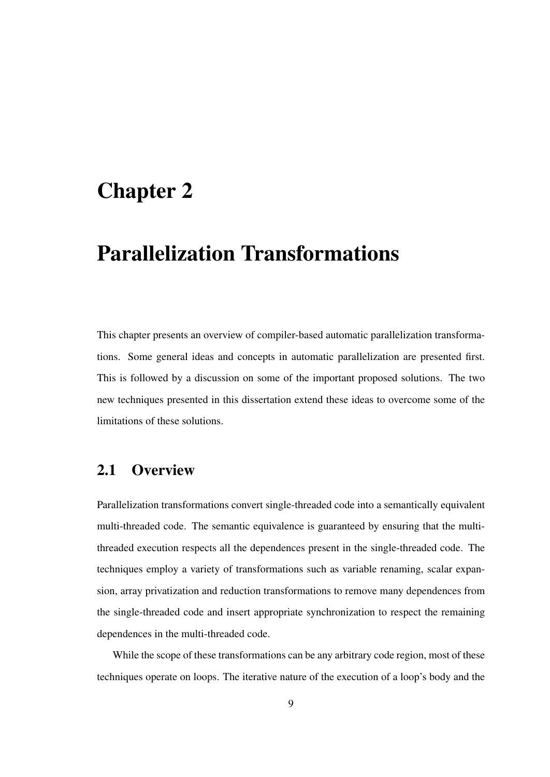## Chapter 2

# Parallelization Transformations

This chapter presents an overview of compiler-based automatic parallelization transformations. Some general ideas and concepts in automatic parallelization are presented first. This is followed by a discussion on some of the important proposed solutions. The two new techniques presented in this dissertation extend these ideas to overcome some of the limitations of these solutions.

## 2.1 Overview

Parallelization transformations convert single-threaded code into a semantically equivalent multi-threaded code. The semantic equivalence is guaranteed by ensuring that the multithreaded execution respects all the dependences present in the single-threaded code. The techniques employ a variety of transformations such as variable renaming, scalar expansion, array privatization and reduction transformations to remove many dependences from the single-threaded code and insert appropriate synchronization to respect the remaining dependences in the multi-threaded code.

While the scope of these transformations can be any arbitrary code region, most of these techniques operate on loops. The iterative nature of the execution of a loop's body and the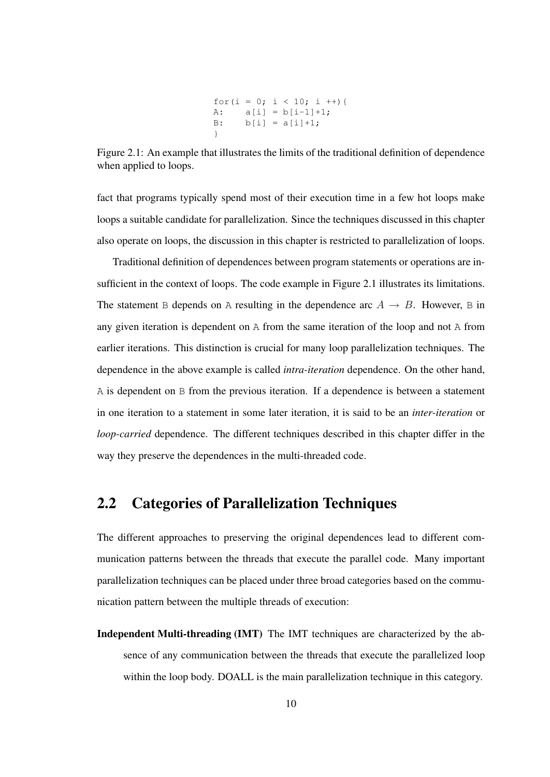for(i = 0; i < 10; i ++){ A: a[i] = b[i-1]+1; B: b[i] = a[i]+1; }

Figure 2.1: An example that illustrates the limits of the traditional definition of dependence when applied to loops.

fact that programs typically spend most of their execution time in a few hot loops make loops a suitable candidate for parallelization. Since the techniques discussed in this chapter also operate on loops, the discussion in this chapter is restricted to parallelization of loops.

Traditional definition of dependences between program statements or operations are insufficient in the context of loops. The code example in Figure 2.1 illustrates its limitations. The statement B depends on A resulting in the dependence arc  $A \rightarrow B$ . However, B in any given iteration is dependent on A from the same iteration of the loop and not A from earlier iterations. This distinction is crucial for many loop parallelization techniques. The dependence in the above example is called *intra-iteration* dependence. On the other hand, A is dependent on B from the previous iteration. If a dependence is between a statement in one iteration to a statement in some later iteration, it is said to be an *inter-iteration* or *loop-carried* dependence. The different techniques described in this chapter differ in the way they preserve the dependences in the multi-threaded code.

## 2.2 Categories of Parallelization Techniques

The different approaches to preserving the original dependences lead to different communication patterns between the threads that execute the parallel code. Many important parallelization techniques can be placed under three broad categories based on the communication pattern between the multiple threads of execution:

Independent Multi-threading (IMT) The IMT techniques are characterized by the absence of any communication between the threads that execute the parallelized loop within the loop body. DOALL is the main parallelization technique in this category.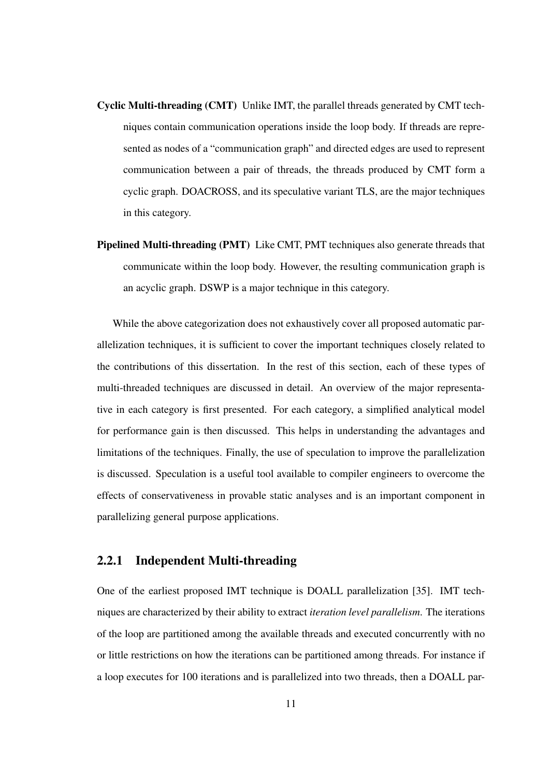- Cyclic Multi-threading (CMT) Unlike IMT, the parallel threads generated by CMT techniques contain communication operations inside the loop body. If threads are represented as nodes of a "communication graph" and directed edges are used to represent communication between a pair of threads, the threads produced by CMT form a cyclic graph. DOACROSS, and its speculative variant TLS, are the major techniques in this category.
- Pipelined Multi-threading (PMT) Like CMT, PMT techniques also generate threads that communicate within the loop body. However, the resulting communication graph is an acyclic graph. DSWP is a major technique in this category.

While the above categorization does not exhaustively cover all proposed automatic parallelization techniques, it is sufficient to cover the important techniques closely related to the contributions of this dissertation. In the rest of this section, each of these types of multi-threaded techniques are discussed in detail. An overview of the major representative in each category is first presented. For each category, a simplified analytical model for performance gain is then discussed. This helps in understanding the advantages and limitations of the techniques. Finally, the use of speculation to improve the parallelization is discussed. Speculation is a useful tool available to compiler engineers to overcome the effects of conservativeness in provable static analyses and is an important component in parallelizing general purpose applications.

### 2.2.1 Independent Multi-threading

One of the earliest proposed IMT technique is DOALL parallelization [35]. IMT techniques are characterized by their ability to extract *iteration level parallelism*. The iterations of the loop are partitioned among the available threads and executed concurrently with no or little restrictions on how the iterations can be partitioned among threads. For instance if a loop executes for 100 iterations and is parallelized into two threads, then a DOALL par-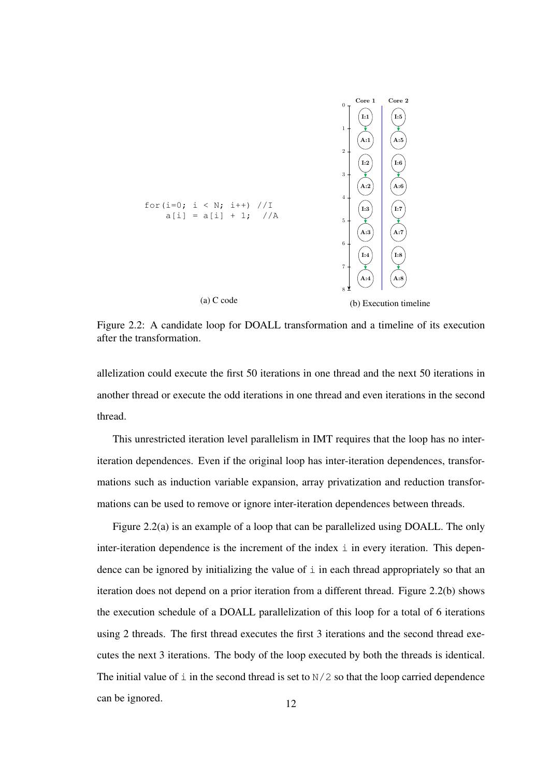

Figure 2.2: A candidate loop for DOALL transformation and a timeline of its execution after the transformation.

allelization could execute the first 50 iterations in one thread and the next 50 iterations in another thread or execute the odd iterations in one thread and even iterations in the second thread.

This unrestricted iteration level parallelism in IMT requires that the loop has no interiteration dependences. Even if the original loop has inter-iteration dependences, transformations such as induction variable expansion, array privatization and reduction transformations can be used to remove or ignore inter-iteration dependences between threads.

Figure 2.2(a) is an example of a loop that can be parallelized using DOALL. The only inter-iteration dependence is the increment of the index  $\pm$  in every iteration. This dependence can be ignored by initializing the value of  $\pm$  in each thread appropriately so that an iteration does not depend on a prior iteration from a different thread. Figure 2.2(b) shows the execution schedule of a DOALL parallelization of this loop for a total of 6 iterations using 2 threads. The first thread executes the first 3 iterations and the second thread executes the next 3 iterations. The body of the loop executed by both the threads is identical. The initial value of  $\pm$  in the second thread is set to  $N/2$  so that the loop carried dependence can be ignored. 12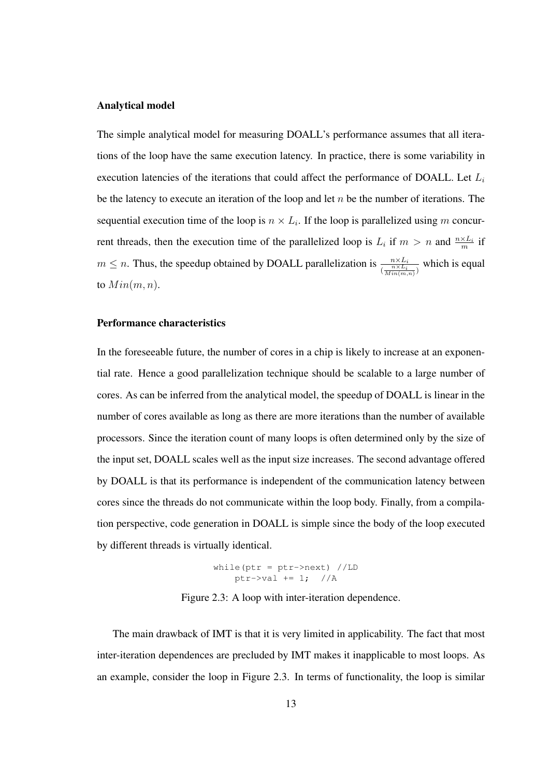### Analytical model

The simple analytical model for measuring DOALL's performance assumes that all iterations of the loop have the same execution latency. In practice, there is some variability in execution latencies of the iterations that could affect the performance of DOALL. Let  $L_i$ be the latency to execute an iteration of the loop and let  $n$  be the number of iterations. The sequential execution time of the loop is  $n \times L_i$ . If the loop is parallelized using m concurrent threads, then the execution time of the parallelized loop is  $L_i$  if  $m > n$  and  $\frac{n \times L_i}{m}$  if  $m \leq n$ . Thus, the speedup obtained by DOALL parallelization is  $\frac{n \times L_i}{\frac{n \times L_i}{Min(m,n)}}$  which is equal to  $Min(m, n)$ .

### Performance characteristics

In the foreseeable future, the number of cores in a chip is likely to increase at an exponential rate. Hence a good parallelization technique should be scalable to a large number of cores. As can be inferred from the analytical model, the speedup of DOALL is linear in the number of cores available as long as there are more iterations than the number of available processors. Since the iteration count of many loops is often determined only by the size of the input set, DOALL scales well as the input size increases. The second advantage offered by DOALL is that its performance is independent of the communication latency between cores since the threads do not communicate within the loop body. Finally, from a compilation perspective, code generation in DOALL is simple since the body of the loop executed by different threads is virtually identical.

$$
\begin{array}{rcl}\n\text{while (ptr = ptr->next) //LD} \\
\text{ptr->val += 1; //A}\n\end{array}
$$

Figure 2.3: A loop with inter-iteration dependence.

The main drawback of IMT is that it is very limited in applicability. The fact that most inter-iteration dependences are precluded by IMT makes it inapplicable to most loops. As an example, consider the loop in Figure 2.3. In terms of functionality, the loop is similar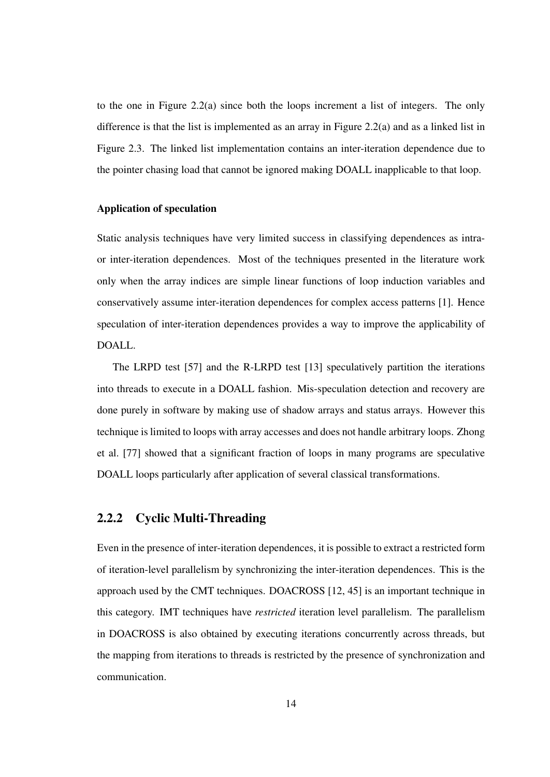to the one in Figure 2.2(a) since both the loops increment a list of integers. The only difference is that the list is implemented as an array in Figure 2.2(a) and as a linked list in Figure 2.3. The linked list implementation contains an inter-iteration dependence due to the pointer chasing load that cannot be ignored making DOALL inapplicable to that loop.

#### Application of speculation

Static analysis techniques have very limited success in classifying dependences as intraor inter-iteration dependences. Most of the techniques presented in the literature work only when the array indices are simple linear functions of loop induction variables and conservatively assume inter-iteration dependences for complex access patterns [1]. Hence speculation of inter-iteration dependences provides a way to improve the applicability of DOALL.

The LRPD test [57] and the R-LRPD test [13] speculatively partition the iterations into threads to execute in a DOALL fashion. Mis-speculation detection and recovery are done purely in software by making use of shadow arrays and status arrays. However this technique is limited to loops with array accesses and does not handle arbitrary loops. Zhong et al. [77] showed that a significant fraction of loops in many programs are speculative DOALL loops particularly after application of several classical transformations.

### 2.2.2 Cyclic Multi-Threading

Even in the presence of inter-iteration dependences, it is possible to extract a restricted form of iteration-level parallelism by synchronizing the inter-iteration dependences. This is the approach used by the CMT techniques. DOACROSS [12, 45] is an important technique in this category. IMT techniques have *restricted* iteration level parallelism. The parallelism in DOACROSS is also obtained by executing iterations concurrently across threads, but the mapping from iterations to threads is restricted by the presence of synchronization and communication.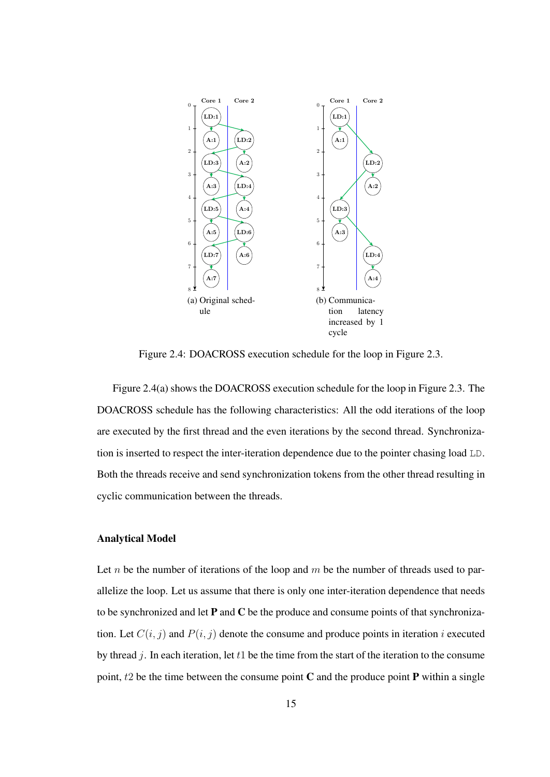

Figure 2.4: DOACROSS execution schedule for the loop in Figure 2.3.

Figure 2.4(a) shows the DOACROSS execution schedule for the loop in Figure 2.3. The DOACROSS schedule has the following characteristics: All the odd iterations of the loop are executed by the first thread and the even iterations by the second thread. Synchronization is inserted to respect the inter-iteration dependence due to the pointer chasing load LD. Both the threads receive and send synchronization tokens from the other thread resulting in cyclic communication between the threads.

### Analytical Model

Let *n* be the number of iterations of the loop and  $m$  be the number of threads used to parallelize the loop. Let us assume that there is only one inter-iteration dependence that needs to be synchronized and let  $P$  and  $C$  be the produce and consume points of that synchronization. Let  $C(i, j)$  and  $P(i, j)$  denote the consume and produce points in iteration i executed by thread  $j$ . In each iteration, let  $t_1$  be the time from the start of the iteration to the consume point,  $t_2$  be the time between the consume point C and the produce point P within a single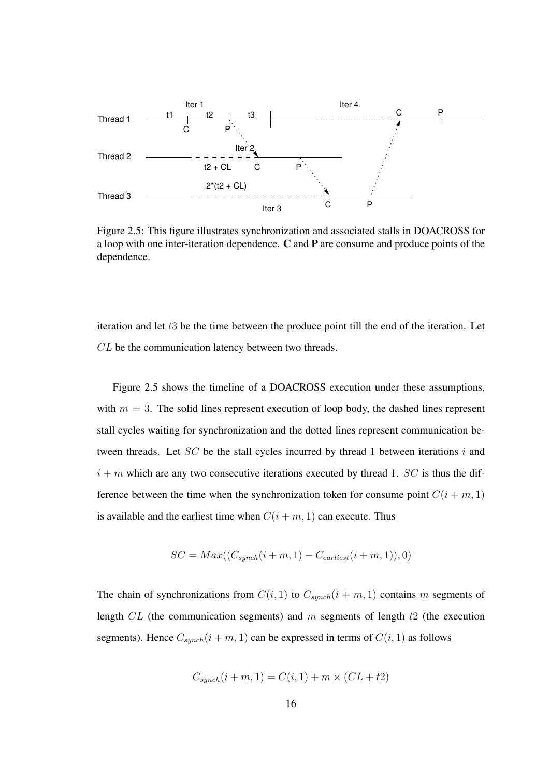

Figure 2.5: This figure illustrates synchronization and associated stalls in DOACROSS for a loop with one inter-iteration dependence. C and P are consume and produce points of the dependence.

iteration and let  $t3$  be the time between the produce point till the end of the iteration. Let CL be the communication latency between two threads.

Figure 2.5 shows the timeline of a DOACROSS execution under these assumptions, with  $m = 3$ . The solid lines represent execution of loop body, the dashed lines represent stall cycles waiting for synchronization and the dotted lines represent communication between threads. Let  $SC$  be the stall cycles incurred by thread 1 between iterations  $i$  and  $i + m$  which are any two consecutive iterations executed by thread 1. SC is thus the difference between the time when the synchronization token for consume point  $C(i + m, 1)$ is available and the earliest time when  $C(i + m, 1)$  can execute. Thus

$$
SC = Max((C_{synch}(i+m, 1) - C_{earliest}(i+m, 1)), 0)
$$

The chain of synchronizations from  $C(i, 1)$  to  $C_{synch}(i + m, 1)$  contains m segments of length  $CL$  (the communication segments) and m segments of length  $t2$  (the execution segments). Hence  $C_{synch}(i + m, 1)$  can be expressed in terms of  $C(i, 1)$  as follows

$$
C_{synch}(i+m, 1) = C(i, 1) + m \times (CL + t2)
$$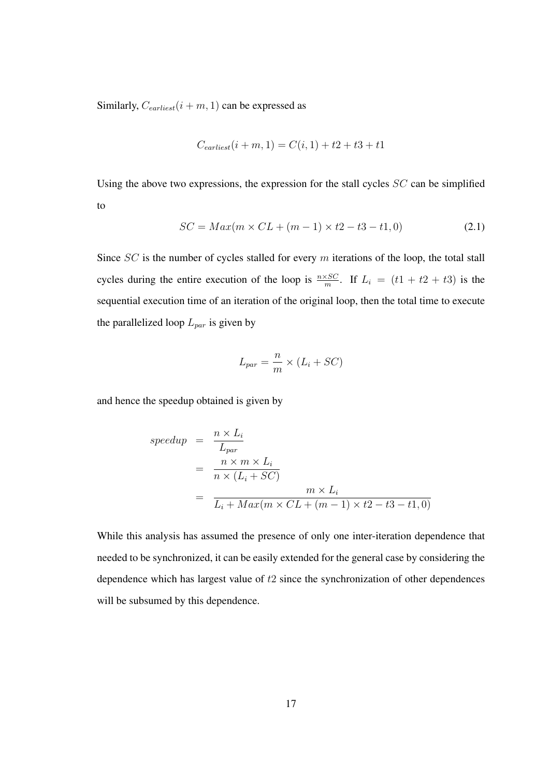Similarly,  $C_{earliest}(i + m, 1)$  can be expressed as

$$
C_{earliest}(i + m, 1) = C(i, 1) + t2 + t3 + t1
$$

Using the above two expressions, the expression for the stall cycles  $SC$  can be simplified to

$$
SC = Max(m \times CL + (m - 1) \times t2 - t3 - t1, 0)
$$
\n(2.1)

Since  $SC$  is the number of cycles stalled for every  $m$  iterations of the loop, the total stall cycles during the entire execution of the loop is  $\frac{n \times SC}{m}$ . If  $L_i = (t1 + t2 + t3)$  is the sequential execution time of an iteration of the original loop, then the total time to execute the parallelized loop  $L_{par}$  is given by

$$
L_{par} = \frac{n}{m} \times (L_i + SC)
$$

and hence the speedup obtained is given by

$$
speedup = \frac{n \times L_i}{L_{par}}
$$
  
= 
$$
\frac{n \times m \times L_i}{n \times (L_i + SC)}
$$
  
= 
$$
\frac{m \times L_i}{L_i + Max(m \times CL + (m - 1) \times t2 - t3 - t1, 0)}
$$

While this analysis has assumed the presence of only one inter-iteration dependence that needed to be synchronized, it can be easily extended for the general case by considering the dependence which has largest value of t2 since the synchronization of other dependences will be subsumed by this dependence.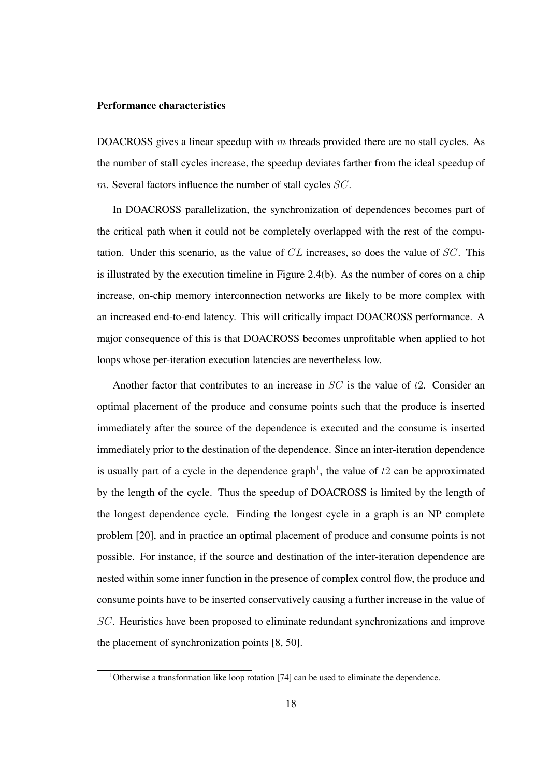#### Performance characteristics

DOACROSS gives a linear speedup with  $m$  threads provided there are no stall cycles. As the number of stall cycles increase, the speedup deviates farther from the ideal speedup of m. Several factors influence the number of stall cycles SC.

In DOACROSS parallelization, the synchronization of dependences becomes part of the critical path when it could not be completely overlapped with the rest of the computation. Under this scenario, as the value of  $CL$  increases, so does the value of  $SC$ . This is illustrated by the execution timeline in Figure 2.4(b). As the number of cores on a chip increase, on-chip memory interconnection networks are likely to be more complex with an increased end-to-end latency. This will critically impact DOACROSS performance. A major consequence of this is that DOACROSS becomes unprofitable when applied to hot loops whose per-iteration execution latencies are nevertheless low.

Another factor that contributes to an increase in  $SC$  is the value of  $t2$ . Consider an optimal placement of the produce and consume points such that the produce is inserted immediately after the source of the dependence is executed and the consume is inserted immediately prior to the destination of the dependence. Since an inter-iteration dependence is usually part of a cycle in the dependence graph<sup>1</sup>, the value of  $t_2$  can be approximated by the length of the cycle. Thus the speedup of DOACROSS is limited by the length of the longest dependence cycle. Finding the longest cycle in a graph is an NP complete problem [20], and in practice an optimal placement of produce and consume points is not possible. For instance, if the source and destination of the inter-iteration dependence are nested within some inner function in the presence of complex control flow, the produce and consume points have to be inserted conservatively causing a further increase in the value of SC. Heuristics have been proposed to eliminate redundant synchronizations and improve the placement of synchronization points [8, 50].

<sup>&</sup>lt;sup>1</sup>Otherwise a transformation like loop rotation [74] can be used to eliminate the dependence.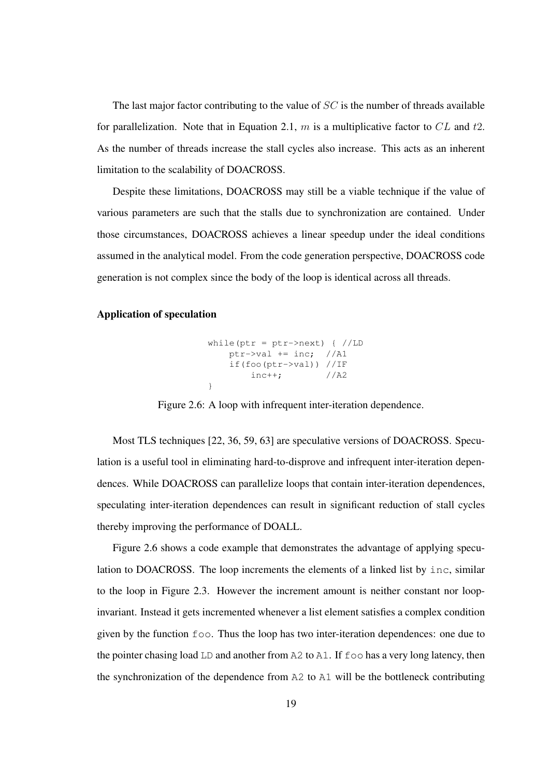The last major factor contributing to the value of  $SC$  is the number of threads available for parallelization. Note that in Equation 2.1, m is a multiplicative factor to  $CL$  and t2. As the number of threads increase the stall cycles also increase. This acts as an inherent limitation to the scalability of DOACROSS.

Despite these limitations, DOACROSS may still be a viable technique if the value of various parameters are such that the stalls due to synchronization are contained. Under those circumstances, DOACROSS achieves a linear speedup under the ideal conditions assumed in the analytical model. From the code generation perspective, DOACROSS code generation is not complex since the body of the loop is identical across all threads.

### Application of speculation



Figure 2.6: A loop with infrequent inter-iteration dependence.

Most TLS techniques [22, 36, 59, 63] are speculative versions of DOACROSS. Speculation is a useful tool in eliminating hard-to-disprove and infrequent inter-iteration dependences. While DOACROSS can parallelize loops that contain inter-iteration dependences, speculating inter-iteration dependences can result in significant reduction of stall cycles thereby improving the performance of DOALL.

Figure 2.6 shows a code example that demonstrates the advantage of applying speculation to DOACROSS. The loop increments the elements of a linked list by inc, similar to the loop in Figure 2.3. However the increment amount is neither constant nor loopinvariant. Instead it gets incremented whenever a list element satisfies a complex condition given by the function foo. Thus the loop has two inter-iteration dependences: one due to the pointer chasing load LD and another from A2 to A1. If foo has a very long latency, then the synchronization of the dependence from A2 to A1 will be the bottleneck contributing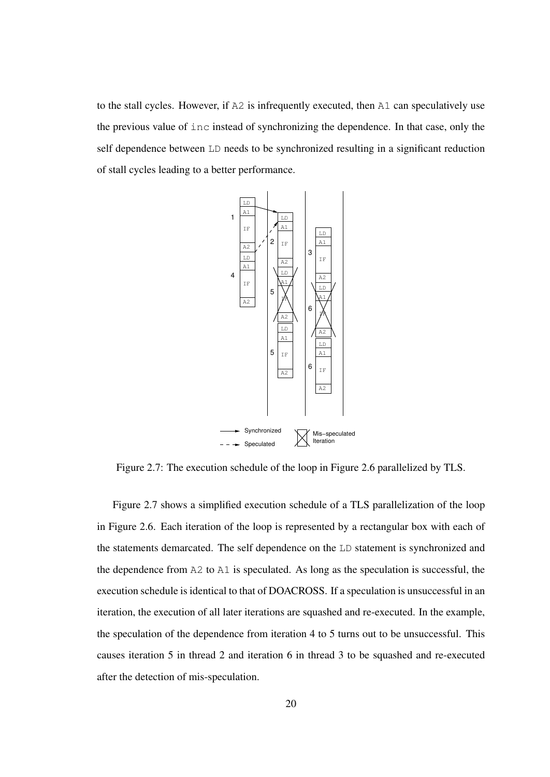to the stall cycles. However, if A2 is infrequently executed, then A1 can speculatively use the previous value of inc instead of synchronizing the dependence. In that case, only the self dependence between LD needs to be synchronized resulting in a significant reduction of stall cycles leading to a better performance.



Figure 2.7: The execution schedule of the loop in Figure 2.6 parallelized by TLS.

Figure 2.7 shows a simplified execution schedule of a TLS parallelization of the loop in Figure 2.6. Each iteration of the loop is represented by a rectangular box with each of the statements demarcated. The self dependence on the LD statement is synchronized and the dependence from A2 to A1 is speculated. As long as the speculation is successful, the execution schedule is identical to that of DOACROSS. If a speculation is unsuccessful in an iteration, the execution of all later iterations are squashed and re-executed. In the example, the speculation of the dependence from iteration 4 to 5 turns out to be unsuccessful. This causes iteration 5 in thread 2 and iteration 6 in thread 3 to be squashed and re-executed after the detection of mis-speculation.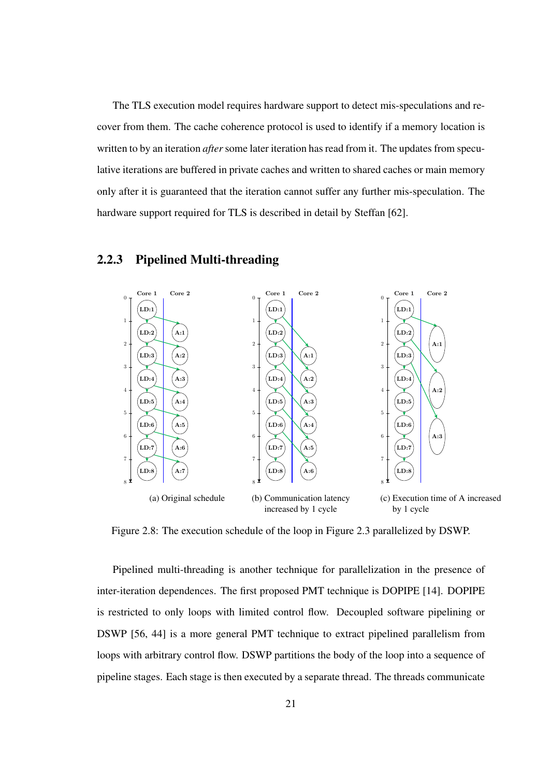The TLS execution model requires hardware support to detect mis-speculations and recover from them. The cache coherence protocol is used to identify if a memory location is written to by an iteration *after* some later iteration has read from it. The updates from speculative iterations are buffered in private caches and written to shared caches or main memory only after it is guaranteed that the iteration cannot suffer any further mis-speculation. The hardware support required for TLS is described in detail by Steffan [62].



### 2.2.3 Pipelined Multi-threading

Figure 2.8: The execution schedule of the loop in Figure 2.3 parallelized by DSWP.

Pipelined multi-threading is another technique for parallelization in the presence of inter-iteration dependences. The first proposed PMT technique is DOPIPE [14]. DOPIPE is restricted to only loops with limited control flow. Decoupled software pipelining or DSWP [56, 44] is a more general PMT technique to extract pipelined parallelism from loops with arbitrary control flow. DSWP partitions the body of the loop into a sequence of pipeline stages. Each stage is then executed by a separate thread. The threads communicate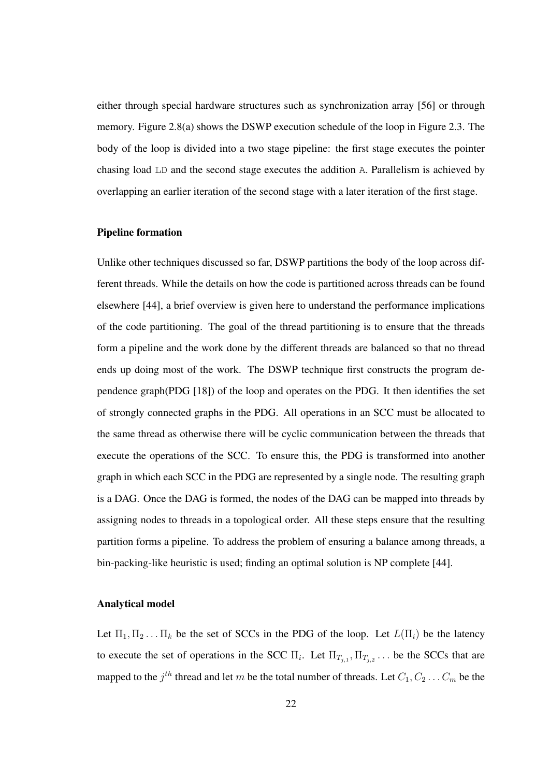either through special hardware structures such as synchronization array [56] or through memory. Figure 2.8(a) shows the DSWP execution schedule of the loop in Figure 2.3. The body of the loop is divided into a two stage pipeline: the first stage executes the pointer chasing load LD and the second stage executes the addition A. Parallelism is achieved by overlapping an earlier iteration of the second stage with a later iteration of the first stage.

#### Pipeline formation

Unlike other techniques discussed so far, DSWP partitions the body of the loop across different threads. While the details on how the code is partitioned across threads can be found elsewhere [44], a brief overview is given here to understand the performance implications of the code partitioning. The goal of the thread partitioning is to ensure that the threads form a pipeline and the work done by the different threads are balanced so that no thread ends up doing most of the work. The DSWP technique first constructs the program dependence graph(PDG [18]) of the loop and operates on the PDG. It then identifies the set of strongly connected graphs in the PDG. All operations in an SCC must be allocated to the same thread as otherwise there will be cyclic communication between the threads that execute the operations of the SCC. To ensure this, the PDG is transformed into another graph in which each SCC in the PDG are represented by a single node. The resulting graph is a DAG. Once the DAG is formed, the nodes of the DAG can be mapped into threads by assigning nodes to threads in a topological order. All these steps ensure that the resulting partition forms a pipeline. To address the problem of ensuring a balance among threads, a bin-packing-like heuristic is used; finding an optimal solution is NP complete [44].

#### Analytical model

Let  $\Pi_1, \Pi_2, \ldots, \Pi_k$  be the set of SCCs in the PDG of the loop. Let  $L(\Pi_i)$  be the latency to execute the set of operations in the SCC  $\Pi_i$ . Let  $\Pi_{T_{j,1}}, \Pi_{T_{j,2}} \dots$  be the SCCs that are mapped to the  $j^{th}$  thread and let  $m$  be the total number of threads. Let  $C_1, C_2 \ldots C_m$  be the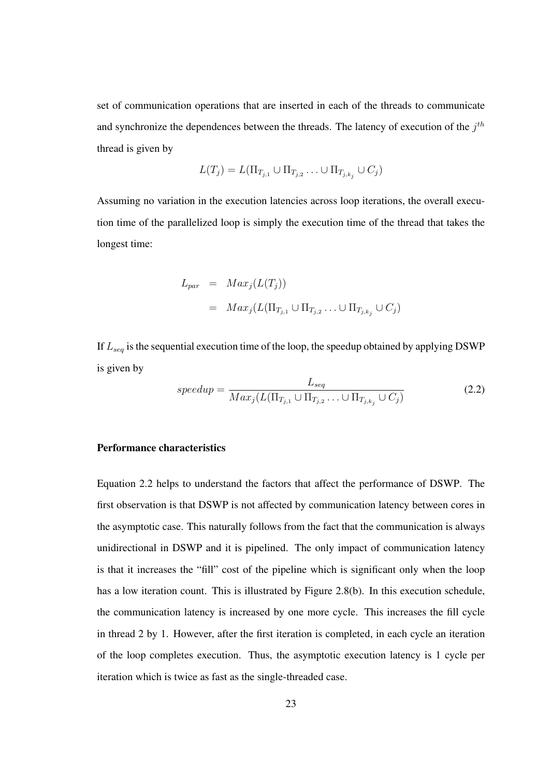set of communication operations that are inserted in each of the threads to communicate and synchronize the dependences between the threads. The latency of execution of the  $j<sup>th</sup>$ thread is given by

$$
L(T_j) = L(\Pi_{T_{j,1}} \cup \Pi_{T_{j,2}} \dots \cup \Pi_{T_{j,k_j}} \cup C_j)
$$

Assuming no variation in the execution latencies across loop iterations, the overall execution time of the parallelized loop is simply the execution time of the thread that takes the longest time:

$$
L_{par} = Max_j(L(T_j))
$$
  
= Max\_j(L(\Pi\_{T\_{j,1}} \cup \Pi\_{T\_{j,2}} \dots \cup \Pi\_{T\_{j,k\_j}} \cup C\_j))

If  $L_{seq}$  is the sequential execution time of the loop, the speedup obtained by applying DSWP is given by

$$
speedup = \frac{L_{seq}}{Max_j(L(\Pi_{T_{j,1}} \cup \Pi_{T_{j,2}} \dots \cup \Pi_{T_{j,k_j}} \cup C_j)})
$$
(2.2)

#### Performance characteristics

Equation 2.2 helps to understand the factors that affect the performance of DSWP. The first observation is that DSWP is not affected by communication latency between cores in the asymptotic case. This naturally follows from the fact that the communication is always unidirectional in DSWP and it is pipelined. The only impact of communication latency is that it increases the "fill" cost of the pipeline which is significant only when the loop has a low iteration count. This is illustrated by Figure 2.8(b). In this execution schedule, the communication latency is increased by one more cycle. This increases the fill cycle in thread 2 by 1. However, after the first iteration is completed, in each cycle an iteration of the loop completes execution. Thus, the asymptotic execution latency is 1 cycle per iteration which is twice as fast as the single-threaded case.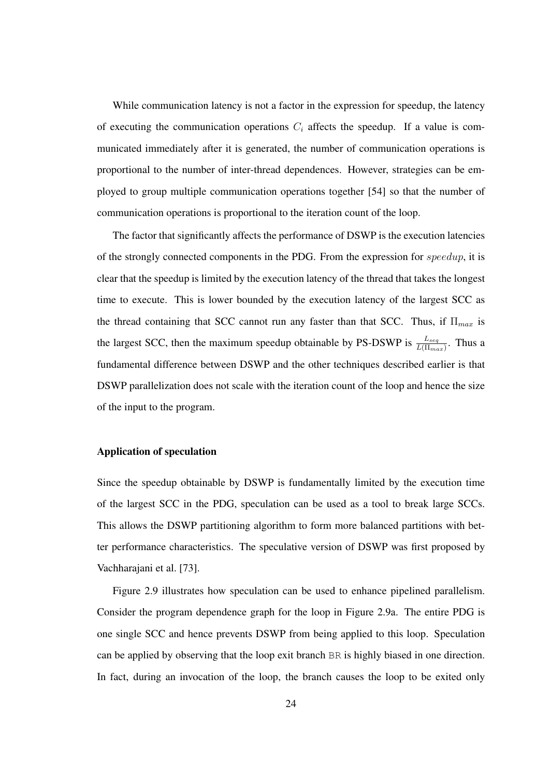While communication latency is not a factor in the expression for speedup, the latency of executing the communication operations  $C_i$  affects the speedup. If a value is communicated immediately after it is generated, the number of communication operations is proportional to the number of inter-thread dependences. However, strategies can be employed to group multiple communication operations together [54] so that the number of communication operations is proportional to the iteration count of the loop.

The factor that significantly affects the performance of DSWP is the execution latencies of the strongly connected components in the PDG. From the expression for speedup, it is clear that the speedup is limited by the execution latency of the thread that takes the longest time to execute. This is lower bounded by the execution latency of the largest SCC as the thread containing that SCC cannot run any faster than that SCC. Thus, if  $\Pi_{max}$  is the largest SCC, then the maximum speedup obtainable by PS-DSWP is  $\frac{L_{seq}}{L(\Pi_{max})}$ . Thus a fundamental difference between DSWP and the other techniques described earlier is that DSWP parallelization does not scale with the iteration count of the loop and hence the size of the input to the program.

#### Application of speculation

Since the speedup obtainable by DSWP is fundamentally limited by the execution time of the largest SCC in the PDG, speculation can be used as a tool to break large SCCs. This allows the DSWP partitioning algorithm to form more balanced partitions with better performance characteristics. The speculative version of DSWP was first proposed by Vachharajani et al. [73].

Figure 2.9 illustrates how speculation can be used to enhance pipelined parallelism. Consider the program dependence graph for the loop in Figure 2.9a. The entire PDG is one single SCC and hence prevents DSWP from being applied to this loop. Speculation can be applied by observing that the loop exit branch BR is highly biased in one direction. In fact, during an invocation of the loop, the branch causes the loop to be exited only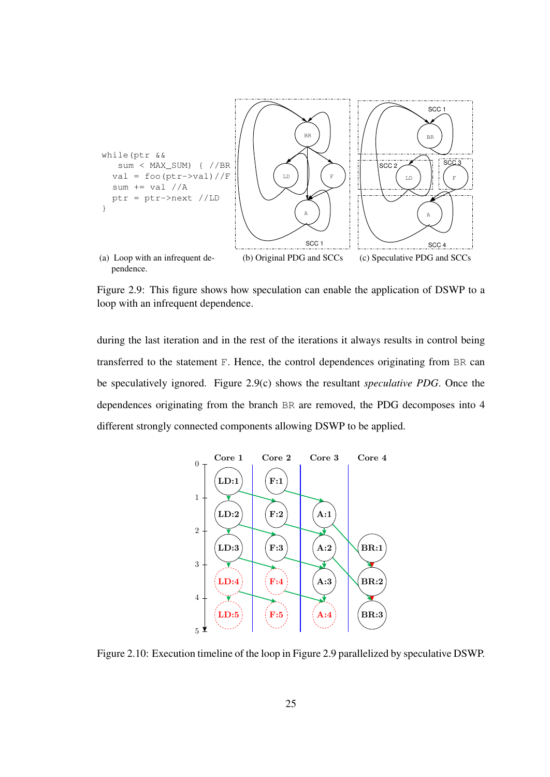

Figure 2.9: This figure shows how speculation can enable the application of DSWP to a loop with an infrequent dependence.

during the last iteration and in the rest of the iterations it always results in control being transferred to the statement F. Hence, the control dependences originating from BR can be speculatively ignored. Figure 2.9(c) shows the resultant *speculative PDG*. Once the dependences originating from the branch BR are removed, the PDG decomposes into 4 different strongly connected components allowing DSWP to be applied.



Figure 2.10: Execution timeline of the loop in Figure 2.9 parallelized by speculative DSWP.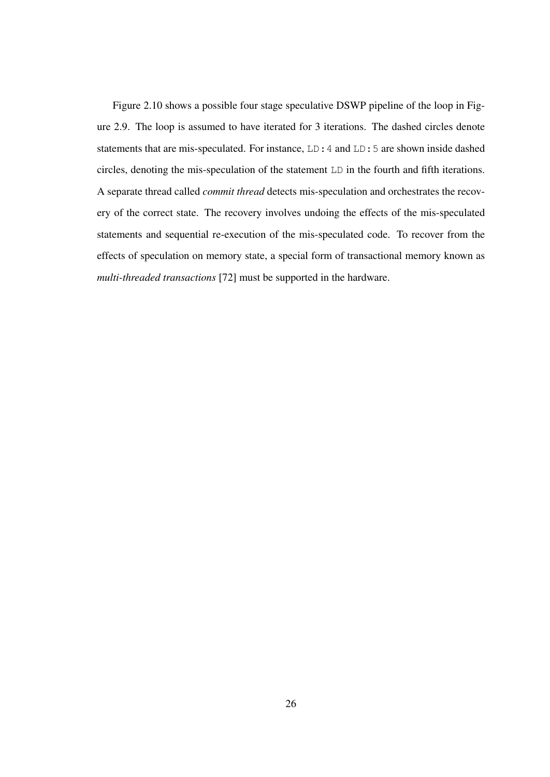Figure 2.10 shows a possible four stage speculative DSWP pipeline of the loop in Figure 2.9. The loop is assumed to have iterated for 3 iterations. The dashed circles denote statements that are mis-speculated. For instance, LD:4 and LD:5 are shown inside dashed circles, denoting the mis-speculation of the statement LD in the fourth and fifth iterations. A separate thread called *commit thread* detects mis-speculation and orchestrates the recovery of the correct state. The recovery involves undoing the effects of the mis-speculated statements and sequential re-execution of the mis-speculated code. To recover from the effects of speculation on memory state, a special form of transactional memory known as *multi-threaded transactions* [72] must be supported in the hardware.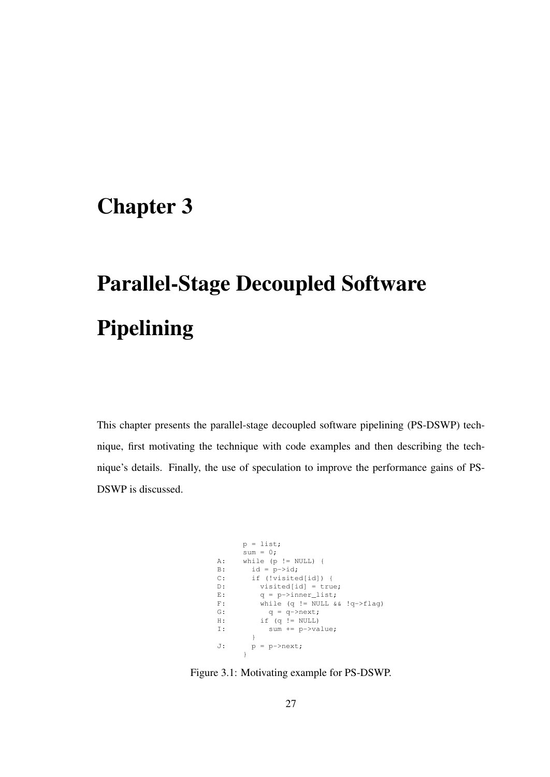# Chapter 3

# Parallel-Stage Decoupled Software Pipelining

This chapter presents the parallel-stage decoupled software pipelining (PS-DSWP) technique, first motivating the technique with code examples and then describing the technique's details. Finally, the use of speculation to improve the performance gains of PS-DSWP is discussed.

```
p = 1ist;
     sum = 0;A: while (p != NULL) {
B: id = p->id;
C: if (!visited[id]) {
D: visited[id] = true;
E: q = p \rightarrow inner\_list;F: while (q != NULL && !q->flag)
G: q = q \rightarrow next;H: if (q := NULL)I: sum += p->value;
       }
J: p = p \rightarrow new;}
```
Figure 3.1: Motivating example for PS-DSWP.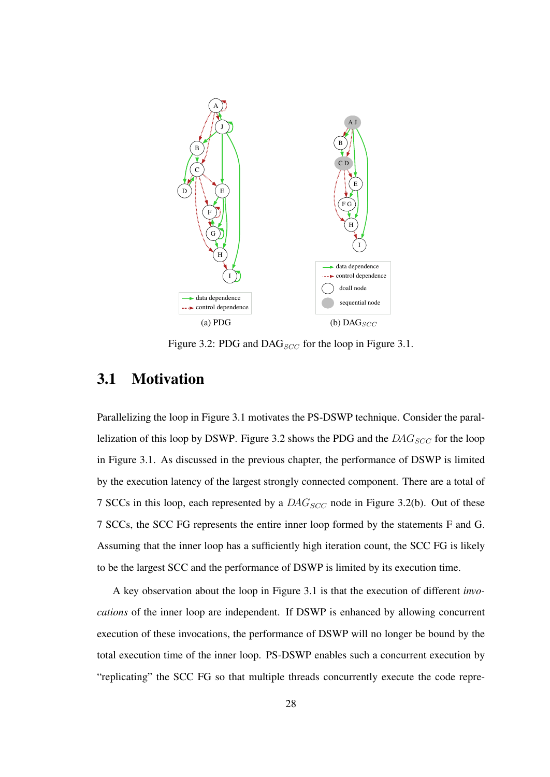

Figure 3.2: PDG and DAG $_{SCC}$  for the loop in Figure 3.1.

### 3.1 Motivation

Parallelizing the loop in Figure 3.1 motivates the PS-DSWP technique. Consider the parallelization of this loop by DSWP. Figure 3.2 shows the PDG and the  $DAG_{SCC}$  for the loop in Figure 3.1. As discussed in the previous chapter, the performance of DSWP is limited by the execution latency of the largest strongly connected component. There are a total of 7 SCCs in this loop, each represented by a  $DAG_{SCC}$  node in Figure 3.2(b). Out of these 7 SCCs, the SCC FG represents the entire inner loop formed by the statements F and G. Assuming that the inner loop has a sufficiently high iteration count, the SCC FG is likely to be the largest SCC and the performance of DSWP is limited by its execution time.

A key observation about the loop in Figure 3.1 is that the execution of different *invocations* of the inner loop are independent. If DSWP is enhanced by allowing concurrent execution of these invocations, the performance of DSWP will no longer be bound by the total execution time of the inner loop. PS-DSWP enables such a concurrent execution by "replicating" the SCC FG so that multiple threads concurrently execute the code repre-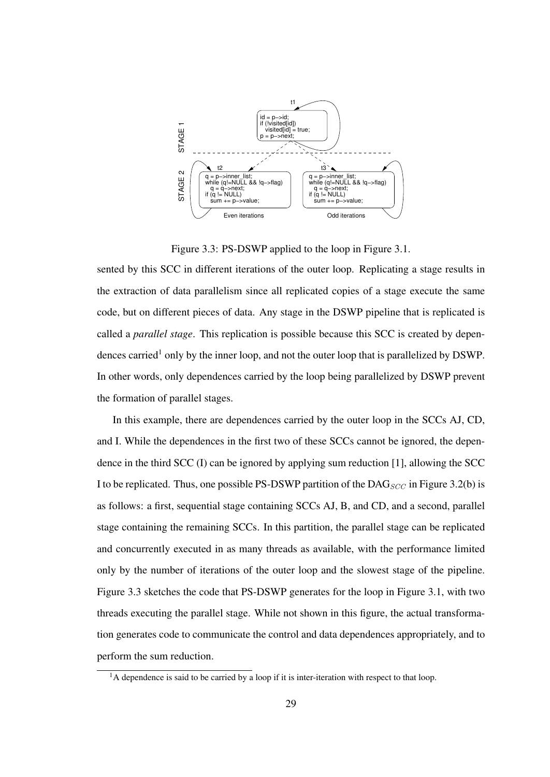

Figure 3.3: PS-DSWP applied to the loop in Figure 3.1.

sented by this SCC in different iterations of the outer loop. Replicating a stage results in the extraction of data parallelism since all replicated copies of a stage execute the same code, but on different pieces of data. Any stage in the DSWP pipeline that is replicated is called a *parallel stage*. This replication is possible because this SCC is created by dependences carried<sup>1</sup> only by the inner loop, and not the outer loop that is parallelized by DSWP. In other words, only dependences carried by the loop being parallelized by DSWP prevent the formation of parallel stages.

In this example, there are dependences carried by the outer loop in the SCCs AJ, CD, and I. While the dependences in the first two of these SCCs cannot be ignored, the dependence in the third SCC (I) can be ignored by applying sum reduction [1], allowing the SCC I to be replicated. Thus, one possible PS-DSWP partition of the  $DAG_{SCC}$  in Figure 3.2(b) is as follows: a first, sequential stage containing SCCs AJ, B, and CD, and a second, parallel stage containing the remaining SCCs. In this partition, the parallel stage can be replicated and concurrently executed in as many threads as available, with the performance limited only by the number of iterations of the outer loop and the slowest stage of the pipeline. Figure 3.3 sketches the code that PS-DSWP generates for the loop in Figure 3.1, with two threads executing the parallel stage. While not shown in this figure, the actual transformation generates code to communicate the control and data dependences appropriately, and to perform the sum reduction.

 $<sup>1</sup>A$  dependence is said to be carried by a loop if it is inter-iteration with respect to that loop.</sup>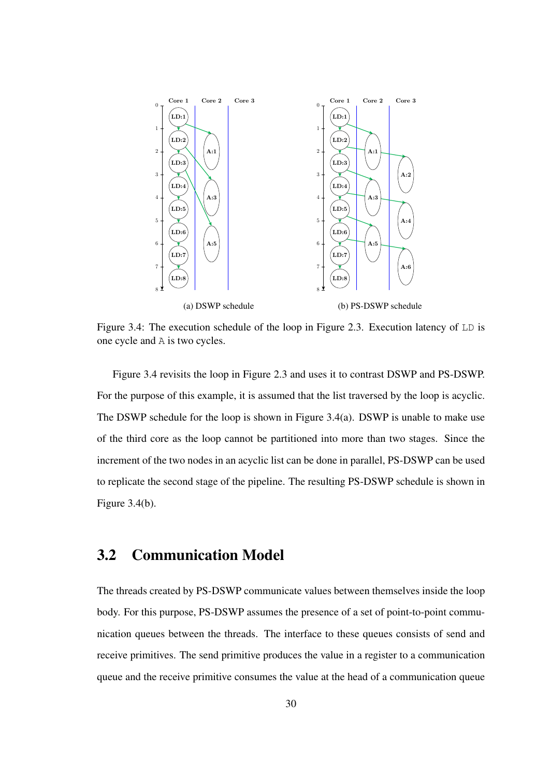

Figure 3.4: The execution schedule of the loop in Figure 2.3. Execution latency of LD is one cycle and A is two cycles.

Figure 3.4 revisits the loop in Figure 2.3 and uses it to contrast DSWP and PS-DSWP. For the purpose of this example, it is assumed that the list traversed by the loop is acyclic. The DSWP schedule for the loop is shown in Figure 3.4(a). DSWP is unable to make use of the third core as the loop cannot be partitioned into more than two stages. Since the increment of the two nodes in an acyclic list can be done in parallel, PS-DSWP can be used to replicate the second stage of the pipeline. The resulting PS-DSWP schedule is shown in Figure 3.4(b).

### 3.2 Communication Model

The threads created by PS-DSWP communicate values between themselves inside the loop body. For this purpose, PS-DSWP assumes the presence of a set of point-to-point communication queues between the threads. The interface to these queues consists of send and receive primitives. The send primitive produces the value in a register to a communication queue and the receive primitive consumes the value at the head of a communication queue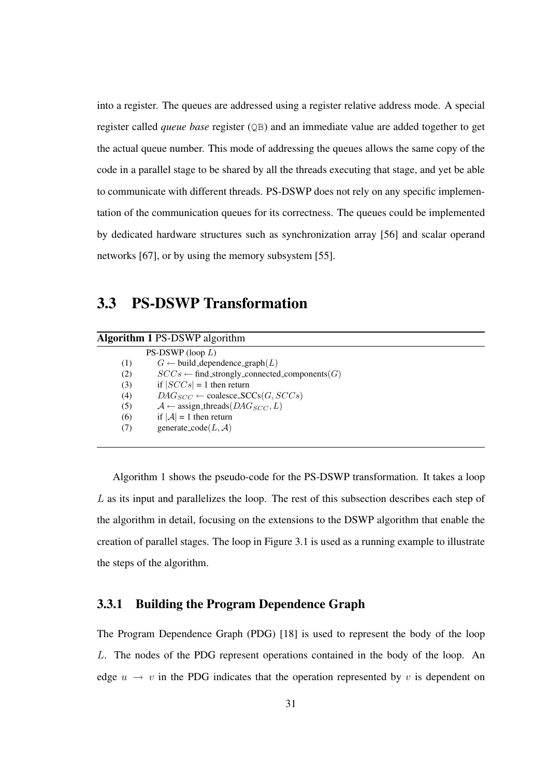into a register. The queues are addressed using a register relative address mode. A special register called *queue base* register (QB) and an immediate value are added together to get the actual queue number. This mode of addressing the queues allows the same copy of the code in a parallel stage to be shared by all the threads executing that stage, and yet be able to communicate with different threads. PS-DSWP does not rely on any specific implementation of the communication queues for its correctness. The queues could be implemented by dedicated hardware structures such as synchronization array [56] and scalar operand networks [67], or by using the memory subsystem [55].

### 3.3 PS-DSWP Transformation

| <b>Algorithm 1 PS-DSWP</b> algorithm                             |  |
|------------------------------------------------------------------|--|
| PS-DSWP (loop $L$ )                                              |  |
| $G \leftarrow$ build_dependence_graph $(L)$<br>(1)               |  |
| $SCCs \leftarrow$ find_strongly_connected_components(G)<br>(2)   |  |
| if $ SCCs  = 1$ then return<br>(3)                               |  |
| $DAG_{SCC} \leftarrow \text{coalesce\_SCCs}(G,SCCs)$<br>(4)      |  |
| $\mathcal{A} \leftarrow$ assign_threads( $DAG_{SCC}, L$ )<br>(5) |  |
| if $ A  = 1$ then return<br>(6)                                  |  |
| generate_code $(L, A)$<br>(7)                                    |  |
|                                                                  |  |

Algorithm 1 shows the pseudo-code for the PS-DSWP transformation. It takes a loop L as its input and parallelizes the loop. The rest of this subsection describes each step of the algorithm in detail, focusing on the extensions to the DSWP algorithm that enable the creation of parallel stages. The loop in Figure 3.1 is used as a running example to illustrate the steps of the algorithm.

#### 3.3.1 Building the Program Dependence Graph

The Program Dependence Graph (PDG) [18] is used to represent the body of the loop L. The nodes of the PDG represent operations contained in the body of the loop. An edge  $u \rightarrow v$  in the PDG indicates that the operation represented by v is dependent on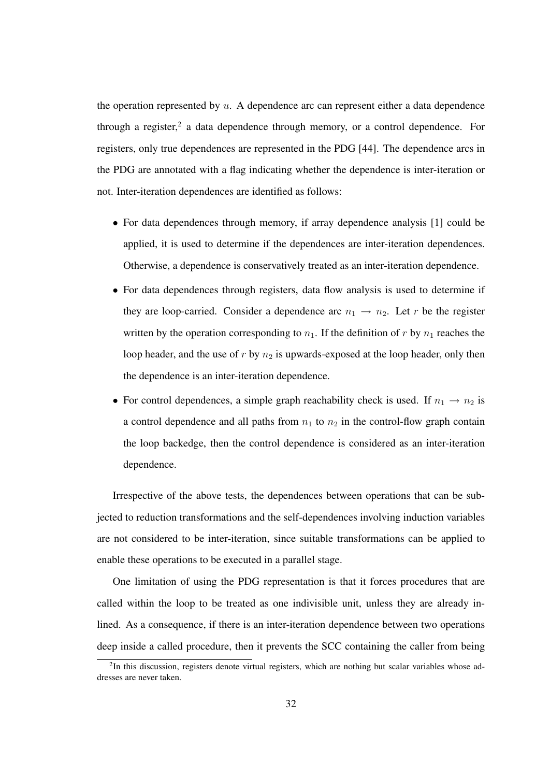the operation represented by  $u$ . A dependence arc can represent either a data dependence through a register,<sup>2</sup> a data dependence through memory, or a control dependence. For registers, only true dependences are represented in the PDG [44]. The dependence arcs in the PDG are annotated with a flag indicating whether the dependence is inter-iteration or not. Inter-iteration dependences are identified as follows:

- For data dependences through memory, if array dependence analysis [1] could be applied, it is used to determine if the dependences are inter-iteration dependences. Otherwise, a dependence is conservatively treated as an inter-iteration dependence.
- For data dependences through registers, data flow analysis is used to determine if they are loop-carried. Consider a dependence arc  $n_1 \rightarrow n_2$ . Let r be the register written by the operation corresponding to  $n_1$ . If the definition of r by  $n_1$  reaches the loop header, and the use of  $r$  by  $n_2$  is upwards-exposed at the loop header, only then the dependence is an inter-iteration dependence.
- For control dependences, a simple graph reachability check is used. If  $n_1 \rightarrow n_2$  is a control dependence and all paths from  $n_1$  to  $n_2$  in the control-flow graph contain the loop backedge, then the control dependence is considered as an inter-iteration dependence.

Irrespective of the above tests, the dependences between operations that can be subjected to reduction transformations and the self-dependences involving induction variables are not considered to be inter-iteration, since suitable transformations can be applied to enable these operations to be executed in a parallel stage.

One limitation of using the PDG representation is that it forces procedures that are called within the loop to be treated as one indivisible unit, unless they are already inlined. As a consequence, if there is an inter-iteration dependence between two operations deep inside a called procedure, then it prevents the SCC containing the caller from being

 $2$ In this discussion, registers denote virtual registers, which are nothing but scalar variables whose addresses are never taken.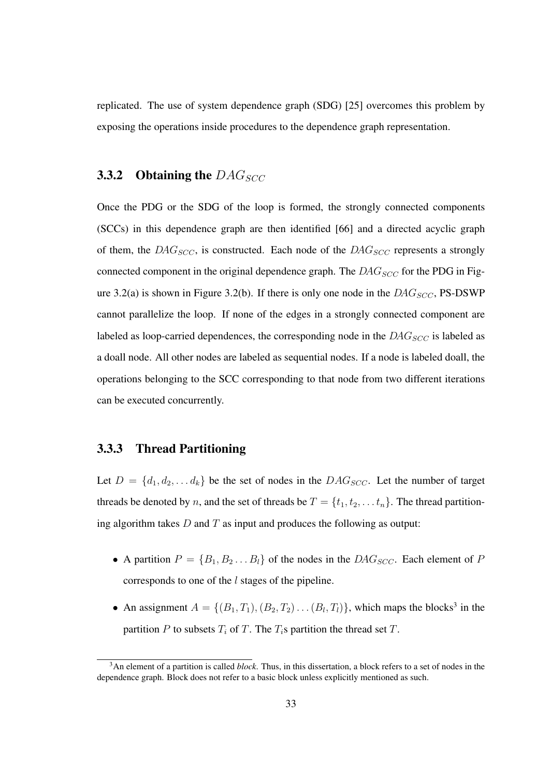replicated. The use of system dependence graph (SDG) [25] overcomes this problem by exposing the operations inside procedures to the dependence graph representation.

#### 3.3.2 Obtaining the  $DAG_{SCC}$

Once the PDG or the SDG of the loop is formed, the strongly connected components (SCCs) in this dependence graph are then identified [66] and a directed acyclic graph of them, the  $DAG_{SCC}$ , is constructed. Each node of the  $DAG_{SCC}$  represents a strongly connected component in the original dependence graph. The  $DAG_{SCC}$  for the PDG in Figure 3.2(a) is shown in Figure 3.2(b). If there is only one node in the  $DAG_{SCC}$ , PS-DSWP cannot parallelize the loop. If none of the edges in a strongly connected component are labeled as loop-carried dependences, the corresponding node in the  $DAG_{SCC}$  is labeled as a doall node. All other nodes are labeled as sequential nodes. If a node is labeled doall, the operations belonging to the SCC corresponding to that node from two different iterations can be executed concurrently.

#### 3.3.3 Thread Partitioning

Let  $D = \{d_1, d_2, \ldots d_k\}$  be the set of nodes in the  $DAG_{SCC}$ . Let the number of target threads be denoted by n, and the set of threads be  $T = \{t_1, t_2, \ldots t_n\}$ . The thread partitioning algorithm takes  $D$  and  $T$  as input and produces the following as output:

- A partition  $P = \{B_1, B_2 \dots B_l\}$  of the nodes in the DAG<sub>SCC</sub>. Each element of P corresponds to one of the l stages of the pipeline.
- An assignment  $A = \{(B_1, T_1), (B_2, T_2) \dots (B_l, T_l)\}\$ , which maps the blocks<sup>3</sup> in the partition  $P$  to subsets  $T_i$  of  $T$ . The  $T_i$ s partition the thread set  $T$ .

<sup>3</sup>An element of a partition is called *block*. Thus, in this dissertation, a block refers to a set of nodes in the dependence graph. Block does not refer to a basic block unless explicitly mentioned as such.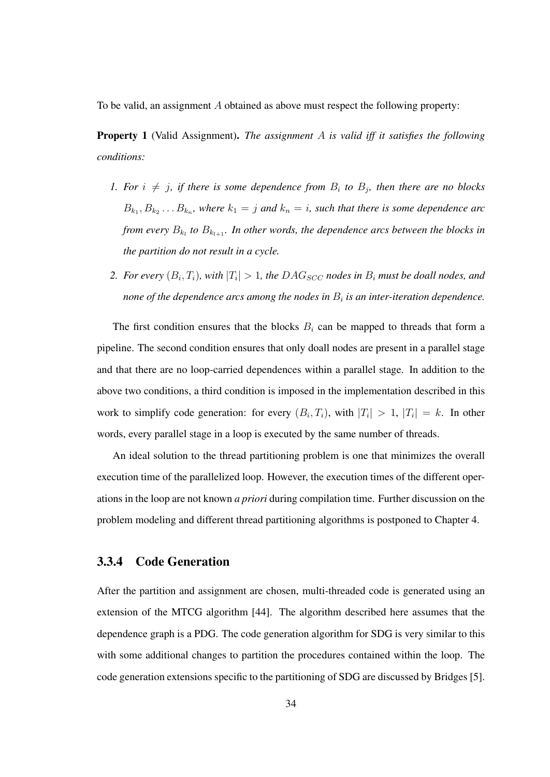To be valid, an assignment A obtained as above must respect the following property:

Property 1 (Valid Assignment). *The assignment* A *is valid iff it satisfies the following conditions:*

- *1.* For  $i \neq j$ , if there is some dependence from  $B_i$  to  $B_j$ , then there are no blocks  $B_{k_1}, B_{k_2} \ldots B_{k_n}$ , where  $k_1 = j$  and  $k_n = i$ , such that there is some dependence arc *from every*  $B_{k_l}$  *to*  $B_{k_{l+1}}$ *. In other words, the dependence arcs between the blocks in the partition do not result in a cycle.*
- 2. *For every*  $(B_i, T_i)$ *, with*  $|T_i| > 1$ *, the DAG<sub>SCC</sub> nodes in*  $B_i$  *must be doall nodes, and none of the dependence arcs among the nodes in* B<sup>i</sup> *is an inter-iteration dependence.*

The first condition ensures that the blocks  $B_i$  can be mapped to threads that form a pipeline. The second condition ensures that only doall nodes are present in a parallel stage and that there are no loop-carried dependences within a parallel stage. In addition to the above two conditions, a third condition is imposed in the implementation described in this work to simplify code generation: for every  $(B_i, T_i)$ , with  $|T_i| > 1$ ,  $|T_i| = k$ . In other words, every parallel stage in a loop is executed by the same number of threads.

An ideal solution to the thread partitioning problem is one that minimizes the overall execution time of the parallelized loop. However, the execution times of the different operations in the loop are not known *a priori* during compilation time. Further discussion on the problem modeling and different thread partitioning algorithms is postponed to Chapter 4.

#### 3.3.4 Code Generation

After the partition and assignment are chosen, multi-threaded code is generated using an extension of the MTCG algorithm [44]. The algorithm described here assumes that the dependence graph is a PDG. The code generation algorithm for SDG is very similar to this with some additional changes to partition the procedures contained within the loop. The code generation extensions specific to the partitioning of SDG are discussed by Bridges [5].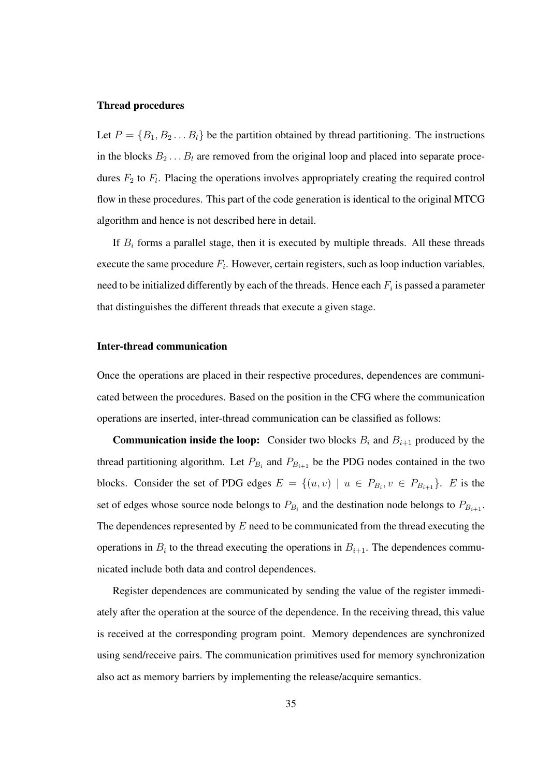#### Thread procedures

Let  $P = \{B_1, B_2 \dots B_l\}$  be the partition obtained by thread partitioning. The instructions in the blocks  $B_2 \ldots B_l$  are removed from the original loop and placed into separate procedures  $F_2$  to  $F_1$ . Placing the operations involves appropriately creating the required control flow in these procedures. This part of the code generation is identical to the original MTCG algorithm and hence is not described here in detail.

If  $B_i$  forms a parallel stage, then it is executed by multiple threads. All these threads execute the same procedure  $F_i$ . However, certain registers, such as loop induction variables, need to be initialized differently by each of the threads. Hence each  $F_i$  is passed a parameter that distinguishes the different threads that execute a given stage.

#### Inter-thread communication

Once the operations are placed in their respective procedures, dependences are communicated between the procedures. Based on the position in the CFG where the communication operations are inserted, inter-thread communication can be classified as follows:

**Communication inside the loop:** Consider two blocks  $B_i$  and  $B_{i+1}$  produced by the thread partitioning algorithm. Let  $P_{B_i}$  and  $P_{B_{i+1}}$  be the PDG nodes contained in the two blocks. Consider the set of PDG edges  $E = \{(u, v) \mid u \in P_{B_i}, v \in P_{B_{i+1}}\}.$  E is the set of edges whose source node belongs to  $P_{B_i}$  and the destination node belongs to  $P_{B_{i+1}}$ . The dependences represented by  $E$  need to be communicated from the thread executing the operations in  $B_i$  to the thread executing the operations in  $B_{i+1}$ . The dependences communicated include both data and control dependences.

Register dependences are communicated by sending the value of the register immediately after the operation at the source of the dependence. In the receiving thread, this value is received at the corresponding program point. Memory dependences are synchronized using send/receive pairs. The communication primitives used for memory synchronization also act as memory barriers by implementing the release/acquire semantics.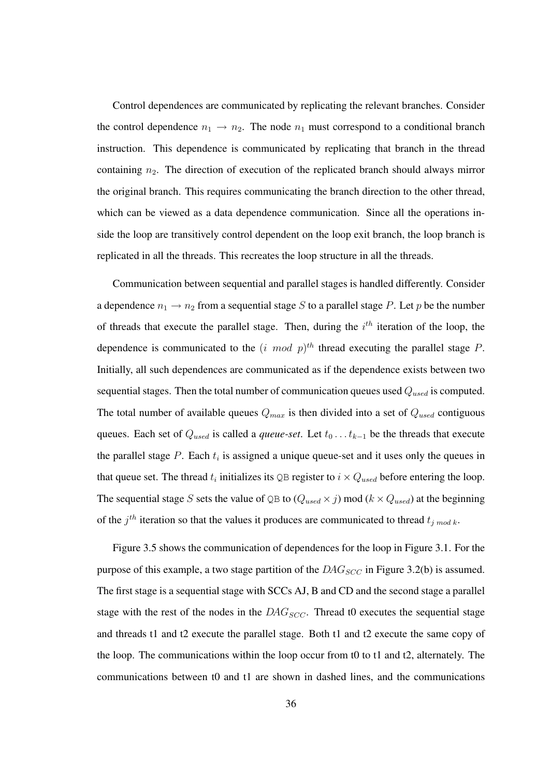Control dependences are communicated by replicating the relevant branches. Consider the control dependence  $n_1 \rightarrow n_2$ . The node  $n_1$  must correspond to a conditional branch instruction. This dependence is communicated by replicating that branch in the thread containing  $n_2$ . The direction of execution of the replicated branch should always mirror the original branch. This requires communicating the branch direction to the other thread, which can be viewed as a data dependence communication. Since all the operations inside the loop are transitively control dependent on the loop exit branch, the loop branch is replicated in all the threads. This recreates the loop structure in all the threads.

Communication between sequential and parallel stages is handled differently. Consider a dependence  $n_1 \rightarrow n_2$  from a sequential stage S to a parallel stage P. Let p be the number of threads that execute the parallel stage. Then, during the  $i<sup>th</sup>$  iteration of the loop, the dependence is communicated to the  $(i \mod p)^{th}$  thread executing the parallel stage P. Initially, all such dependences are communicated as if the dependence exists between two sequential stages. Then the total number of communication queues used  $Q_{used}$  is computed. The total number of available queues  $Q_{max}$  is then divided into a set of  $Q_{used}$  contiguous queues. Each set of  $Q_{used}$  is called a *queue-set*. Let  $t_0 \ldots t_{k-1}$  be the threads that execute the parallel stage P. Each  $t_i$  is assigned a unique queue-set and it uses only the queues in that queue set. The thread  $t_i$  initializes its QB register to  $i \times Q_{used}$  before entering the loop. The sequential stage S sets the value of QB to  $(Q_{used} \times j)$  mod  $(k \times Q_{used})$  at the beginning of the  $j^{th}$  iteration so that the values it produces are communicated to thread  $t_{j \mod k}$ .

Figure 3.5 shows the communication of dependences for the loop in Figure 3.1. For the purpose of this example, a two stage partition of the  $DAG_{SCC}$  in Figure 3.2(b) is assumed. The first stage is a sequential stage with SCCs AJ, B and CD and the second stage a parallel stage with the rest of the nodes in the  $DAG_{SCC}$ . Thread t0 executes the sequential stage and threads t1 and t2 execute the parallel stage. Both t1 and t2 execute the same copy of the loop. The communications within the loop occur from t0 to t1 and t2, alternately. The communications between t0 and t1 are shown in dashed lines, and the communications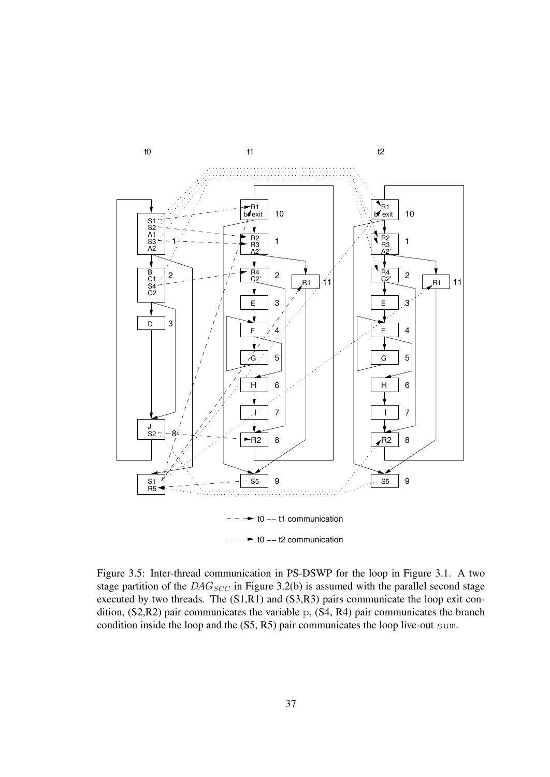

Figure 3.5: Inter-thread communication in PS-DSWP for the loop in Figure 3.1. A two stage partition of the  $DAG_{SCC}$  in Figure 3.2(b) is assumed with the parallel second stage executed by two threads. The (S1,R1) and (S3,R3) pairs communicate the loop exit condition, (S2,R2) pair communicates the variable p, (S4, R4) pair communicates the branch condition inside the loop and the (S5, R5) pair communicates the loop live-out sum.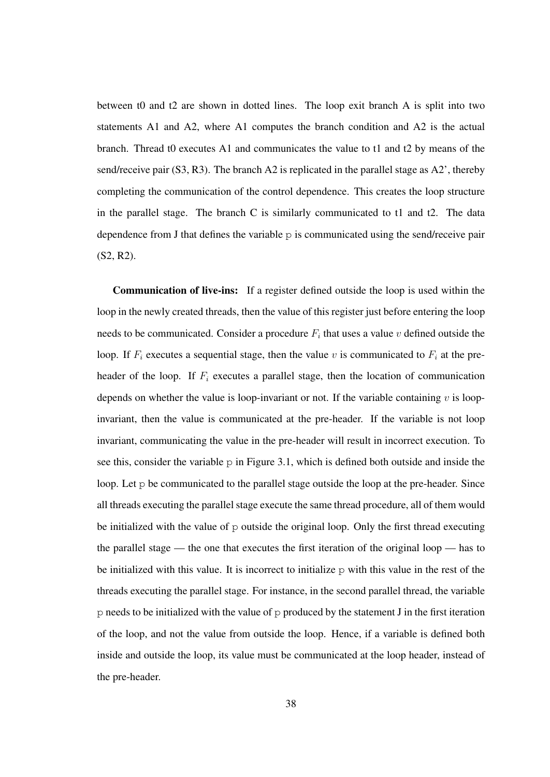between t0 and t2 are shown in dotted lines. The loop exit branch A is split into two statements A1 and A2, where A1 computes the branch condition and A2 is the actual branch. Thread t0 executes A1 and communicates the value to t1 and t2 by means of the send/receive pair  $(S3, R3)$ . The branch A2 is replicated in the parallel stage as A2', thereby completing the communication of the control dependence. This creates the loop structure in the parallel stage. The branch C is similarly communicated to t1 and t2. The data dependence from J that defines the variable  $p$  is communicated using the send/receive pair (S2, R2).

Communication of live-ins: If a register defined outside the loop is used within the loop in the newly created threads, then the value of this register just before entering the loop needs to be communicated. Consider a procedure  $F_i$  that uses a value v defined outside the loop. If  $F_i$  executes a sequential stage, then the value v is communicated to  $F_i$  at the preheader of the loop. If  $F_i$  executes a parallel stage, then the location of communication depends on whether the value is loop-invariant or not. If the variable containing  $v$  is loopinvariant, then the value is communicated at the pre-header. If the variable is not loop invariant, communicating the value in the pre-header will result in incorrect execution. To see this, consider the variable  $p$  in Figure 3.1, which is defined both outside and inside the loop. Let p be communicated to the parallel stage outside the loop at the pre-header. Since all threads executing the parallel stage execute the same thread procedure, all of them would be initialized with the value of p outside the original loop. Only the first thread executing the parallel stage — the one that executes the first iteration of the original loop — has to be initialized with this value. It is incorrect to initialize  $p$  with this value in the rest of the threads executing the parallel stage. For instance, in the second parallel thread, the variable  $p$  needs to be initialized with the value of  $p$  produced by the statement J in the first iteration of the loop, and not the value from outside the loop. Hence, if a variable is defined both inside and outside the loop, its value must be communicated at the loop header, instead of the pre-header.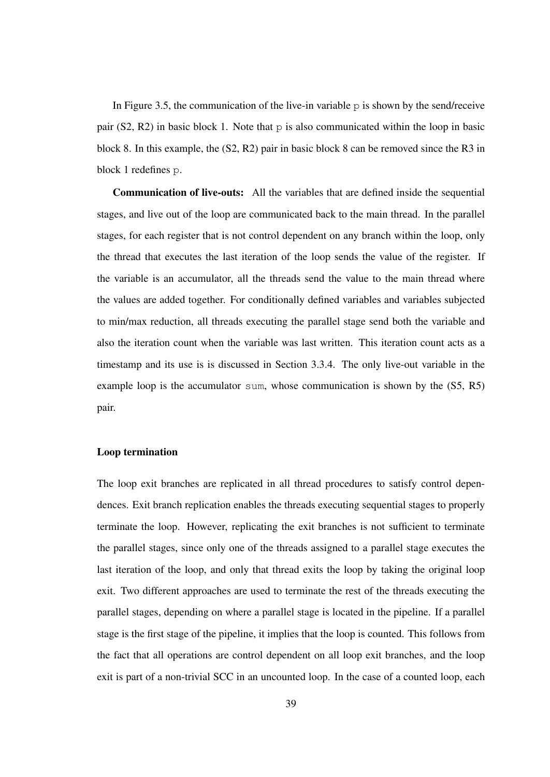In Figure 3.5, the communication of the live-in variable  $\infty$  is shown by the send/receive pair (S2, R2) in basic block 1. Note that  $p$  is also communicated within the loop in basic block 8. In this example, the (S2, R2) pair in basic block 8 can be removed since the R3 in block 1 redefines p.

Communication of live-outs: All the variables that are defined inside the sequential stages, and live out of the loop are communicated back to the main thread. In the parallel stages, for each register that is not control dependent on any branch within the loop, only the thread that executes the last iteration of the loop sends the value of the register. If the variable is an accumulator, all the threads send the value to the main thread where the values are added together. For conditionally defined variables and variables subjected to min/max reduction, all threads executing the parallel stage send both the variable and also the iteration count when the variable was last written. This iteration count acts as a timestamp and its use is is discussed in Section 3.3.4. The only live-out variable in the example loop is the accumulator sum, whose communication is shown by the (S5, R5) pair.

#### Loop termination

The loop exit branches are replicated in all thread procedures to satisfy control dependences. Exit branch replication enables the threads executing sequential stages to properly terminate the loop. However, replicating the exit branches is not sufficient to terminate the parallel stages, since only one of the threads assigned to a parallel stage executes the last iteration of the loop, and only that thread exits the loop by taking the original loop exit. Two different approaches are used to terminate the rest of the threads executing the parallel stages, depending on where a parallel stage is located in the pipeline. If a parallel stage is the first stage of the pipeline, it implies that the loop is counted. This follows from the fact that all operations are control dependent on all loop exit branches, and the loop exit is part of a non-trivial SCC in an uncounted loop. In the case of a counted loop, each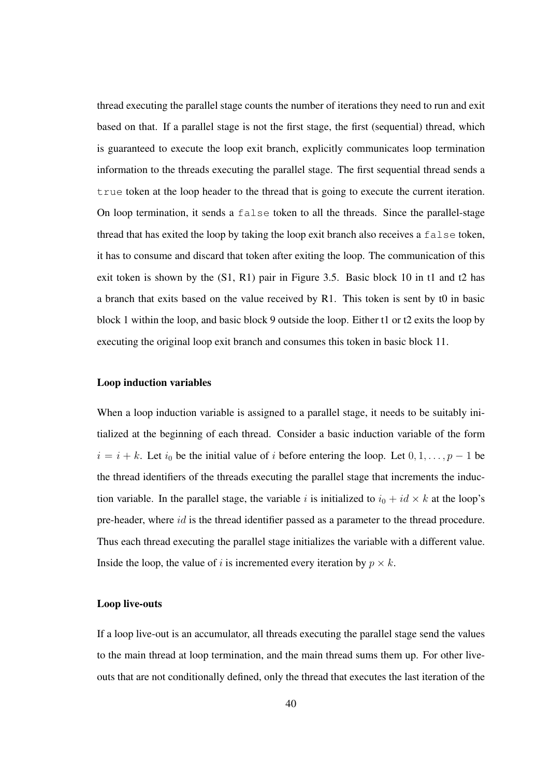thread executing the parallel stage counts the number of iterations they need to run and exit based on that. If a parallel stage is not the first stage, the first (sequential) thread, which is guaranteed to execute the loop exit branch, explicitly communicates loop termination information to the threads executing the parallel stage. The first sequential thread sends a true token at the loop header to the thread that is going to execute the current iteration. On loop termination, it sends a false token to all the threads. Since the parallel-stage thread that has exited the loop by taking the loop exit branch also receives a false token, it has to consume and discard that token after exiting the loop. The communication of this exit token is shown by the (S1, R1) pair in Figure 3.5. Basic block 10 in t1 and t2 has a branch that exits based on the value received by R1. This token is sent by t0 in basic block 1 within the loop, and basic block 9 outside the loop. Either t1 or t2 exits the loop by executing the original loop exit branch and consumes this token in basic block 11.

#### Loop induction variables

When a loop induction variable is assigned to a parallel stage, it needs to be suitably initialized at the beginning of each thread. Consider a basic induction variable of the form  $i = i + k$ . Let  $i_0$  be the initial value of i before entering the loop. Let  $0, 1, \ldots, p - 1$  be the thread identifiers of the threads executing the parallel stage that increments the induction variable. In the parallel stage, the variable i is initialized to  $i_0 + id \times k$  at the loop's pre-header, where id is the thread identifier passed as a parameter to the thread procedure. Thus each thread executing the parallel stage initializes the variable with a different value. Inside the loop, the value of i is incremented every iteration by  $p \times k$ .

#### Loop live-outs

If a loop live-out is an accumulator, all threads executing the parallel stage send the values to the main thread at loop termination, and the main thread sums them up. For other liveouts that are not conditionally defined, only the thread that executes the last iteration of the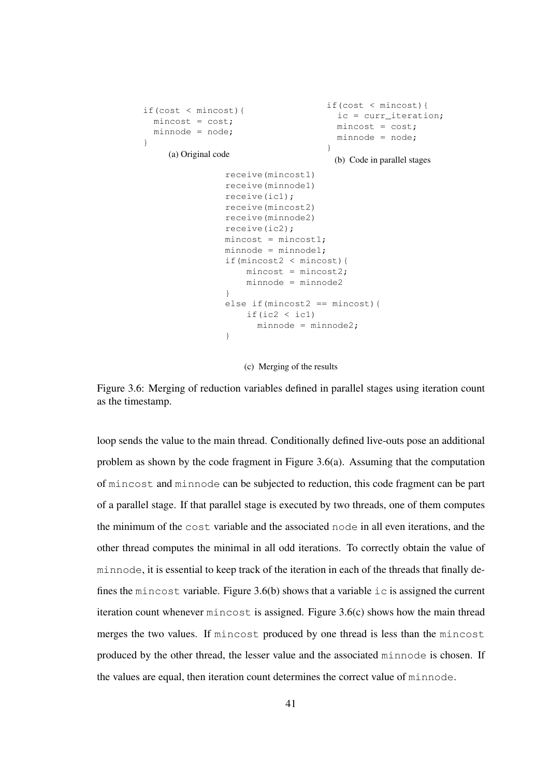```
if(cost < mincost){
 mincost = cost;minnode = node;
}
    (a) Original code
                                   if(cost < mincost){
                                    ic = curr_iteration;
                                     mincost = cost;
                                     minnode = node;
                                   }
                                     (b) Code in parallel stages
                receive(mincost1)
                receive(minnode1)
                receive(ic1);
                receive(mincost2)
               receive(minnode2)
                receive(ic2);
                mincost = mincost1;minnode = minnode1;if(mincost2 < mincost){
                    mincost = mincost2;minnode = minnode2
                }
                else if(mincost2 == mincost){
                   if(ic2 \langle ic1)
                     minnode = minnode2;}
```
(c) Merging of the results

Figure 3.6: Merging of reduction variables defined in parallel stages using iteration count as the timestamp.

loop sends the value to the main thread. Conditionally defined live-outs pose an additional problem as shown by the code fragment in Figure 3.6(a). Assuming that the computation of mincost and minnode can be subjected to reduction, this code fragment can be part of a parallel stage. If that parallel stage is executed by two threads, one of them computes the minimum of the cost variable and the associated node in all even iterations, and the other thread computes the minimal in all odd iterations. To correctly obtain the value of minnode, it is essential to keep track of the iteration in each of the threads that finally defines the mincost variable. Figure  $3.6(b)$  shows that a variable ic is assigned the current iteration count whenever mincost is assigned. Figure 3.6(c) shows how the main thread merges the two values. If mincost produced by one thread is less than the mincost produced by the other thread, the lesser value and the associated minnode is chosen. If the values are equal, then iteration count determines the correct value of minnode.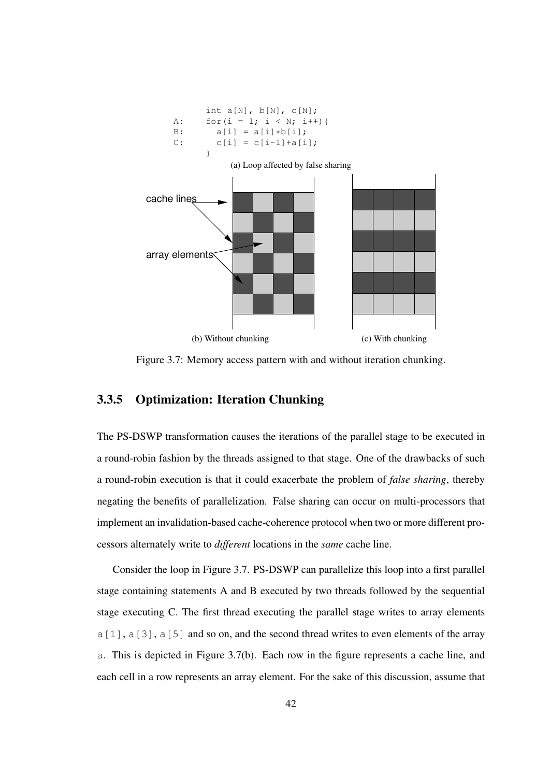

Figure 3.7: Memory access pattern with and without iteration chunking.

### 3.3.5 Optimization: Iteration Chunking

The PS-DSWP transformation causes the iterations of the parallel stage to be executed in a round-robin fashion by the threads assigned to that stage. One of the drawbacks of such a round-robin execution is that it could exacerbate the problem of *false sharing*, thereby negating the benefits of parallelization. False sharing can occur on multi-processors that implement an invalidation-based cache-coherence protocol when two or more different processors alternately write to *different* locations in the *same* cache line.

Consider the loop in Figure 3.7. PS-DSWP can parallelize this loop into a first parallel stage containing statements A and B executed by two threads followed by the sequential stage executing C. The first thread executing the parallel stage writes to array elements a[1], a[3], a[5] and so on, and the second thread writes to even elements of the array a. This is depicted in Figure 3.7(b). Each row in the figure represents a cache line, and each cell in a row represents an array element. For the sake of this discussion, assume that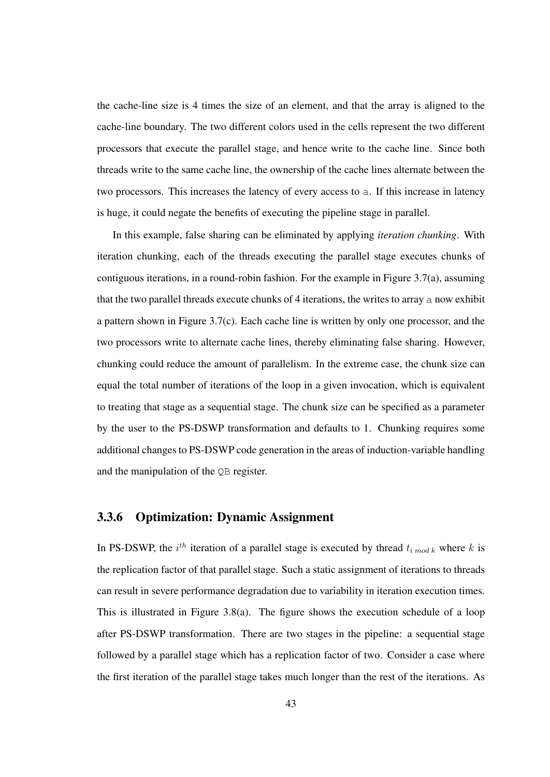the cache-line size is 4 times the size of an element, and that the array is aligned to the cache-line boundary. The two different colors used in the cells represent the two different processors that execute the parallel stage, and hence write to the cache line. Since both threads write to the same cache line, the ownership of the cache lines alternate between the two processors. This increases the latency of every access to a. If this increase in latency is huge, it could negate the benefits of executing the pipeline stage in parallel.

In this example, false sharing can be eliminated by applying *iteration chunking*. With iteration chunking, each of the threads executing the parallel stage executes chunks of contiguous iterations, in a round-robin fashion. For the example in Figure 3.7(a), assuming that the two parallel threads execute chunks of 4 iterations, the writes to array a now exhibit a pattern shown in Figure 3.7(c). Each cache line is written by only one processor, and the two processors write to alternate cache lines, thereby eliminating false sharing. However, chunking could reduce the amount of parallelism. In the extreme case, the chunk size can equal the total number of iterations of the loop in a given invocation, which is equivalent to treating that stage as a sequential stage. The chunk size can be specified as a parameter by the user to the PS-DSWP transformation and defaults to 1. Chunking requires some additional changes to PS-DSWP code generation in the areas of induction-variable handling and the manipulation of the QB register.

#### 3.3.6 Optimization: Dynamic Assignment

In PS-DSWP, the  $i^{th}$  iteration of a parallel stage is executed by thread  $t_{i \text{ mod } k}$  where k is the replication factor of that parallel stage. Such a static assignment of iterations to threads can result in severe performance degradation due to variability in iteration execution times. This is illustrated in Figure 3.8(a). The figure shows the execution schedule of a loop after PS-DSWP transformation. There are two stages in the pipeline: a sequential stage followed by a parallel stage which has a replication factor of two. Consider a case where the first iteration of the parallel stage takes much longer than the rest of the iterations. As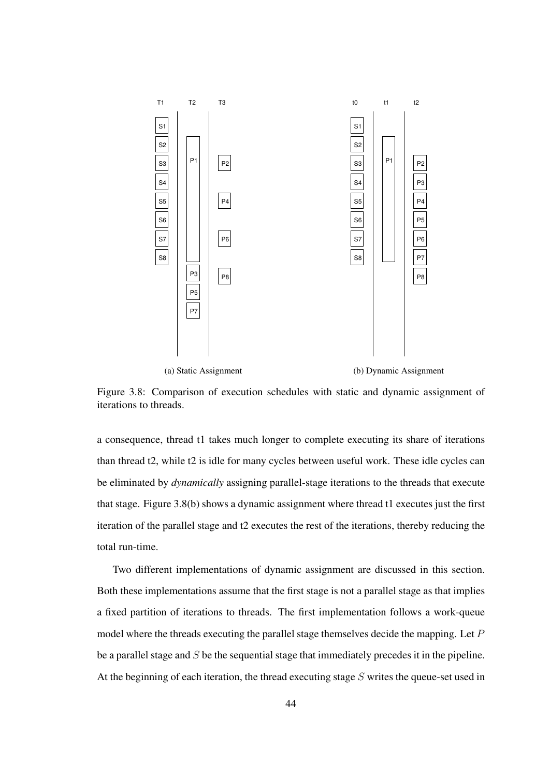

(a) Static Assignment

(b) Dynamic Assignment

Figure 3.8: Comparison of execution schedules with static and dynamic assignment of iterations to threads.

a consequence, thread t1 takes much longer to complete executing its share of iterations than thread t2, while t2 is idle for many cycles between useful work. These idle cycles can be eliminated by *dynamically* assigning parallel-stage iterations to the threads that execute that stage. Figure 3.8(b) shows a dynamic assignment where thread t1 executes just the first iteration of the parallel stage and t2 executes the rest of the iterations, thereby reducing the total run-time.

Two different implementations of dynamic assignment are discussed in this section. Both these implementations assume that the first stage is not a parallel stage as that implies a fixed partition of iterations to threads. The first implementation follows a work-queue model where the threads executing the parallel stage themselves decide the mapping. Let P be a parallel stage and  $S$  be the sequential stage that immediately precedes it in the pipeline. At the beginning of each iteration, the thread executing stage  $S$  writes the queue-set used in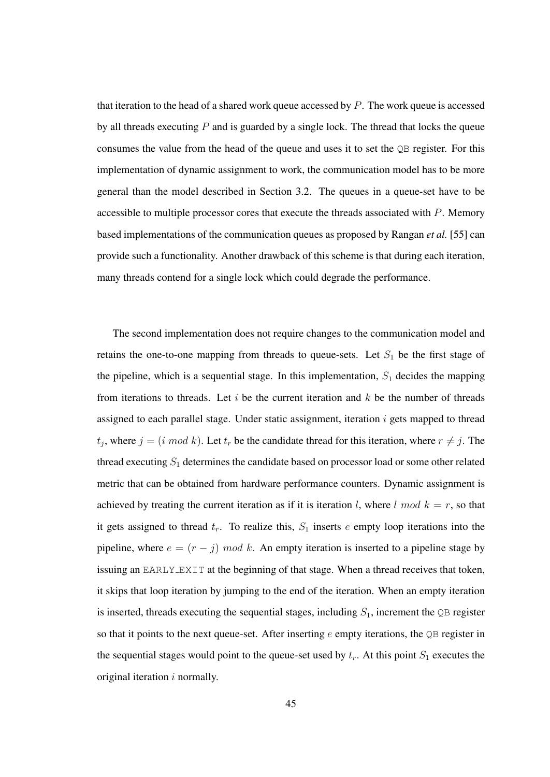that iteration to the head of a shared work queue accessed by  $P$ . The work queue is accessed by all threads executing  $P$  and is guarded by a single lock. The thread that locks the queue consumes the value from the head of the queue and uses it to set the QB register. For this implementation of dynamic assignment to work, the communication model has to be more general than the model described in Section 3.2. The queues in a queue-set have to be accessible to multiple processor cores that execute the threads associated with P. Memory based implementations of the communication queues as proposed by Rangan *et al.* [55] can provide such a functionality. Another drawback of this scheme is that during each iteration, many threads contend for a single lock which could degrade the performance.

The second implementation does not require changes to the communication model and retains the one-to-one mapping from threads to queue-sets. Let  $S_1$  be the first stage of the pipeline, which is a sequential stage. In this implementation,  $S_1$  decides the mapping from iterations to threads. Let i be the current iteration and  $k$  be the number of threads assigned to each parallel stage. Under static assignment, iteration  $i$  gets mapped to thread  $t_j$ , where  $j = (i \mod k)$ . Let  $t_r$  be the candidate thread for this iteration, where  $r \neq j$ . The thread executing  $S_1$  determines the candidate based on processor load or some other related metric that can be obtained from hardware performance counters. Dynamic assignment is achieved by treating the current iteration as if it is iteration l, where  $l \mod k = r$ , so that it gets assigned to thread  $t_r$ . To realize this,  $S_1$  inserts e empty loop iterations into the pipeline, where  $e = (r - j) \mod k$ . An empty iteration is inserted to a pipeline stage by issuing an EARLY EXIT at the beginning of that stage. When a thread receives that token, it skips that loop iteration by jumping to the end of the iteration. When an empty iteration is inserted, threads executing the sequential stages, including  $S_1$ , increment the  $\mathbb Q$ B register so that it points to the next queue-set. After inserting  $e$  empty iterations, the QB register in the sequential stages would point to the queue-set used by  $t_r$ . At this point  $S_1$  executes the original iteration  $i$  normally.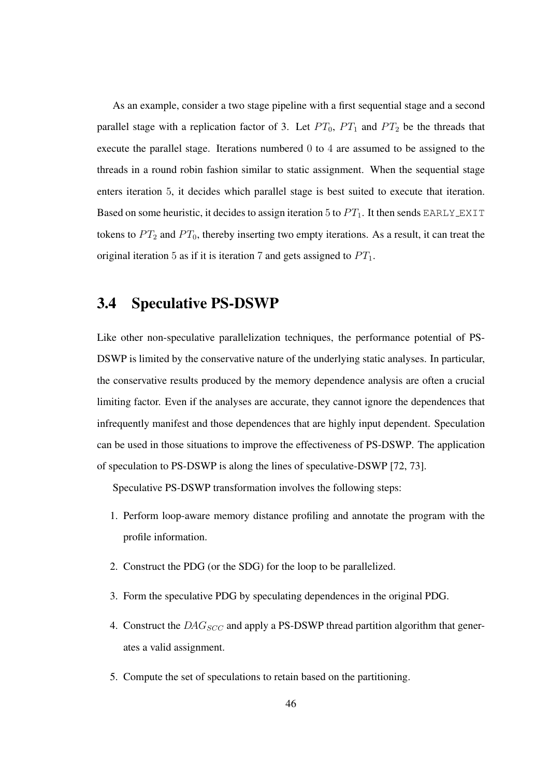As an example, consider a two stage pipeline with a first sequential stage and a second parallel stage with a replication factor of 3. Let  $PT_0$ ,  $PT_1$  and  $PT_2$  be the threads that execute the parallel stage. Iterations numbered 0 to 4 are assumed to be assigned to the threads in a round robin fashion similar to static assignment. When the sequential stage enters iteration 5, it decides which parallel stage is best suited to execute that iteration. Based on some heuristic, it decides to assign iteration 5 to  $PT_1$ . It then sends EARLY EXIT tokens to  $PT_2$  and  $PT_0$ , thereby inserting two empty iterations. As a result, it can treat the original iteration 5 as if it is iteration 7 and gets assigned to  $PT_1$ .

### 3.4 Speculative PS-DSWP

Like other non-speculative parallelization techniques, the performance potential of PS-DSWP is limited by the conservative nature of the underlying static analyses. In particular, the conservative results produced by the memory dependence analysis are often a crucial limiting factor. Even if the analyses are accurate, they cannot ignore the dependences that infrequently manifest and those dependences that are highly input dependent. Speculation can be used in those situations to improve the effectiveness of PS-DSWP. The application of speculation to PS-DSWP is along the lines of speculative-DSWP [72, 73].

Speculative PS-DSWP transformation involves the following steps:

- 1. Perform loop-aware memory distance profiling and annotate the program with the profile information.
- 2. Construct the PDG (or the SDG) for the loop to be parallelized.
- 3. Form the speculative PDG by speculating dependences in the original PDG.
- 4. Construct the  $DAG_{SCC}$  and apply a PS-DSWP thread partition algorithm that generates a valid assignment.
- 5. Compute the set of speculations to retain based on the partitioning.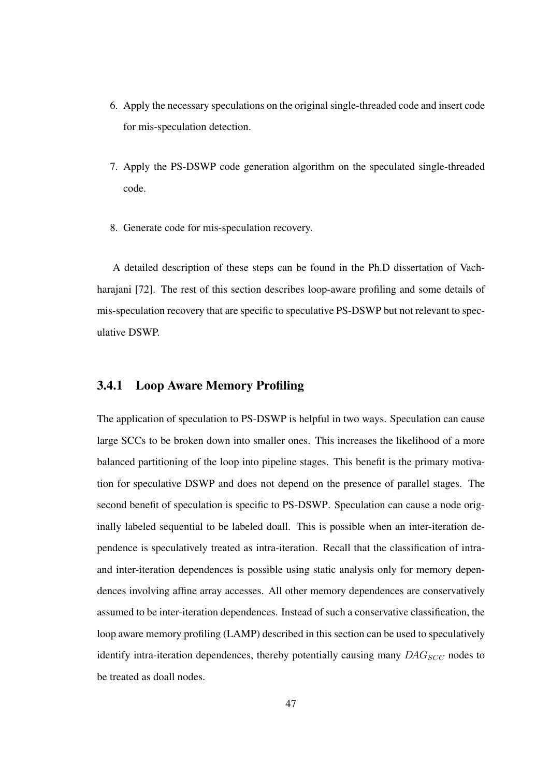- 6. Apply the necessary speculations on the original single-threaded code and insert code for mis-speculation detection.
- 7. Apply the PS-DSWP code generation algorithm on the speculated single-threaded code.
- 8. Generate code for mis-speculation recovery.

A detailed description of these steps can be found in the Ph.D dissertation of Vachharajani [72]. The rest of this section describes loop-aware profiling and some details of mis-speculation recovery that are specific to speculative PS-DSWP but not relevant to speculative DSWP.

#### 3.4.1 Loop Aware Memory Profiling

The application of speculation to PS-DSWP is helpful in two ways. Speculation can cause large SCCs to be broken down into smaller ones. This increases the likelihood of a more balanced partitioning of the loop into pipeline stages. This benefit is the primary motivation for speculative DSWP and does not depend on the presence of parallel stages. The second benefit of speculation is specific to PS-DSWP. Speculation can cause a node originally labeled sequential to be labeled doall. This is possible when an inter-iteration dependence is speculatively treated as intra-iteration. Recall that the classification of intraand inter-iteration dependences is possible using static analysis only for memory dependences involving affine array accesses. All other memory dependences are conservatively assumed to be inter-iteration dependences. Instead of such a conservative classification, the loop aware memory profiling (LAMP) described in this section can be used to speculatively identify intra-iteration dependences, thereby potentially causing many  $DAG_{SCC}$  nodes to be treated as doall nodes.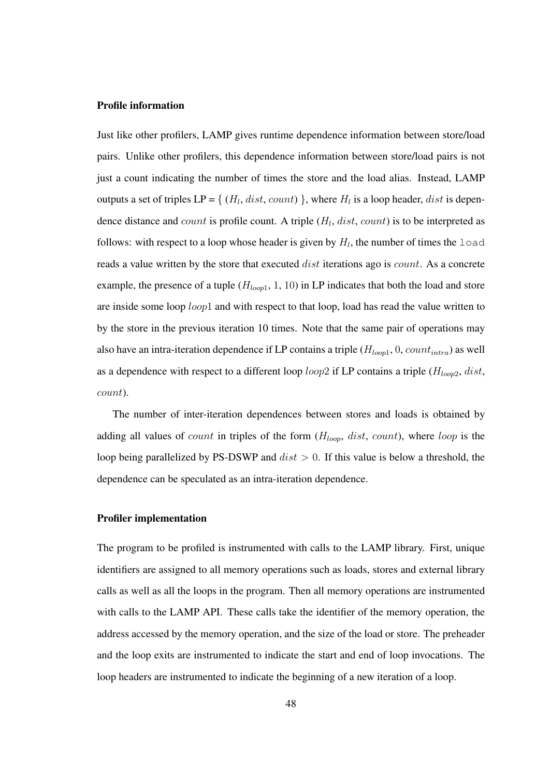#### Profile information

Just like other profilers, LAMP gives runtime dependence information between store/load pairs. Unlike other profilers, this dependence information between store/load pairs is not just a count indicating the number of times the store and the load alias. Instead, LAMP outputs a set of triples  $LP = \{ (H_l, dist, count) \}$ , where  $H_l$  is a loop header, *dist* is dependence distance and count is profile count. A triple  $(H_l, dist, count)$  is to be interpreted as follows: with respect to a loop whose header is given by  $H_l$ , the number of times the load reads a value written by the store that executed *dist* iterations ago is *count*. As a concrete example, the presence of a tuple  $(H_{loop1}, 1, 10)$  in LP indicates that both the load and store are inside some loop *loop*1 and with respect to that loop, load has read the value written to by the store in the previous iteration 10 times. Note that the same pair of operations may also have an intra-iteration dependence if LP contains a triple  $(H_{loop1}, 0, count_{intra})$  as well as a dependence with respect to a different loop loop2 if LP contains a triple ( $H_{loop2}$ , dist, count).

The number of inter-iteration dependences between stores and loads is obtained by adding all values of *count* in triples of the form  $(H_{loop}, dist, count)$ , where *loop* is the loop being parallelized by PS-DSWP and  $dist > 0$ . If this value is below a threshold, the dependence can be speculated as an intra-iteration dependence.

#### Profiler implementation

The program to be profiled is instrumented with calls to the LAMP library. First, unique identifiers are assigned to all memory operations such as loads, stores and external library calls as well as all the loops in the program. Then all memory operations are instrumented with calls to the LAMP API. These calls take the identifier of the memory operation, the address accessed by the memory operation, and the size of the load or store. The preheader and the loop exits are instrumented to indicate the start and end of loop invocations. The loop headers are instrumented to indicate the beginning of a new iteration of a loop.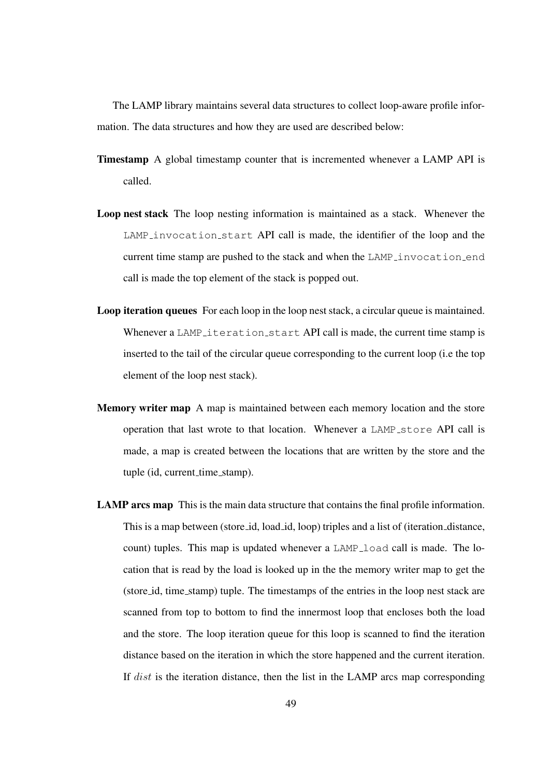The LAMP library maintains several data structures to collect loop-aware profile information. The data structures and how they are used are described below:

- Timestamp A global timestamp counter that is incremented whenever a LAMP API is called.
- Loop nest stack The loop nesting information is maintained as a stack. Whenever the LAMP invocation start API call is made, the identifier of the loop and the current time stamp are pushed to the stack and when the LAMP invocation end call is made the top element of the stack is popped out.
- Loop iteration queues For each loop in the loop nest stack, a circular queue is maintained. Whenever a LAMP iteration start API call is made, the current time stamp is inserted to the tail of the circular queue corresponding to the current loop (i.e the top element of the loop nest stack).
- Memory writer map A map is maintained between each memory location and the store operation that last wrote to that location. Whenever a LAMP<sub>-Store</sub> API call is made, a map is created between the locations that are written by the store and the tuple (id, current\_time\_stamp).
- LAMP arcs map This is the main data structure that contains the final profile information. This is a map between (store id, load id, loop) triples and a list of (iteration distance, count) tuples. This map is updated whenever a LAMP load call is made. The location that is read by the load is looked up in the the memory writer map to get the (store id, time stamp) tuple. The timestamps of the entries in the loop nest stack are scanned from top to bottom to find the innermost loop that encloses both the load and the store. The loop iteration queue for this loop is scanned to find the iteration distance based on the iteration in which the store happened and the current iteration. If dist is the iteration distance, then the list in the LAMP arcs map corresponding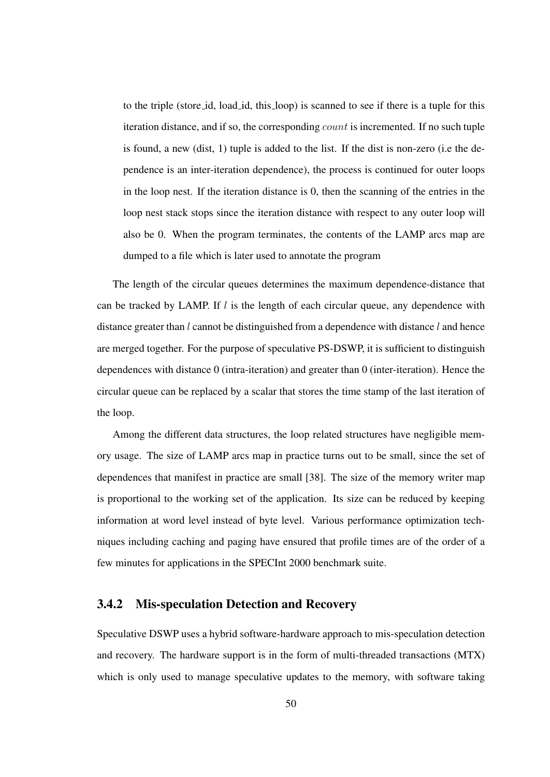to the triple (store id, load id, this loop) is scanned to see if there is a tuple for this iteration distance, and if so, the corresponding count is incremented. If no such tuple is found, a new (dist, 1) tuple is added to the list. If the dist is non-zero (i.e the dependence is an inter-iteration dependence), the process is continued for outer loops in the loop nest. If the iteration distance is 0, then the scanning of the entries in the loop nest stack stops since the iteration distance with respect to any outer loop will also be 0. When the program terminates, the contents of the LAMP arcs map are dumped to a file which is later used to annotate the program

The length of the circular queues determines the maximum dependence-distance that can be tracked by LAMP. If  $l$  is the length of each circular queue, any dependence with distance greater than  $l$  cannot be distinguished from a dependence with distance  $l$  and hence are merged together. For the purpose of speculative PS-DSWP, it is sufficient to distinguish dependences with distance 0 (intra-iteration) and greater than 0 (inter-iteration). Hence the circular queue can be replaced by a scalar that stores the time stamp of the last iteration of the loop.

Among the different data structures, the loop related structures have negligible memory usage. The size of LAMP arcs map in practice turns out to be small, since the set of dependences that manifest in practice are small [38]. The size of the memory writer map is proportional to the working set of the application. Its size can be reduced by keeping information at word level instead of byte level. Various performance optimization techniques including caching and paging have ensured that profile times are of the order of a few minutes for applications in the SPECInt 2000 benchmark suite.

#### 3.4.2 Mis-speculation Detection and Recovery

Speculative DSWP uses a hybrid software-hardware approach to mis-speculation detection and recovery. The hardware support is in the form of multi-threaded transactions (MTX) which is only used to manage speculative updates to the memory, with software taking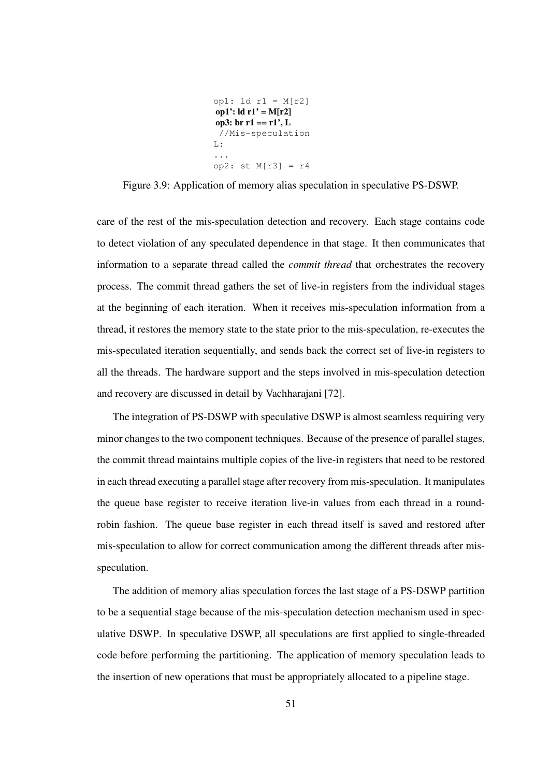```
op1: ld r1 = M[r2]
op1': \text{Id } r1' = M[r2]op3: br r1 == r1', L
 //Mis-speculation
L:...
op2: st M[r3] = r4
```
Figure 3.9: Application of memory alias speculation in speculative PS-DSWP.

care of the rest of the mis-speculation detection and recovery. Each stage contains code to detect violation of any speculated dependence in that stage. It then communicates that information to a separate thread called the *commit thread* that orchestrates the recovery process. The commit thread gathers the set of live-in registers from the individual stages at the beginning of each iteration. When it receives mis-speculation information from a thread, it restores the memory state to the state prior to the mis-speculation, re-executes the mis-speculated iteration sequentially, and sends back the correct set of live-in registers to all the threads. The hardware support and the steps involved in mis-speculation detection and recovery are discussed in detail by Vachharajani [72].

The integration of PS-DSWP with speculative DSWP is almost seamless requiring very minor changes to the two component techniques. Because of the presence of parallel stages, the commit thread maintains multiple copies of the live-in registers that need to be restored in each thread executing a parallel stage after recovery from mis-speculation. It manipulates the queue base register to receive iteration live-in values from each thread in a roundrobin fashion. The queue base register in each thread itself is saved and restored after mis-speculation to allow for correct communication among the different threads after misspeculation.

The addition of memory alias speculation forces the last stage of a PS-DSWP partition to be a sequential stage because of the mis-speculation detection mechanism used in speculative DSWP. In speculative DSWP, all speculations are first applied to single-threaded code before performing the partitioning. The application of memory speculation leads to the insertion of new operations that must be appropriately allocated to a pipeline stage.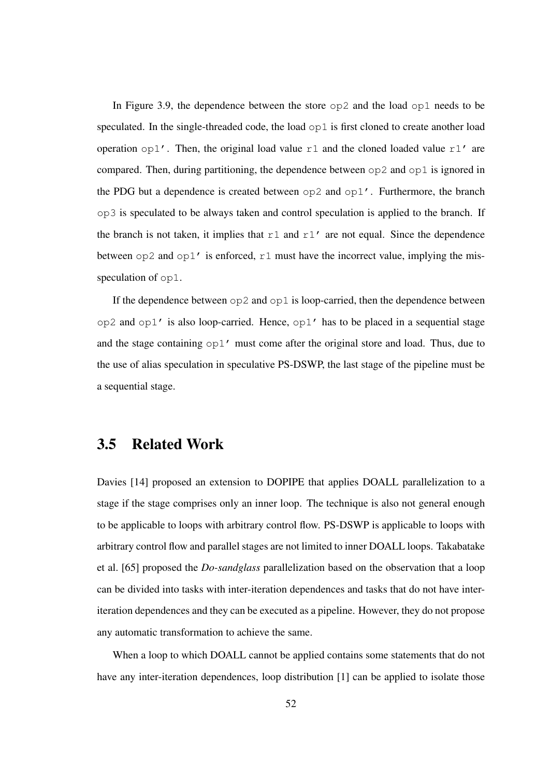In Figure 3.9, the dependence between the store  $\infty$  and the load  $\infty$ 1 needs to be speculated. In the single-threaded code, the load  $\infty$ 1 is first cloned to create another load operation  $\text{op1}'$ . Then, the original load value r1 and the cloned loaded value r1' are compared. Then, during partitioning, the dependence between op2 and op1 is ignored in the PDG but a dependence is created between  $op2$  and  $op1'$ . Furthermore, the branch op3 is speculated to be always taken and control speculation is applied to the branch. If the branch is not taken, it implies that  $r1$  and  $r1'$  are not equal. Since the dependence between  $\infty$  2 and  $\infty$ 1' is enforced, r1 must have the incorrect value, implying the misspeculation of op1.

If the dependence between  $op2$  and  $op1$  is loop-carried, then the dependence between op2 and op1' is also loop-carried. Hence, op1' has to be placed in a sequential stage and the stage containing  $op1'$  must come after the original store and load. Thus, due to the use of alias speculation in speculative PS-DSWP, the last stage of the pipeline must be a sequential stage.

### 3.5 Related Work

Davies [14] proposed an extension to DOPIPE that applies DOALL parallelization to a stage if the stage comprises only an inner loop. The technique is also not general enough to be applicable to loops with arbitrary control flow. PS-DSWP is applicable to loops with arbitrary control flow and parallel stages are not limited to inner DOALL loops. Takabatake et al. [65] proposed the *Do-sandglass* parallelization based on the observation that a loop can be divided into tasks with inter-iteration dependences and tasks that do not have interiteration dependences and they can be executed as a pipeline. However, they do not propose any automatic transformation to achieve the same.

When a loop to which DOALL cannot be applied contains some statements that do not have any inter-iteration dependences, loop distribution [1] can be applied to isolate those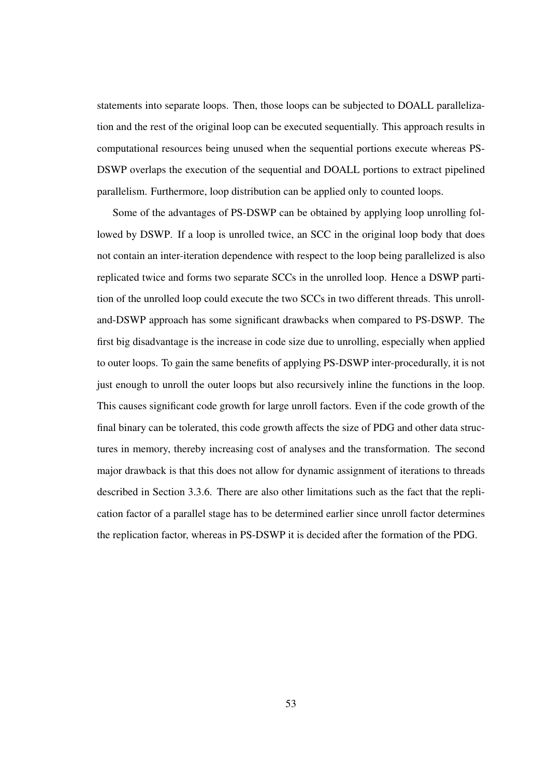statements into separate loops. Then, those loops can be subjected to DOALL parallelization and the rest of the original loop can be executed sequentially. This approach results in computational resources being unused when the sequential portions execute whereas PS-DSWP overlaps the execution of the sequential and DOALL portions to extract pipelined parallelism. Furthermore, loop distribution can be applied only to counted loops.

Some of the advantages of PS-DSWP can be obtained by applying loop unrolling followed by DSWP. If a loop is unrolled twice, an SCC in the original loop body that does not contain an inter-iteration dependence with respect to the loop being parallelized is also replicated twice and forms two separate SCCs in the unrolled loop. Hence a DSWP partition of the unrolled loop could execute the two SCCs in two different threads. This unrolland-DSWP approach has some significant drawbacks when compared to PS-DSWP. The first big disadvantage is the increase in code size due to unrolling, especially when applied to outer loops. To gain the same benefits of applying PS-DSWP inter-procedurally, it is not just enough to unroll the outer loops but also recursively inline the functions in the loop. This causes significant code growth for large unroll factors. Even if the code growth of the final binary can be tolerated, this code growth affects the size of PDG and other data structures in memory, thereby increasing cost of analyses and the transformation. The second major drawback is that this does not allow for dynamic assignment of iterations to threads described in Section 3.3.6. There are also other limitations such as the fact that the replication factor of a parallel stage has to be determined earlier since unroll factor determines the replication factor, whereas in PS-DSWP it is decided after the formation of the PDG.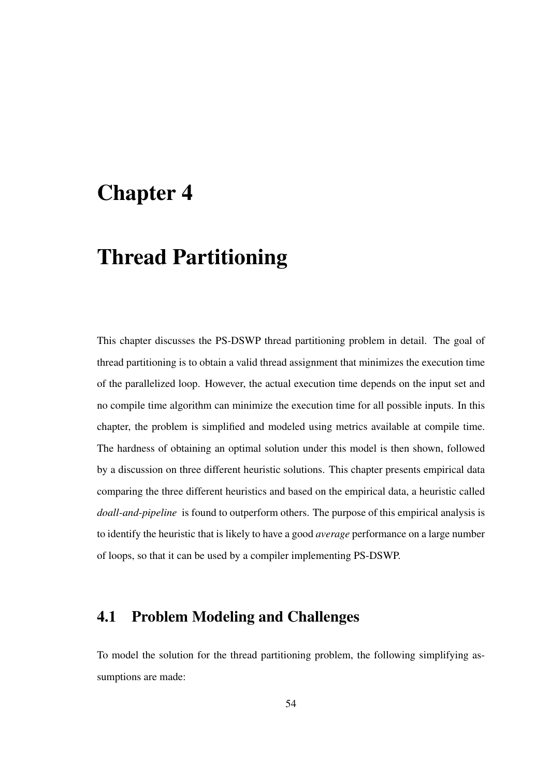## Chapter 4

# Thread Partitioning

This chapter discusses the PS-DSWP thread partitioning problem in detail. The goal of thread partitioning is to obtain a valid thread assignment that minimizes the execution time of the parallelized loop. However, the actual execution time depends on the input set and no compile time algorithm can minimize the execution time for all possible inputs. In this chapter, the problem is simplified and modeled using metrics available at compile time. The hardness of obtaining an optimal solution under this model is then shown, followed by a discussion on three different heuristic solutions. This chapter presents empirical data comparing the three different heuristics and based on the empirical data, a heuristic called *doall-and-pipeline* is found to outperform others. The purpose of this empirical analysis is to identify the heuristic that is likely to have a good *average* performance on a large number of loops, so that it can be used by a compiler implementing PS-DSWP.

### 4.1 Problem Modeling and Challenges

To model the solution for the thread partitioning problem, the following simplifying assumptions are made: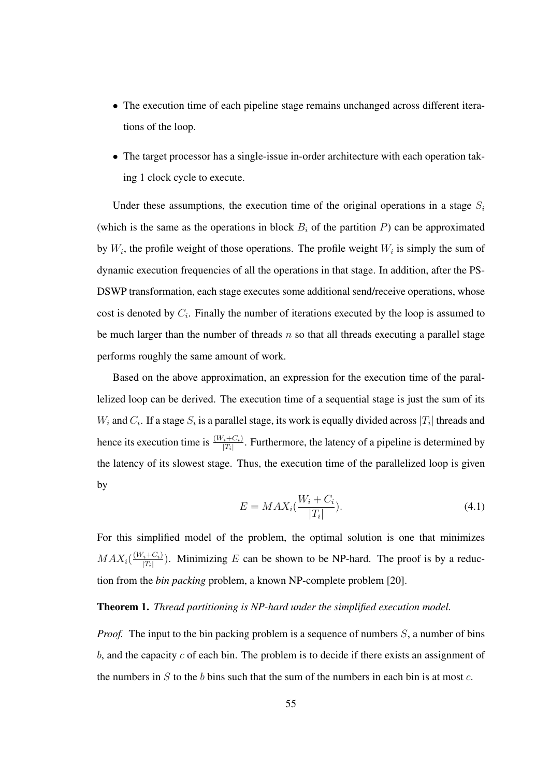- The execution time of each pipeline stage remains unchanged across different iterations of the loop.
- The target processor has a single-issue in-order architecture with each operation taking 1 clock cycle to execute.

Under these assumptions, the execution time of the original operations in a stage  $S_i$ (which is the same as the operations in block  $B_i$  of the partition P) can be approximated by  $W_i$ , the profile weight of those operations. The profile weight  $W_i$  is simply the sum of dynamic execution frequencies of all the operations in that stage. In addition, after the PS-DSWP transformation, each stage executes some additional send/receive operations, whose cost is denoted by  $C_i$ . Finally the number of iterations executed by the loop is assumed to be much larger than the number of threads  $n$  so that all threads executing a parallel stage performs roughly the same amount of work.

Based on the above approximation, an expression for the execution time of the parallelized loop can be derived. The execution time of a sequential stage is just the sum of its  $W_i$  and  $C_i$ . If a stage  $S_i$  is a parallel stage, its work is equally divided across  $|T_i|$  threads and hence its execution time is  $\frac{(W_i+C_i)}{|T_i|}$ . Furthermore, the latency of a pipeline is determined by the latency of its slowest stage. Thus, the execution time of the parallelized loop is given by

$$
E = MAX_i(\frac{W_i + C_i}{|T_i|}).\tag{4.1}
$$

For this simplified model of the problem, the optimal solution is one that minimizes  $MAX_i(\frac{(W_i+C_i)}{|T_i|})$  $\frac{i+U_i}{|T_i|}$ ). Minimizing E can be shown to be NP-hard. The proof is by a reduction from the *bin packing* problem, a known NP-complete problem [20].

#### Theorem 1. *Thread partitioning is NP-hard under the simplified execution model.*

*Proof.* The input to the bin packing problem is a sequence of numbers S, a number of bins  $b$ , and the capacity  $c$  of each bin. The problem is to decide if there exists an assignment of the numbers in S to the b bins such that the sum of the numbers in each bin is at most  $c$ .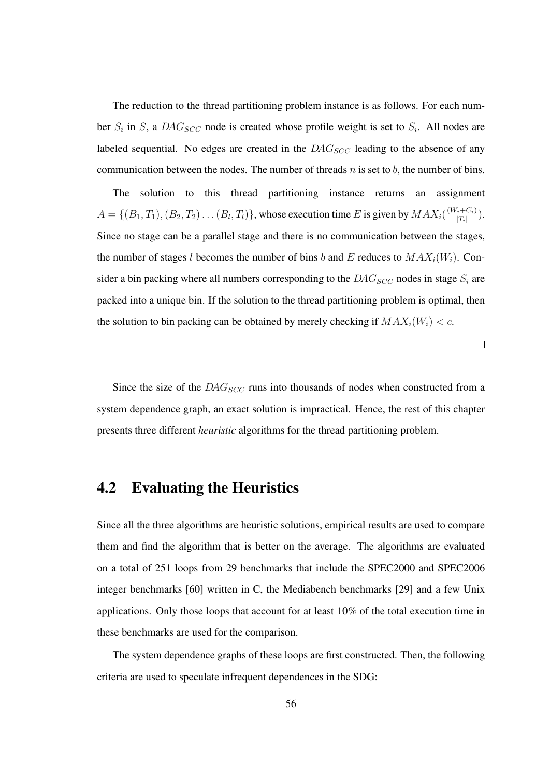The reduction to the thread partitioning problem instance is as follows. For each number  $S_i$  in S, a  $DAG_{SCC}$  node is created whose profile weight is set to  $S_i$ . All nodes are labeled sequential. No edges are created in the  $DAG_{SCC}$  leading to the absence of any communication between the nodes. The number of threads n is set to b, the number of bins.

The solution to this thread partitioning instance returns an assignment  $A = \{(B_1, T_1), (B_2, T_2), \dots (B_l, T_l)\}\)$ , whose execution time E is given by  $MAX_i(\frac{(W_i + C_i)}{|T_i|})$  $\frac{i+U_i}{|T_i|}$ ). Since no stage can be a parallel stage and there is no communication between the stages, the number of stages l becomes the number of bins b and E reduces to  $MAX_i(W_i)$ . Consider a bin packing where all numbers corresponding to the  $DAG_{SCC}$  nodes in stage  $S_i$  are packed into a unique bin. If the solution to the thread partitioning problem is optimal, then the solution to bin packing can be obtained by merely checking if  $MAX_i(W_i) < c$ .

 $\Box$ 

Since the size of the  $DAG_{SCC}$  runs into thousands of nodes when constructed from a system dependence graph, an exact solution is impractical. Hence, the rest of this chapter presents three different *heuristic* algorithms for the thread partitioning problem.

### 4.2 Evaluating the Heuristics

Since all the three algorithms are heuristic solutions, empirical results are used to compare them and find the algorithm that is better on the average. The algorithms are evaluated on a total of 251 loops from 29 benchmarks that include the SPEC2000 and SPEC2006 integer benchmarks [60] written in C, the Mediabench benchmarks [29] and a few Unix applications. Only those loops that account for at least 10% of the total execution time in these benchmarks are used for the comparison.

The system dependence graphs of these loops are first constructed. Then, the following criteria are used to speculate infrequent dependences in the SDG: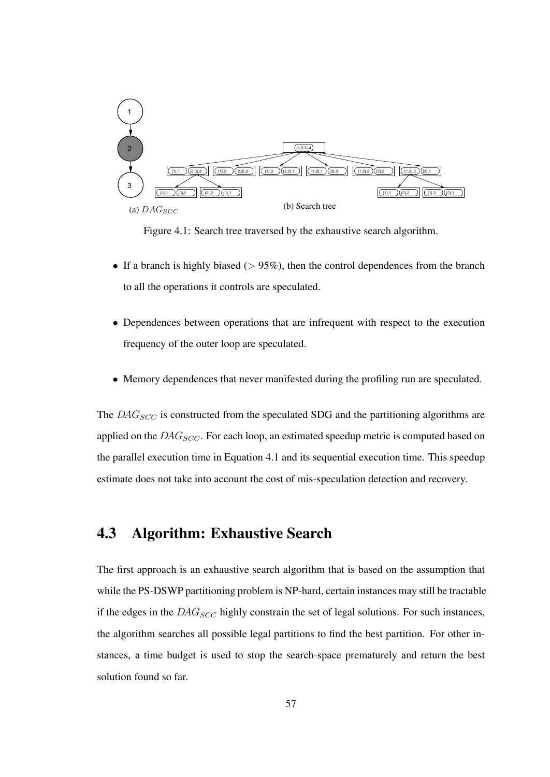

Figure 4.1: Search tree traversed by the exhaustive search algorithm.

- If a branch is highly biased ( $> 95\%$ ), then the control dependences from the branch to all the operations it controls are speculated.
- Dependences between operations that are infrequent with respect to the execution frequency of the outer loop are speculated.
- Memory dependences that never manifested during the profiling run are speculated.

The  $DAG_{SCC}$  is constructed from the speculated SDG and the partitioning algorithms are applied on the  $DAG_{SCC}$ . For each loop, an estimated speedup metric is computed based on the parallel execution time in Equation 4.1 and its sequential execution time. This speedup estimate does not take into account the cost of mis-speculation detection and recovery.

### 4.3 Algorithm: Exhaustive Search

The first approach is an exhaustive search algorithm that is based on the assumption that while the PS-DSWP partitioning problem is NP-hard, certain instances may still be tractable if the edges in the  $DAG_{SCC}$  highly constrain the set of legal solutions. For such instances, the algorithm searches all possible legal partitions to find the best partition. For other instances, a time budget is used to stop the search-space prematurely and return the best solution found so far.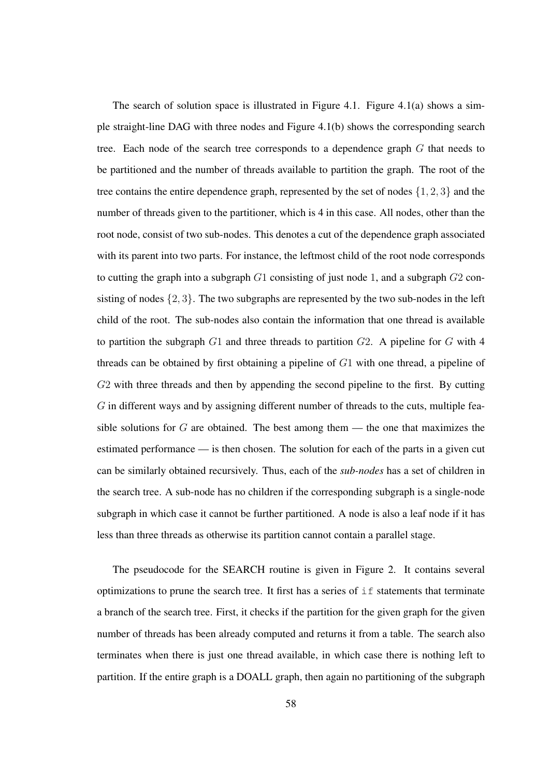The search of solution space is illustrated in Figure 4.1. Figure 4.1(a) shows a simple straight-line DAG with three nodes and Figure 4.1(b) shows the corresponding search tree. Each node of the search tree corresponds to a dependence graph G that needs to be partitioned and the number of threads available to partition the graph. The root of the tree contains the entire dependence graph, represented by the set of nodes  $\{1, 2, 3\}$  and the number of threads given to the partitioner, which is 4 in this case. All nodes, other than the root node, consist of two sub-nodes. This denotes a cut of the dependence graph associated with its parent into two parts. For instance, the leftmost child of the root node corresponds to cutting the graph into a subgraph  $G1$  consisting of just node 1, and a subgraph  $G2$  consisting of nodes  $\{2, 3\}$ . The two subgraphs are represented by the two sub-nodes in the left child of the root. The sub-nodes also contain the information that one thread is available to partition the subgraph  $G1$  and three threads to partition  $G2$ . A pipeline for  $G$  with 4 threads can be obtained by first obtaining a pipeline of G1 with one thread, a pipeline of G2 with three threads and then by appending the second pipeline to the first. By cutting  $G$  in different ways and by assigning different number of threads to the cuts, multiple feasible solutions for  $G$  are obtained. The best among them — the one that maximizes the estimated performance — is then chosen. The solution for each of the parts in a given cut can be similarly obtained recursively. Thus, each of the *sub-nodes* has a set of children in the search tree. A sub-node has no children if the corresponding subgraph is a single-node subgraph in which case it cannot be further partitioned. A node is also a leaf node if it has less than three threads as otherwise its partition cannot contain a parallel stage.

The pseudocode for the SEARCH routine is given in Figure 2. It contains several optimizations to prune the search tree. It first has a series of  $\pm$  f statements that terminate a branch of the search tree. First, it checks if the partition for the given graph for the given number of threads has been already computed and returns it from a table. The search also terminates when there is just one thread available, in which case there is nothing left to partition. If the entire graph is a DOALL graph, then again no partitioning of the subgraph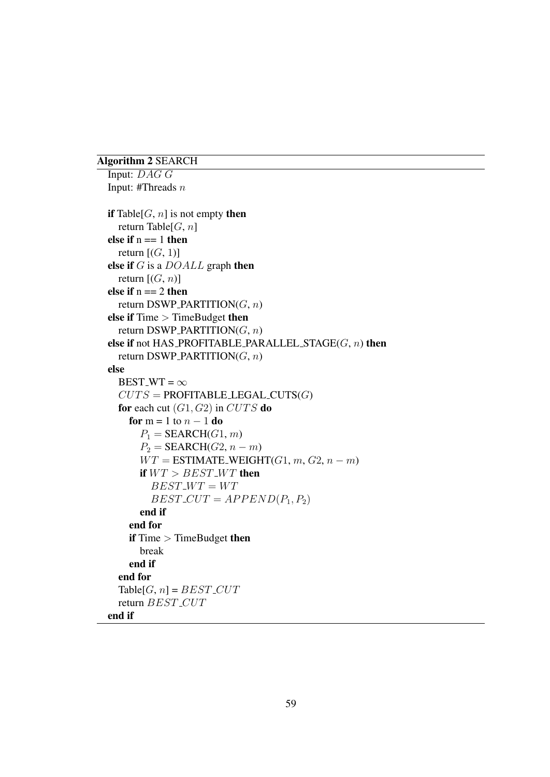#### Algorithm 2 SEARCH

```
Input: DAG G
Input: #Threads n
if Table[G, n] is not empty then
  return Table[G, n]
else if n == 1 then
  return [(G, 1)]else if G is a DOALL graph then
  return [(G, n)]else if n == 2 then
  return DSWP_PARTITION(G, n)
else if Time > TimeBudget then
  return DSWP_PARTITION(G, n)
else if not HAS_PROFITABLE_PARALLEL_STAGE(G, n) then
  return DSWP_PARTITION(G, n)
else
  BEST_WT = \inftyCUTS =PROFITABLE_LEGAL_CUTS(G)
  for each cut (G1, G2) in CUTS do
    for m = 1 to n - 1 do
      P_1 = \text{SEARCH}(G1, m)P_2 = \text{SEARCH}(G2, n-m)WT = \text{ESTIMATE\_WEIGHT}(G1, m, G2, n-m)if WT > BEST<sub>-</sub>WT then
         BEST\_WT = WTBEST_CUT = APPEND(P_1, P_2)end if
    end for
    if Time > TimeBudget then
      break
    end if
  end for
  Table[G, n] = BEST_CUT
  return BEST_CUT
end if
```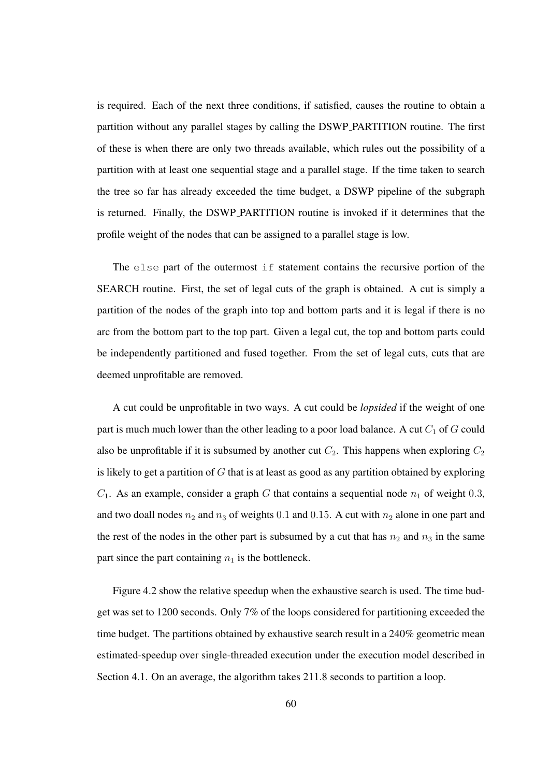is required. Each of the next three conditions, if satisfied, causes the routine to obtain a partition without any parallel stages by calling the DSWP PARTITION routine. The first of these is when there are only two threads available, which rules out the possibility of a partition with at least one sequential stage and a parallel stage. If the time taken to search the tree so far has already exceeded the time budget, a DSWP pipeline of the subgraph is returned. Finally, the DSWP PARTITION routine is invoked if it determines that the profile weight of the nodes that can be assigned to a parallel stage is low.

The else part of the outermost if statement contains the recursive portion of the SEARCH routine. First, the set of legal cuts of the graph is obtained. A cut is simply a partition of the nodes of the graph into top and bottom parts and it is legal if there is no arc from the bottom part to the top part. Given a legal cut, the top and bottom parts could be independently partitioned and fused together. From the set of legal cuts, cuts that are deemed unprofitable are removed.

A cut could be unprofitable in two ways. A cut could be *lopsided* if the weight of one part is much much lower than the other leading to a poor load balance. A cut  $C_1$  of G could also be unprofitable if it is subsumed by another cut  $C_2$ . This happens when exploring  $C_2$ is likely to get a partition of  $G$  that is at least as good as any partition obtained by exploring  $C_1$ . As an example, consider a graph G that contains a sequential node  $n_1$  of weight 0.3, and two doall nodes  $n_2$  and  $n_3$  of weights 0.1 and 0.15. A cut with  $n_2$  alone in one part and the rest of the nodes in the other part is subsumed by a cut that has  $n_2$  and  $n_3$  in the same part since the part containing  $n_1$  is the bottleneck.

Figure 4.2 show the relative speedup when the exhaustive search is used. The time budget was set to 1200 seconds. Only 7% of the loops considered for partitioning exceeded the time budget. The partitions obtained by exhaustive search result in a 240% geometric mean estimated-speedup over single-threaded execution under the execution model described in Section 4.1. On an average, the algorithm takes 211.8 seconds to partition a loop.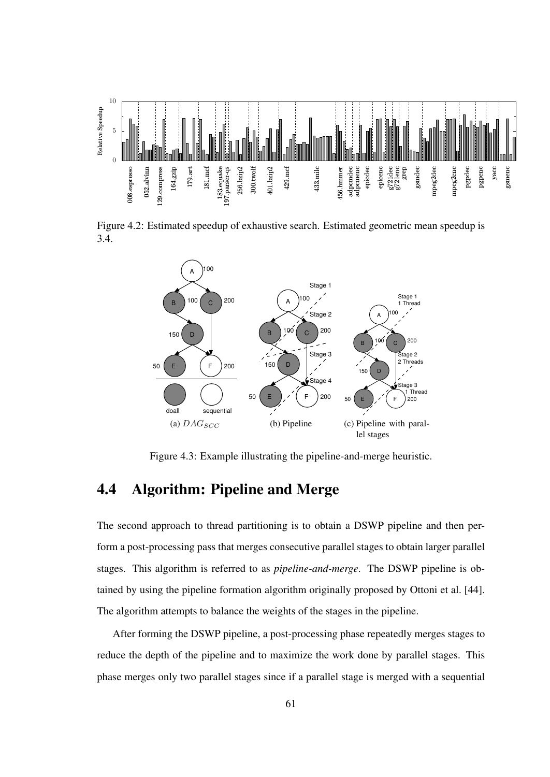

Figure 4.2: Estimated speedup of exhaustive search. Estimated geometric mean speedup is 3.4.



Figure 4.3: Example illustrating the pipeline-and-merge heuristic.

# 4.4 Algorithm: Pipeline and Merge

The second approach to thread partitioning is to obtain a DSWP pipeline and then perform a post-processing pass that merges consecutive parallel stages to obtain larger parallel stages. This algorithm is referred to as *pipeline-and-merge*. The DSWP pipeline is obtained by using the pipeline formation algorithm originally proposed by Ottoni et al. [44]. The algorithm attempts to balance the weights of the stages in the pipeline.

After forming the DSWP pipeline, a post-processing phase repeatedly merges stages to reduce the depth of the pipeline and to maximize the work done by parallel stages. This phase merges only two parallel stages since if a parallel stage is merged with a sequential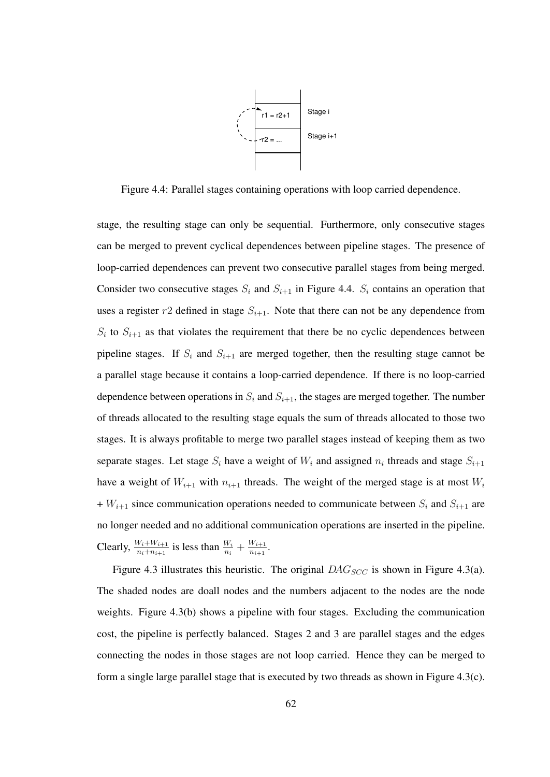

Figure 4.4: Parallel stages containing operations with loop carried dependence.

stage, the resulting stage can only be sequential. Furthermore, only consecutive stages can be merged to prevent cyclical dependences between pipeline stages. The presence of loop-carried dependences can prevent two consecutive parallel stages from being merged. Consider two consecutive stages  $S_i$  and  $S_{i+1}$  in Figure 4.4.  $S_i$  contains an operation that uses a register  $r^2$  defined in stage  $S_{i+1}$ . Note that there can not be any dependence from  $S_i$  to  $S_{i+1}$  as that violates the requirement that there be no cyclic dependences between pipeline stages. If  $S_i$  and  $S_{i+1}$  are merged together, then the resulting stage cannot be a parallel stage because it contains a loop-carried dependence. If there is no loop-carried dependence between operations in  $S_i$  and  $S_{i+1}$ , the stages are merged together. The number of threads allocated to the resulting stage equals the sum of threads allocated to those two stages. It is always profitable to merge two parallel stages instead of keeping them as two separate stages. Let stage  $S_i$  have a weight of  $W_i$  and assigned  $n_i$  threads and stage  $S_{i+1}$ have a weight of  $W_{i+1}$  with  $n_{i+1}$  threads. The weight of the merged stage is at most  $W_i$ +  $W_{i+1}$  since communication operations needed to communicate between  $S_i$  and  $S_{i+1}$  are no longer needed and no additional communication operations are inserted in the pipeline. Clearly,  $\frac{W_i + W_{i+1}}{n + n}$  $\frac{W_i + W_{i+1}}{n_i + n_{i+1}}$  is less than  $\frac{W_i}{n_i} + \frac{W_{i+1}}{n_{i+1}}$  $\frac{W_{i+1}}{n_{i+1}}$ .

Figure 4.3 illustrates this heuristic. The original  $DAG_{SCC}$  is shown in Figure 4.3(a). The shaded nodes are doall nodes and the numbers adjacent to the nodes are the node weights. Figure 4.3(b) shows a pipeline with four stages. Excluding the communication cost, the pipeline is perfectly balanced. Stages 2 and 3 are parallel stages and the edges connecting the nodes in those stages are not loop carried. Hence they can be merged to form a single large parallel stage that is executed by two threads as shown in Figure 4.3(c).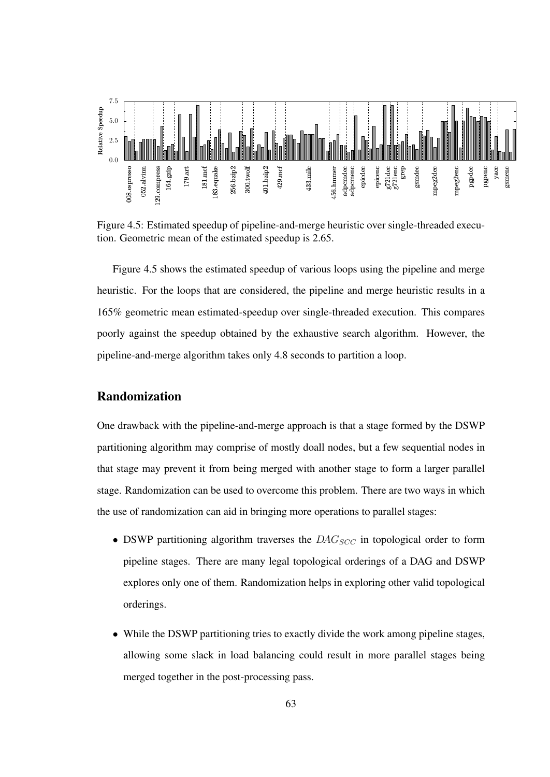

Figure 4.5: Estimated speedup of pipeline-and-merge heuristic over single-threaded execution. Geometric mean of the estimated speedup is 2.65.

Figure 4.5 shows the estimated speedup of various loops using the pipeline and merge heuristic. For the loops that are considered, the pipeline and merge heuristic results in a 165% geometric mean estimated-speedup over single-threaded execution. This compares poorly against the speedup obtained by the exhaustive search algorithm. However, the pipeline-and-merge algorithm takes only 4.8 seconds to partition a loop.

#### Randomization

One drawback with the pipeline-and-merge approach is that a stage formed by the DSWP partitioning algorithm may comprise of mostly doall nodes, but a few sequential nodes in that stage may prevent it from being merged with another stage to form a larger parallel stage. Randomization can be used to overcome this problem. There are two ways in which the use of randomization can aid in bringing more operations to parallel stages:

- DSWP partitioning algorithm traverses the  $DAG_{SCC}$  in topological order to form pipeline stages. There are many legal topological orderings of a DAG and DSWP explores only one of them. Randomization helps in exploring other valid topological orderings.
- While the DSWP partitioning tries to exactly divide the work among pipeline stages, allowing some slack in load balancing could result in more parallel stages being merged together in the post-processing pass.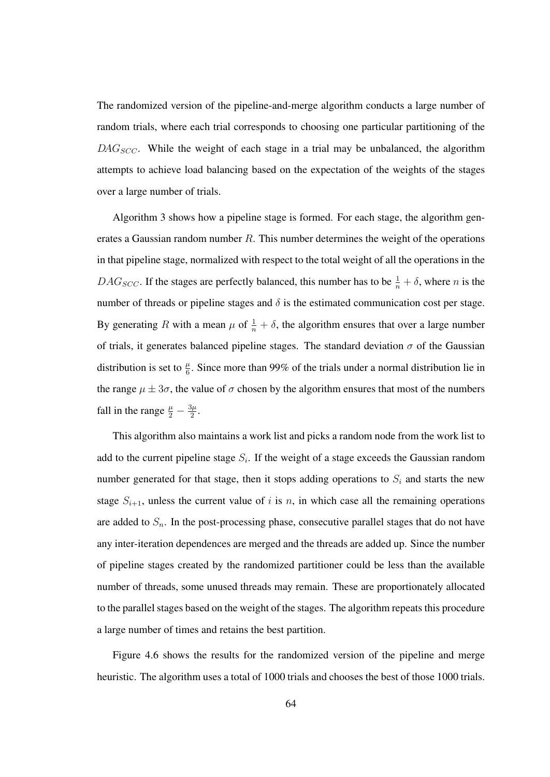The randomized version of the pipeline-and-merge algorithm conducts a large number of random trials, where each trial corresponds to choosing one particular partitioning of the  $DAG_{SCC}$ . While the weight of each stage in a trial may be unbalanced, the algorithm attempts to achieve load balancing based on the expectation of the weights of the stages over a large number of trials.

Algorithm 3 shows how a pipeline stage is formed. For each stage, the algorithm generates a Gaussian random number R. This number determines the weight of the operations in that pipeline stage, normalized with respect to the total weight of all the operations in the  $DAG_{SCC}$ . If the stages are perfectly balanced, this number has to be  $\frac{1}{n} + \delta$ , where *n* is the number of threads or pipeline stages and  $\delta$  is the estimated communication cost per stage. By generating R with a mean  $\mu$  of  $\frac{1}{n} + \delta$ , the algorithm ensures that over a large number of trials, it generates balanced pipeline stages. The standard deviation  $\sigma$  of the Gaussian distribution is set to  $\frac{\mu}{6}$ . Since more than 99% of the trials under a normal distribution lie in the range  $\mu \pm 3\sigma$ , the value of  $\sigma$  chosen by the algorithm ensures that most of the numbers fall in the range  $\frac{\mu}{2} - \frac{3\mu}{2}$  $\frac{3\mu}{2}$ .

This algorithm also maintains a work list and picks a random node from the work list to add to the current pipeline stage  $S_i$ . If the weight of a stage exceeds the Gaussian random number generated for that stage, then it stops adding operations to  $S_i$  and starts the new stage  $S_{i+1}$ , unless the current value of i is n, in which case all the remaining operations are added to  $S_n$ . In the post-processing phase, consecutive parallel stages that do not have any inter-iteration dependences are merged and the threads are added up. Since the number of pipeline stages created by the randomized partitioner could be less than the available number of threads, some unused threads may remain. These are proportionately allocated to the parallel stages based on the weight of the stages. The algorithm repeats this procedure a large number of times and retains the best partition.

Figure 4.6 shows the results for the randomized version of the pipeline and merge heuristic. The algorithm uses a total of 1000 trials and chooses the best of those 1000 trials.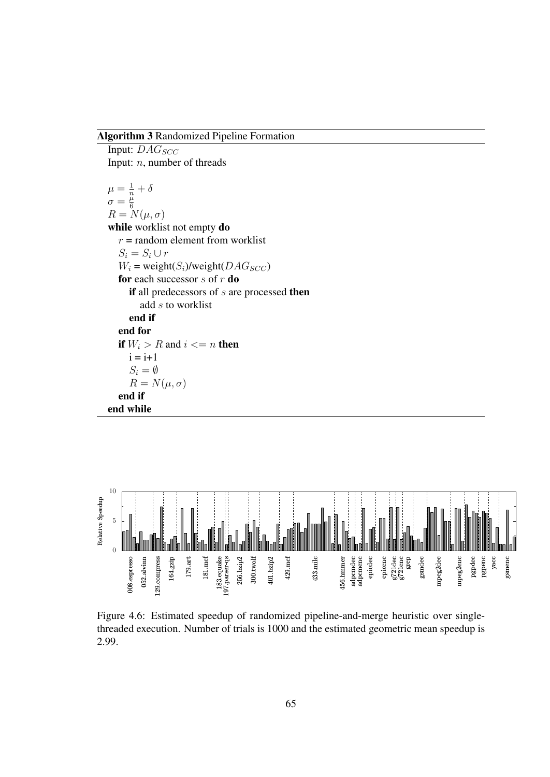#### Algorithm 3 Randomized Pipeline Formation

Input:  $DAG_{SCC}$ Input: n, number of threads  $\mu = \frac{1}{n} + \delta$  $\sigma = \frac{\mu}{6}$ 6  $R = N(\mu, \sigma)$ while worklist not empty do  $r =$  random element from worklist  $S_i = S_i \cup r$  $W_i$  = weight( $S_i$ )/weight( $DAG_{SCC}$ ) for each successor  $s$  of  $r$  do if all predecessors of  $s$  are processed then add s to worklist end if end for if  $W_i > R$  and  $i \leq n$  then  $i = i+1$  $S_i = \emptyset$  $R = N(\mu, \sigma)$ end if end while



Figure 4.6: Estimated speedup of randomized pipeline-and-merge heuristic over singlethreaded execution. Number of trials is 1000 and the estimated geometric mean speedup is 2.99.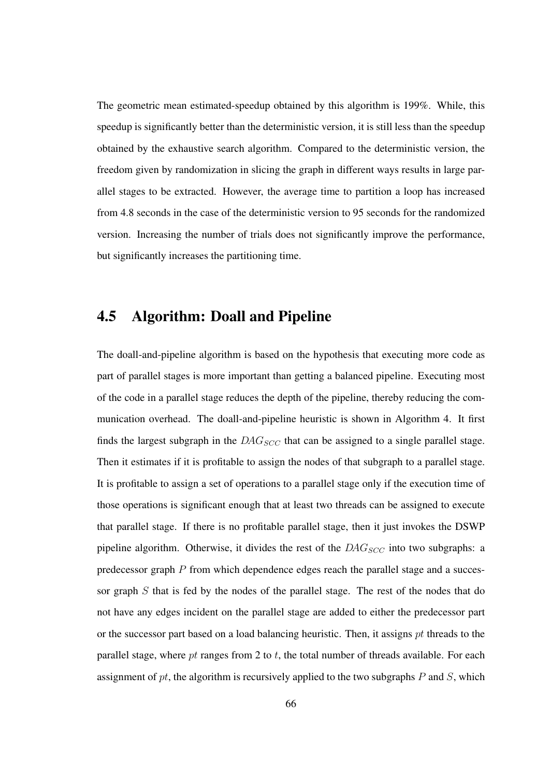The geometric mean estimated-speedup obtained by this algorithm is 199%. While, this speedup is significantly better than the deterministic version, it is still less than the speedup obtained by the exhaustive search algorithm. Compared to the deterministic version, the freedom given by randomization in slicing the graph in different ways results in large parallel stages to be extracted. However, the average time to partition a loop has increased from 4.8 seconds in the case of the deterministic version to 95 seconds for the randomized version. Increasing the number of trials does not significantly improve the performance, but significantly increases the partitioning time.

## 4.5 Algorithm: Doall and Pipeline

The doall-and-pipeline algorithm is based on the hypothesis that executing more code as part of parallel stages is more important than getting a balanced pipeline. Executing most of the code in a parallel stage reduces the depth of the pipeline, thereby reducing the communication overhead. The doall-and-pipeline heuristic is shown in Algorithm 4. It first finds the largest subgraph in the  $DAG_{SCC}$  that can be assigned to a single parallel stage. Then it estimates if it is profitable to assign the nodes of that subgraph to a parallel stage. It is profitable to assign a set of operations to a parallel stage only if the execution time of those operations is significant enough that at least two threads can be assigned to execute that parallel stage. If there is no profitable parallel stage, then it just invokes the DSWP pipeline algorithm. Otherwise, it divides the rest of the  $DAG_{SCC}$  into two subgraphs: a predecessor graph  $P$  from which dependence edges reach the parallel stage and a successor graph  $S$  that is fed by the nodes of the parallel stage. The rest of the nodes that do not have any edges incident on the parallel stage are added to either the predecessor part or the successor part based on a load balancing heuristic. Then, it assigns  $pt$  threads to the parallel stage, where pt ranges from 2 to t, the total number of threads available. For each assignment of  $pt$ , the algorithm is recursively applied to the two subgraphs  $P$  and  $S$ , which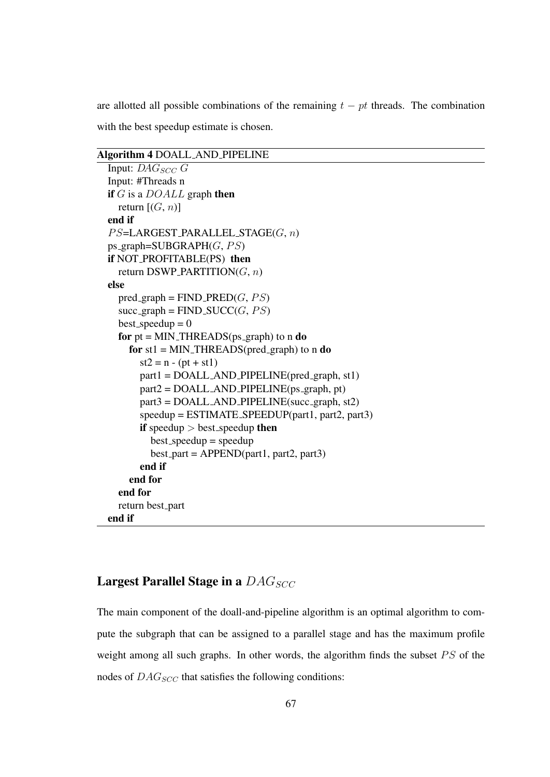are allotted all possible combinations of the remaining  $t - pt$  threads. The combination with the best speedup estimate is chosen.

#### Algorithm 4 DOALL AND PIPELINE

```
Input: DAG_{SCC} G
Input: #Threads n
if G is a DOALL graph then
  return [(G, n)]end if
PS=LARGEST_PARALLEL_STAGE(G, n)
ps_graph=SUBGRAPH(G, PS)if NOT PROFITABLE(PS) then
  return DSWP_PARTITION(G, n)
else
  pred\_graph = FIND\_PRED(G, PS)succ\_graph = FIND\_SUCC(G, PS)best\_speedup = 0for pt = MIN\_THREADS(ps_graph) to n do
    for st1 = MIN\_THREADS(pred\_graph) to n do
      st2 = n - (pt + st1)part1 = DOALL AND PIPELINE(pred graph, st1)part2 = DOALL AND PIPELINE(ps_graph, pt)
      part3 = DOALL AND PIPELINE(succ graph, st2)
      speedup = ESTIMATE SPEEDUP(part1, part2, part3)
      if speedup > best_speedup then
        best_s peedup = speedup
        best-part = APPEND(part1, part2, part3)end if
    end for
  end for
  return best part
end if
```
#### Largest Parallel Stage in a  $DAG_{SCC}$

The main component of the doall-and-pipeline algorithm is an optimal algorithm to compute the subgraph that can be assigned to a parallel stage and has the maximum profile weight among all such graphs. In other words, the algorithm finds the subset PS of the nodes of  $DAG_{SCC}$  that satisfies the following conditions: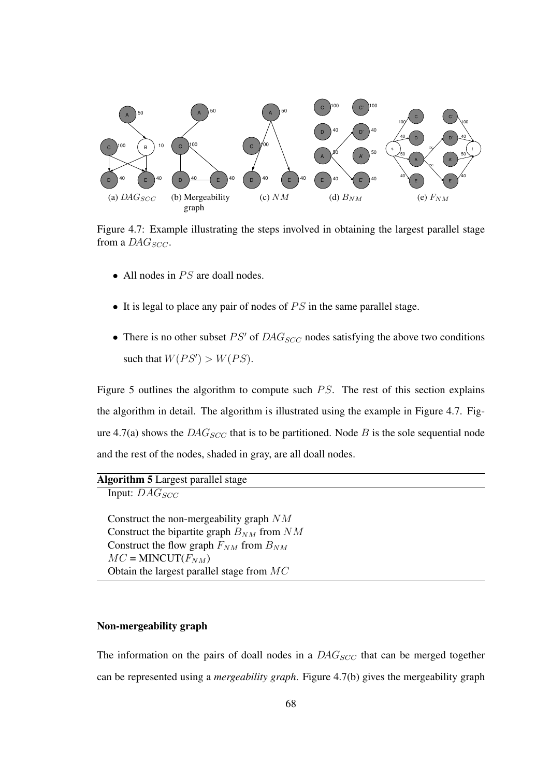

Figure 4.7: Example illustrating the steps involved in obtaining the largest parallel stage from a  $DAG_{SCC}$ .

- All nodes in  $PS$  are doall nodes.
- It is legal to place any pair of nodes of  $PS$  in the same parallel stage.
- There is no other subset  $PS'$  of  $DAG_{SCC}$  nodes satisfying the above two conditions such that  $W(PS') > W(PS)$ .

Figure 5 outlines the algorithm to compute such PS. The rest of this section explains the algorithm in detail. The algorithm is illustrated using the example in Figure 4.7. Figure 4.7(a) shows the  $DAG_{SCC}$  that is to be partitioned. Node B is the sole sequential node and the rest of the nodes, shaded in gray, are all doall nodes.

| <b>Algorithm 5</b> Largest parallel stage |  |  |  |
|-------------------------------------------|--|--|--|
|-------------------------------------------|--|--|--|

Input:  $DAG_{SCC}$ 

Construct the non-mergeability graph NM Construct the bipartite graph  $B_{NM}$  from  $NM$ Construct the flow graph  $F_{NM}$  from  $B_{NM}$  $MC =$ MINCUT $(F_{NM})$ Obtain the largest parallel stage from MC

#### Non-mergeability graph

The information on the pairs of doall nodes in a  $DAG_{SCC}$  that can be merged together can be represented using a *mergeability graph*. Figure 4.7(b) gives the mergeability graph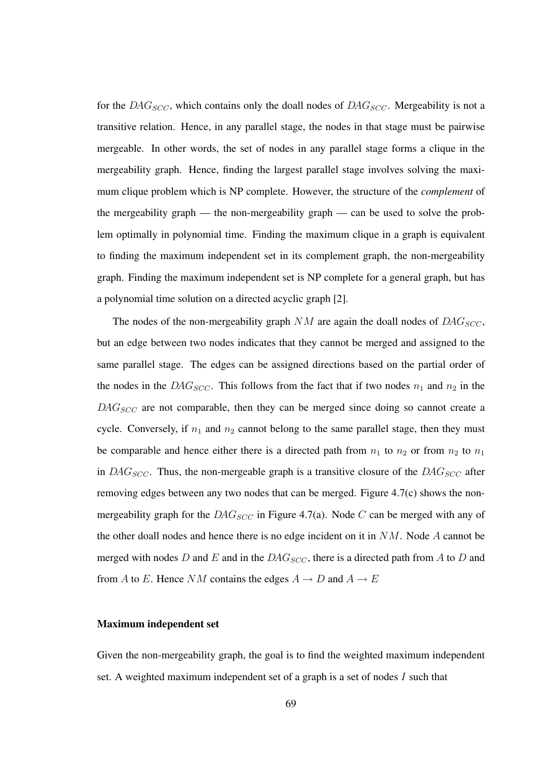for the  $DAG_{SCC}$ , which contains only the doall nodes of  $DAG_{SCC}$ . Mergeability is not a transitive relation. Hence, in any parallel stage, the nodes in that stage must be pairwise mergeable. In other words, the set of nodes in any parallel stage forms a clique in the mergeability graph. Hence, finding the largest parallel stage involves solving the maximum clique problem which is NP complete. However, the structure of the *complement* of the mergeability graph — the non-mergeability graph — can be used to solve the problem optimally in polynomial time. Finding the maximum clique in a graph is equivalent to finding the maximum independent set in its complement graph, the non-mergeability graph. Finding the maximum independent set is NP complete for a general graph, but has a polynomial time solution on a directed acyclic graph [2].

The nodes of the non-mergeability graph  $NM$  are again the doall nodes of  $DAG_{SCC}$ , but an edge between two nodes indicates that they cannot be merged and assigned to the same parallel stage. The edges can be assigned directions based on the partial order of the nodes in the DAG<sub>SCC</sub>. This follows from the fact that if two nodes  $n_1$  and  $n_2$  in the  $DAG_{SCC}$  are not comparable, then they can be merged since doing so cannot create a cycle. Conversely, if  $n_1$  and  $n_2$  cannot belong to the same parallel stage, then they must be comparable and hence either there is a directed path from  $n_1$  to  $n_2$  or from  $n_2$  to  $n_1$ in  $DAG_{SCC}$ . Thus, the non-mergeable graph is a transitive closure of the  $DAG_{SCC}$  after removing edges between any two nodes that can be merged. Figure 4.7(c) shows the nonmergeability graph for the  $DAG_{SCC}$  in Figure 4.7(a). Node C can be merged with any of the other doall nodes and hence there is no edge incident on it in  $NM$ . Node A cannot be merged with nodes D and E and in the  $DAG_{SCC}$ , there is a directed path from A to D and from A to E. Hence NM contains the edges  $A \rightarrow D$  and  $A \rightarrow E$ 

#### Maximum independent set

Given the non-mergeability graph, the goal is to find the weighted maximum independent set. A weighted maximum independent set of a graph is a set of nodes  $I$  such that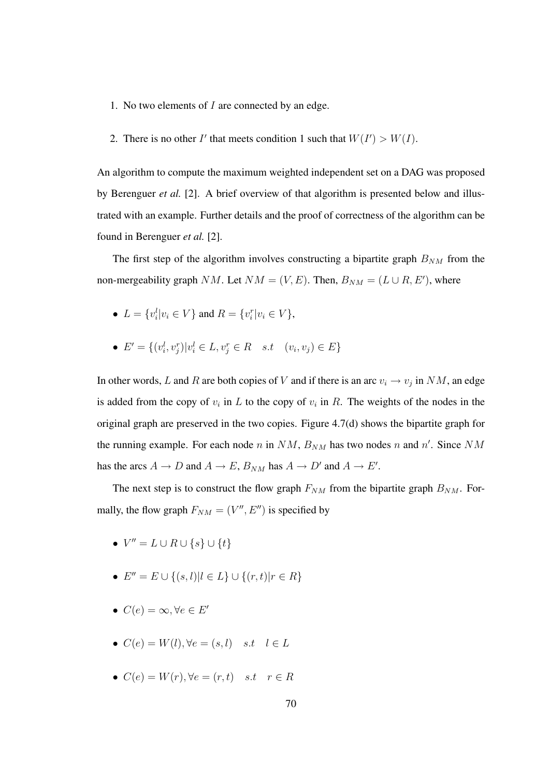- 1. No two elements of I are connected by an edge.
- 2. There is no other I' that meets condition 1 such that  $W(I') > W(I)$ .

An algorithm to compute the maximum weighted independent set on a DAG was proposed by Berenguer *et al.* [2]. A brief overview of that algorithm is presented below and illustrated with an example. Further details and the proof of correctness of the algorithm can be found in Berenguer *et al.* [2].

The first step of the algorithm involves constructing a bipartite graph  $B_{NM}$  from the non-mergeability graph NM. Let  $NM = (V, E)$ . Then,  $B_{NM} = (L \cup R, E')$ , where

- $L = \{v_i^l | v_i \in V\}$  and  $R = \{v_i^r | v_i \in V\}$ ,
- $E' = \{(v_i^l, v_j^r) | v_i^l \in L, v_j^r \in R \text{ s.t } (v_i, v_j) \in E\}$

In other words, L and R are both copies of V and if there is an arc  $v_i \rightarrow v_j$  in NM, an edge is added from the copy of  $v_i$  in L to the copy of  $v_i$  in R. The weights of the nodes in the original graph are preserved in the two copies. Figure 4.7(d) shows the bipartite graph for the running example. For each node *n* in  $NM$ ,  $B_{NM}$  has two nodes *n* and *n'*. Since  $NM$ has the arcs  $A \to D$  and  $A \to E$ ,  $B_{NM}$  has  $A \to D'$  and  $A \to E'$ .

The next step is to construct the flow graph  $F_{NM}$  from the bipartite graph  $B_{NM}$ . Formally, the flow graph  $F_{NM} = (V'', E'')$  is specified by

- $V'' = L \cup R \cup \{s\} \cup \{t\}$
- $E'' = E \cup \{(s, l) | l \in L\} \cup \{(r, t) | r \in R\}$
- $C(e) = \infty, \forall e \in E'$
- $C(e) = W(l), \forall e = (s, l) \quad s.t \quad l \in L$
- $C(e) = W(r)$ ,  $\forall e = (r, t)$  s.t  $r \in R$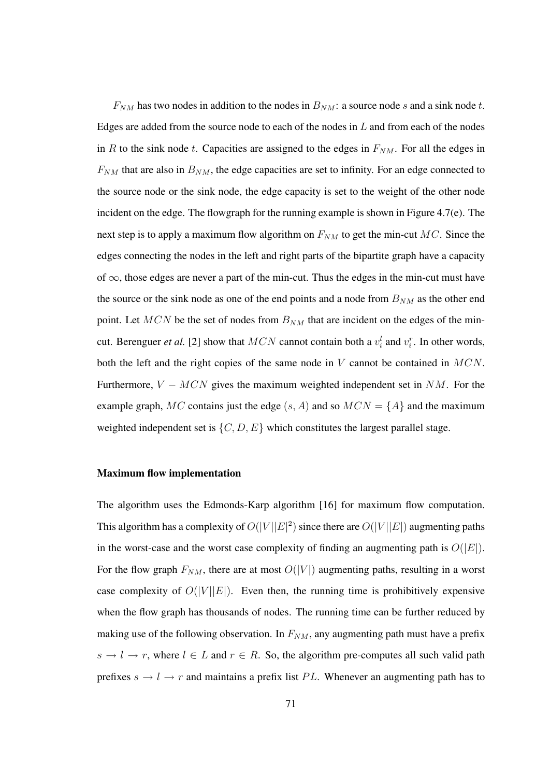$F_{NM}$  has two nodes in addition to the nodes in  $B_{NM}$ : a source node s and a sink node t. Edges are added from the source node to each of the nodes in  $L$  and from each of the nodes in R to the sink node t. Capacities are assigned to the edges in  $F_{NM}$ . For all the edges in  $F_{NM}$  that are also in  $B_{NM}$ , the edge capacities are set to infinity. For an edge connected to the source node or the sink node, the edge capacity is set to the weight of the other node incident on the edge. The flowgraph for the running example is shown in Figure 4.7(e). The next step is to apply a maximum flow algorithm on  $F_{NM}$  to get the min-cut MC. Since the edges connecting the nodes in the left and right parts of the bipartite graph have a capacity of  $\infty$ , those edges are never a part of the min-cut. Thus the edges in the min-cut must have the source or the sink node as one of the end points and a node from  $B_{NM}$  as the other end point. Let  $MCN$  be the set of nodes from  $B_{NM}$  that are incident on the edges of the mincut. Berenguer *et al.* [2] show that  $MCN$  cannot contain both a  $v_i^l$  and  $v_i^r$ . In other words, both the left and the right copies of the same node in V cannot be contained in MCN. Furthermore,  $V - MCN$  gives the maximum weighted independent set in NM. For the example graph, MC contains just the edge  $(s, A)$  and so  $MCN = \{A\}$  and the maximum weighted independent set is  $\{C, D, E\}$  which constitutes the largest parallel stage.

#### Maximum flow implementation

The algorithm uses the Edmonds-Karp algorithm [16] for maximum flow computation. This algorithm has a complexity of  $O(|V||E|^2)$  since there are  $O(|V||E|)$  augmenting paths in the worst-case and the worst case complexity of finding an augmenting path is  $O(|E|)$ . For the flow graph  $F_{NM}$ , there are at most  $O(|V|)$  augmenting paths, resulting in a worst case complexity of  $O(|V||E|)$ . Even then, the running time is prohibitively expensive when the flow graph has thousands of nodes. The running time can be further reduced by making use of the following observation. In  $F_{NM}$ , any augmenting path must have a prefix  $s \to l \to r$ , where  $l \in L$  and  $r \in R$ . So, the algorithm pre-computes all such valid path prefixes  $s \to l \to r$  and maintains a prefix list PL. Whenever an augmenting path has to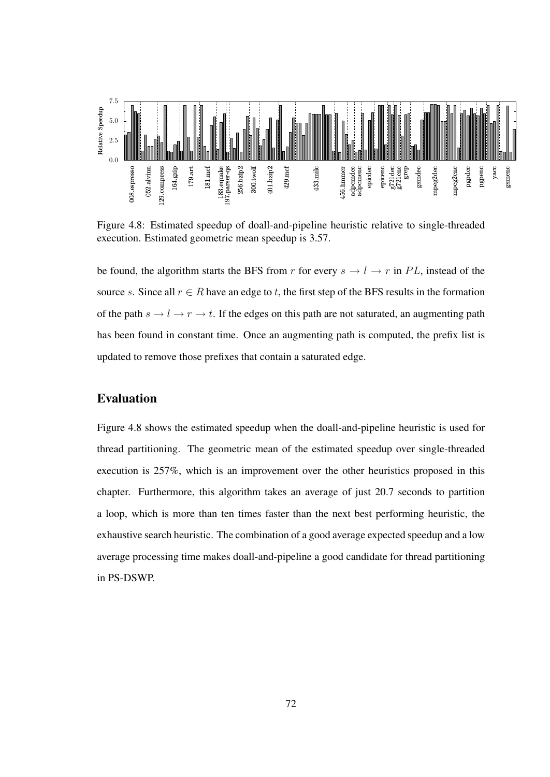

Figure 4.8: Estimated speedup of doall-and-pipeline heuristic relative to single-threaded execution. Estimated geometric mean speedup is 3.57.

be found, the algorithm starts the BFS from r for every  $s \to l \to r$  in PL, instead of the source s. Since all  $r \in R$  have an edge to t, the first step of the BFS results in the formation of the path  $s \to l \to r \to t$ . If the edges on this path are not saturated, an augmenting path has been found in constant time. Once an augmenting path is computed, the prefix list is updated to remove those prefixes that contain a saturated edge.

#### Evaluation

Figure 4.8 shows the estimated speedup when the doall-and-pipeline heuristic is used for thread partitioning. The geometric mean of the estimated speedup over single-threaded execution is 257%, which is an improvement over the other heuristics proposed in this chapter. Furthermore, this algorithm takes an average of just 20.7 seconds to partition a loop, which is more than ten times faster than the next best performing heuristic, the exhaustive search heuristic. The combination of a good average expected speedup and a low average processing time makes doall-and-pipeline a good candidate for thread partitioning in PS-DSWP.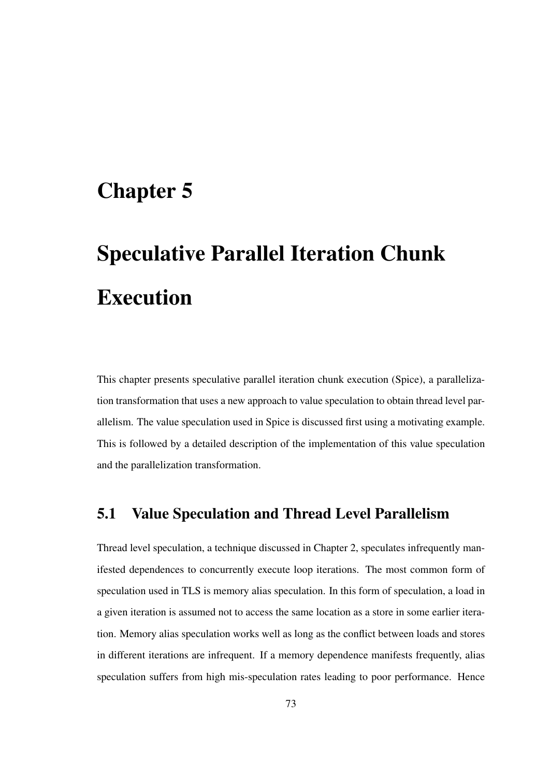# Chapter 5

# Speculative Parallel Iteration Chunk Execution

This chapter presents speculative parallel iteration chunk execution (Spice), a parallelization transformation that uses a new approach to value speculation to obtain thread level parallelism. The value speculation used in Spice is discussed first using a motivating example. This is followed by a detailed description of the implementation of this value speculation and the parallelization transformation.

# 5.1 Value Speculation and Thread Level Parallelism

Thread level speculation, a technique discussed in Chapter 2, speculates infrequently manifested dependences to concurrently execute loop iterations. The most common form of speculation used in TLS is memory alias speculation. In this form of speculation, a load in a given iteration is assumed not to access the same location as a store in some earlier iteration. Memory alias speculation works well as long as the conflict between loads and stores in different iterations are infrequent. If a memory dependence manifests frequently, alias speculation suffers from high mis-speculation rates leading to poor performance. Hence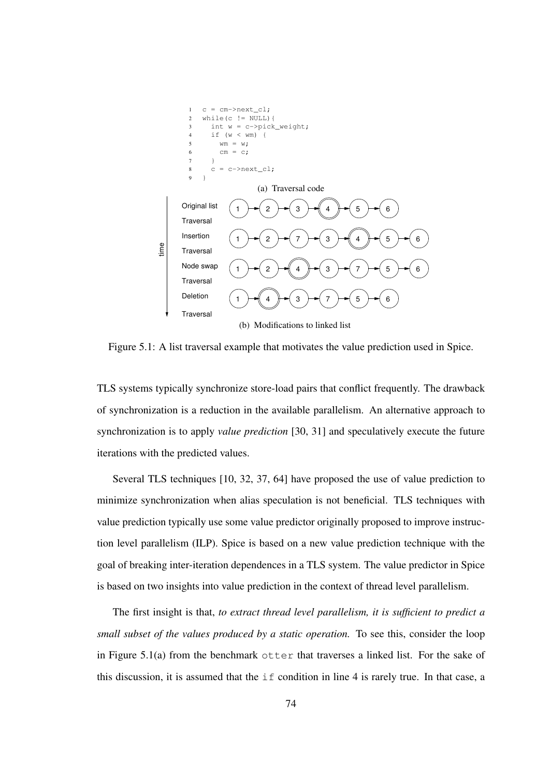

Figure 5.1: A list traversal example that motivates the value prediction used in Spice.

TLS systems typically synchronize store-load pairs that conflict frequently. The drawback of synchronization is a reduction in the available parallelism. An alternative approach to synchronization is to apply *value prediction* [30, 31] and speculatively execute the future iterations with the predicted values.

Several TLS techniques [10, 32, 37, 64] have proposed the use of value prediction to minimize synchronization when alias speculation is not beneficial. TLS techniques with value prediction typically use some value predictor originally proposed to improve instruction level parallelism (ILP). Spice is based on a new value prediction technique with the goal of breaking inter-iteration dependences in a TLS system. The value predictor in Spice is based on two insights into value prediction in the context of thread level parallelism.

The first insight is that, *to extract thread level parallelism, it is sufficient to predict a small subset of the values produced by a static operation.* To see this, consider the loop in Figure 5.1(a) from the benchmark  $\text{other}$  that traverses a linked list. For the sake of this discussion, it is assumed that the if condition in line 4 is rarely true. In that case, a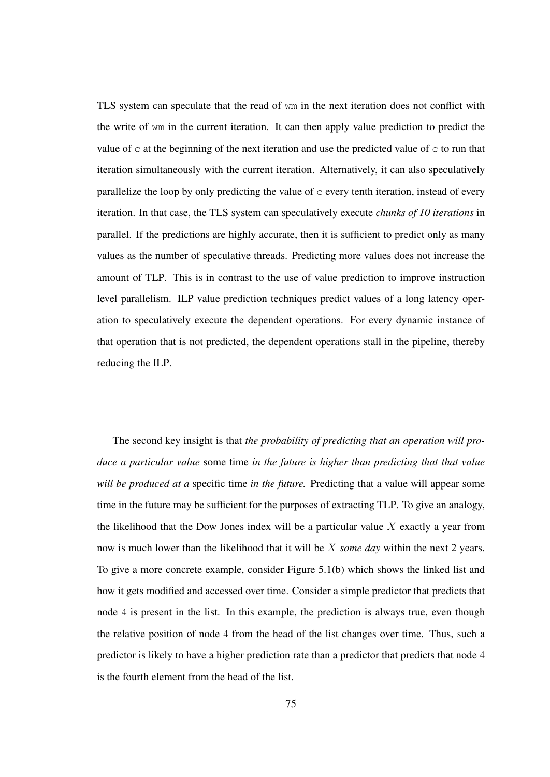TLS system can speculate that the read of wm in the next iteration does not conflict with the write of wm in the current iteration. It can then apply value prediction to predict the value of  $\sigma$  at the beginning of the next iteration and use the predicted value of  $\sigma$  to run that iteration simultaneously with the current iteration. Alternatively, it can also speculatively parallelize the loop by only predicting the value of  $\sigma$  every tenth iteration, instead of every iteration. In that case, the TLS system can speculatively execute *chunks of 10 iterations* in parallel. If the predictions are highly accurate, then it is sufficient to predict only as many values as the number of speculative threads. Predicting more values does not increase the amount of TLP. This is in contrast to the use of value prediction to improve instruction level parallelism. ILP value prediction techniques predict values of a long latency operation to speculatively execute the dependent operations. For every dynamic instance of that operation that is not predicted, the dependent operations stall in the pipeline, thereby reducing the ILP.

The second key insight is that *the probability of predicting that an operation will produce a particular value* some time *in the future is higher than predicting that that value will be produced at a* specific time *in the future.* Predicting that a value will appear some time in the future may be sufficient for the purposes of extracting TLP. To give an analogy, the likelihood that the Dow Jones index will be a particular value  $X$  exactly a year from now is much lower than the likelihood that it will be X *some day* within the next 2 years. To give a more concrete example, consider Figure 5.1(b) which shows the linked list and how it gets modified and accessed over time. Consider a simple predictor that predicts that node 4 is present in the list. In this example, the prediction is always true, even though the relative position of node 4 from the head of the list changes over time. Thus, such a predictor is likely to have a higher prediction rate than a predictor that predicts that node 4 is the fourth element from the head of the list.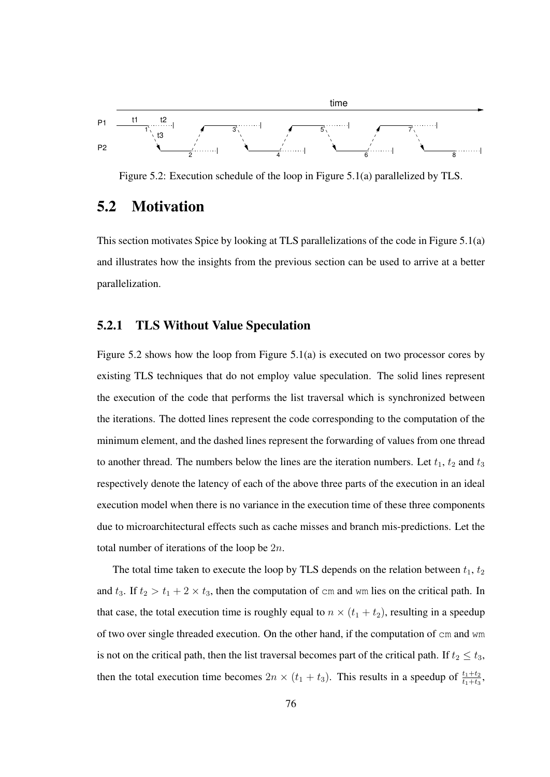

Figure 5.2: Execution schedule of the loop in Figure 5.1(a) parallelized by TLS.

## 5.2 Motivation

This section motivates Spice by looking at TLS parallelizations of the code in Figure 5.1(a) and illustrates how the insights from the previous section can be used to arrive at a better parallelization.

#### 5.2.1 TLS Without Value Speculation

Figure 5.2 shows how the loop from Figure 5.1(a) is executed on two processor cores by existing TLS techniques that do not employ value speculation. The solid lines represent the execution of the code that performs the list traversal which is synchronized between the iterations. The dotted lines represent the code corresponding to the computation of the minimum element, and the dashed lines represent the forwarding of values from one thread to another thread. The numbers below the lines are the iteration numbers. Let  $t_1$ ,  $t_2$  and  $t_3$ respectively denote the latency of each of the above three parts of the execution in an ideal execution model when there is no variance in the execution time of these three components due to microarchitectural effects such as cache misses and branch mis-predictions. Let the total number of iterations of the loop be  $2n$ .

The total time taken to execute the loop by TLS depends on the relation between  $t_1$ ,  $t_2$ and  $t_3$ . If  $t_2 > t_1 + 2 \times t_3$ , then the computation of cm and wm lies on the critical path. In that case, the total execution time is roughly equal to  $n \times (t_1 + t_2)$ , resulting in a speedup of two over single threaded execution. On the other hand, if the computation of cm and wm is not on the critical path, then the list traversal becomes part of the critical path. If  $t_2 \leq t_3$ , then the total execution time becomes  $2n \times (t_1 + t_3)$ . This results in a speedup of  $\frac{t_1+t_2}{t_1+t_3}$ ,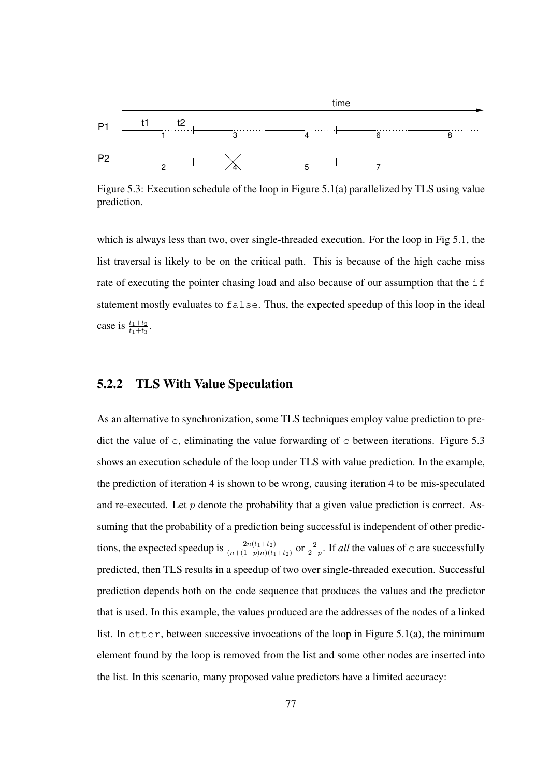

Figure 5.3: Execution schedule of the loop in Figure 5.1(a) parallelized by TLS using value prediction.

which is always less than two, over single-threaded execution. For the loop in Fig 5.1, the list traversal is likely to be on the critical path. This is because of the high cache miss rate of executing the pointer chasing load and also because of our assumption that the if statement mostly evaluates to false. Thus, the expected speedup of this loop in the ideal case is  $\frac{t_1+t_2}{t_1+t_3}$ .

#### 5.2.2 TLS With Value Speculation

As an alternative to synchronization, some TLS techniques employ value prediction to predict the value of  $\sigma$ , eliminating the value forwarding of  $\sigma$  between iterations. Figure 5.3 shows an execution schedule of the loop under TLS with value prediction. In the example, the prediction of iteration 4 is shown to be wrong, causing iteration 4 to be mis-speculated and re-executed. Let p denote the probability that a given value prediction is correct. Assuming that the probability of a prediction being successful is independent of other predictions, the expected speedup is  $\frac{2n(t_1+t_2)}{(n+(1-p)n)(t_1+t_2)}$  or  $\frac{2}{2-p}$ . If *all* the values of c are successfully predicted, then TLS results in a speedup of two over single-threaded execution. Successful prediction depends both on the code sequence that produces the values and the predictor that is used. In this example, the values produced are the addresses of the nodes of a linked list. In  $\circ$ tter, between successive invocations of the loop in Figure 5.1(a), the minimum element found by the loop is removed from the list and some other nodes are inserted into the list. In this scenario, many proposed value predictors have a limited accuracy: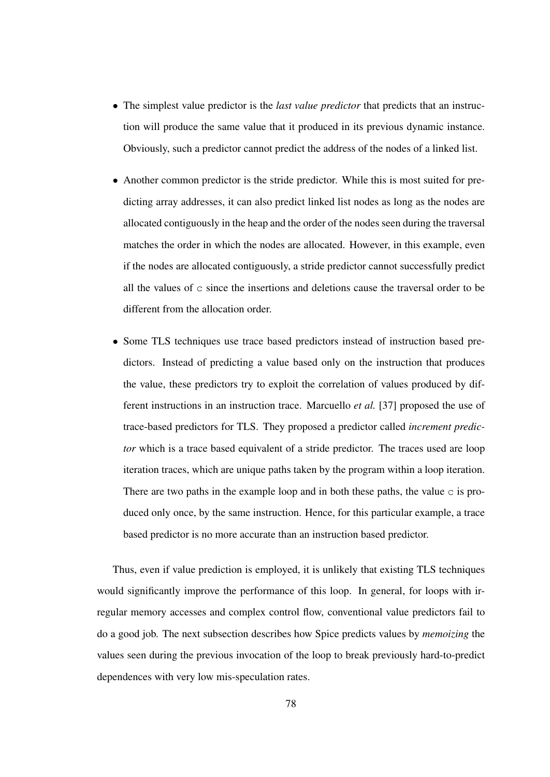- The simplest value predictor is the *last value predictor* that predicts that an instruction will produce the same value that it produced in its previous dynamic instance. Obviously, such a predictor cannot predict the address of the nodes of a linked list.
- Another common predictor is the stride predictor. While this is most suited for predicting array addresses, it can also predict linked list nodes as long as the nodes are allocated contiguously in the heap and the order of the nodes seen during the traversal matches the order in which the nodes are allocated. However, in this example, even if the nodes are allocated contiguously, a stride predictor cannot successfully predict all the values of  $\sigma$  since the insertions and deletions cause the traversal order to be different from the allocation order.
- Some TLS techniques use trace based predictors instead of instruction based predictors. Instead of predicting a value based only on the instruction that produces the value, these predictors try to exploit the correlation of values produced by different instructions in an instruction trace. Marcuello *et al.* [37] proposed the use of trace-based predictors for TLS. They proposed a predictor called *increment predictor* which is a trace based equivalent of a stride predictor. The traces used are loop iteration traces, which are unique paths taken by the program within a loop iteration. There are two paths in the example loop and in both these paths, the value  $\sigma$  is produced only once, by the same instruction. Hence, for this particular example, a trace based predictor is no more accurate than an instruction based predictor.

Thus, even if value prediction is employed, it is unlikely that existing TLS techniques would significantly improve the performance of this loop. In general, for loops with irregular memory accesses and complex control flow, conventional value predictors fail to do a good job. The next subsection describes how Spice predicts values by *memoizing* the values seen during the previous invocation of the loop to break previously hard-to-predict dependences with very low mis-speculation rates.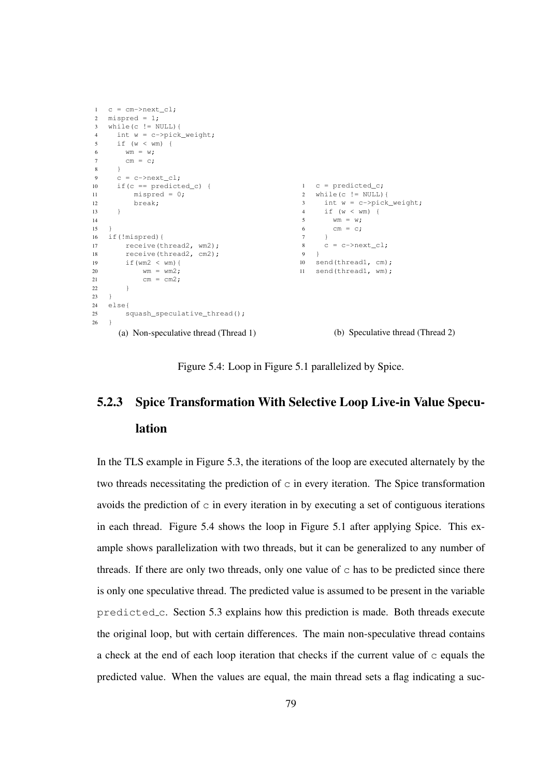```
1 \quad C = \text{cm}->next\text{cl}:2 mispred = 1;
3 while(c != NULL){
4 int w = c->pick_weight;
5 if (w < wm) {
6 wm = w;7 cm = c;
8 }
9 c = c \rightarrow next_cl;10 if (c == predicted_c) {
11 mispred = 0;12 break;
13 }
14
15 \quad \}16 if(!mispred){
17 receive(thread2, wm2);<br>18 receive(thread2, cm2);
       receive(thread2, cm2);
19 if(wm2 < wm){
20 wm = wm2;
21 cm = cm^2;
22 }
23 }
24 else{
25 squash_speculative_thread();
26 \quad \}(a) Non-speculative thread (Thread 1)
                                                1 \quad c = predicted_c;
                                                2 while(c != NULL){
                                                3 int w = c->pick_weight;
                                                4 if (w < wm) {
                                                5 wm = w;
                                                6 cm = c;
                                                7 }
                                                8 \quad c = c \rightarrownextcl;
                                                9 }
                                               10 send(thread1, cm);
                                               11 send(thread1, wm);
                                                        (b) Speculative thread (Thread 2)
```
Figure 5.4: Loop in Figure 5.1 parallelized by Spice.

# 5.2.3 Spice Transformation With Selective Loop Live-in Value Speculation

In the TLS example in Figure 5.3, the iterations of the loop are executed alternately by the two threads necessitating the prediction of  $\sigma$  in every iteration. The Spice transformation avoids the prediction of  $\sigma$  in every iteration in by executing a set of contiguous iterations in each thread. Figure 5.4 shows the loop in Figure 5.1 after applying Spice. This example shows parallelization with two threads, but it can be generalized to any number of threads. If there are only two threads, only one value of  $\sigma$  has to be predicted since there is only one speculative thread. The predicted value is assumed to be present in the variable predicted c. Section 5.3 explains how this prediction is made. Both threads execute the original loop, but with certain differences. The main non-speculative thread contains a check at the end of each loop iteration that checks if the current value of  $\sigma$  equals the predicted value. When the values are equal, the main thread sets a flag indicating a suc-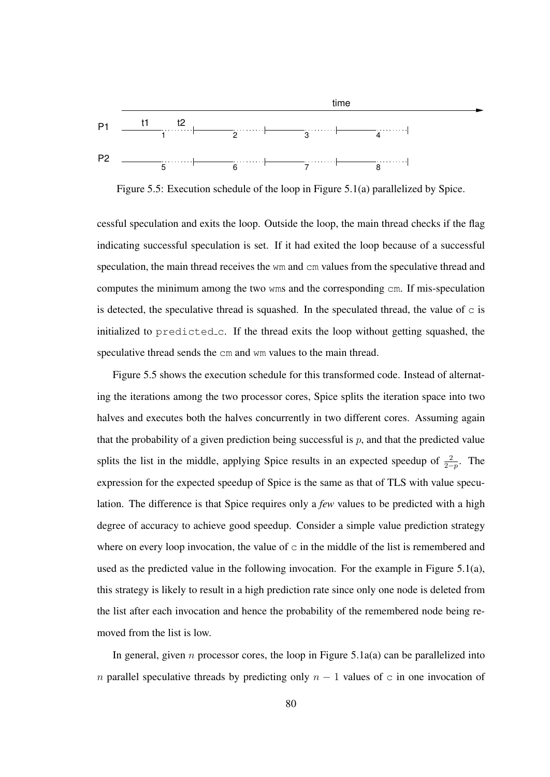

Figure 5.5: Execution schedule of the loop in Figure 5.1(a) parallelized by Spice.

cessful speculation and exits the loop. Outside the loop, the main thread checks if the flag indicating successful speculation is set. If it had exited the loop because of a successful speculation, the main thread receives the wm and cm values from the speculative thread and computes the minimum among the two wms and the corresponding cm. If mis-speculation is detected, the speculative thread is squashed. In the speculated thread, the value of  $\sigma$  is initialized to predicted c. If the thread exits the loop without getting squashed, the speculative thread sends the cm and wm values to the main thread.

Figure 5.5 shows the execution schedule for this transformed code. Instead of alternating the iterations among the two processor cores, Spice splits the iteration space into two halves and executes both the halves concurrently in two different cores. Assuming again that the probability of a given prediction being successful is  $p$ , and that the predicted value splits the list in the middle, applying Spice results in an expected speedup of  $\frac{2}{2-p}$ . The expression for the expected speedup of Spice is the same as that of TLS with value speculation. The difference is that Spice requires only a *few* values to be predicted with a high degree of accuracy to achieve good speedup. Consider a simple value prediction strategy where on every loop invocation, the value of  $\sigma$  in the middle of the list is remembered and used as the predicted value in the following invocation. For the example in Figure 5.1(a), this strategy is likely to result in a high prediction rate since only one node is deleted from the list after each invocation and hence the probability of the remembered node being removed from the list is low.

In general, given n processor cores, the loop in Figure 5.1a(a) can be parallelized into n parallel speculative threads by predicting only  $n - 1$  values of c in one invocation of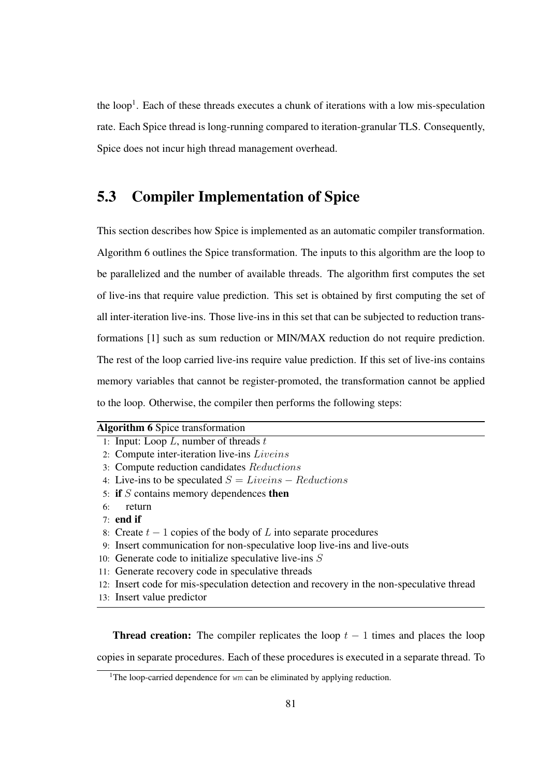the loop<sup>1</sup>. Each of these threads executes a chunk of iterations with a low mis-speculation rate. Each Spice thread is long-running compared to iteration-granular TLS. Consequently, Spice does not incur high thread management overhead.

# 5.3 Compiler Implementation of Spice

This section describes how Spice is implemented as an automatic compiler transformation. Algorithm 6 outlines the Spice transformation. The inputs to this algorithm are the loop to be parallelized and the number of available threads. The algorithm first computes the set of live-ins that require value prediction. This set is obtained by first computing the set of all inter-iteration live-ins. Those live-ins in this set that can be subjected to reduction transformations [1] such as sum reduction or MIN/MAX reduction do not require prediction. The rest of the loop carried live-ins require value prediction. If this set of live-ins contains memory variables that cannot be register-promoted, the transformation cannot be applied to the loop. Otherwise, the compiler then performs the following steps:

| <b>Algorithm 6 Spice transformation</b> |  |  |  |  |
|-----------------------------------------|--|--|--|--|
|-----------------------------------------|--|--|--|--|

- 1: Input: Loop  $L$ , number of threads  $t$
- 2: Compute inter-iteration live-ins Liveins
- 3: Compute reduction candidates Reductions
- 4: Live-ins to be speculated  $S = Lives Reductions$
- 5: if  $S$  contains memory dependences then
- 6: return
- 7: end if
- 8: Create  $t 1$  copies of the body of L into separate procedures
- 9: Insert communication for non-speculative loop live-ins and live-outs
- 10: Generate code to initialize speculative live-ins  $S$
- 11: Generate recovery code in speculative threads
- 12: Insert code for mis-speculation detection and recovery in the non-speculative thread
- 13: Insert value predictor

**Thread creation:** The compiler replicates the loop  $t - 1$  times and places the loop copies in separate procedures. Each of these procedures is executed in a separate thread. To

<sup>&</sup>lt;sup>1</sup>The loop-carried dependence for  $wm$  can be eliminated by applying reduction.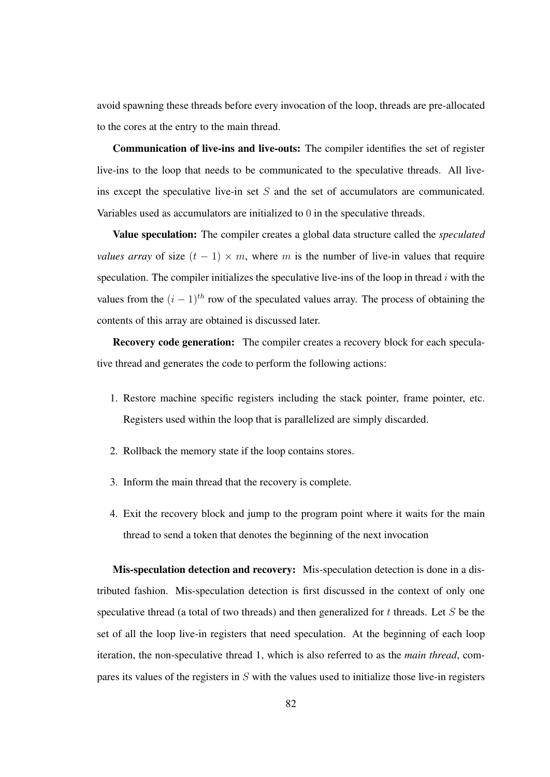avoid spawning these threads before every invocation of the loop, threads are pre-allocated to the cores at the entry to the main thread.

Communication of live-ins and live-outs: The compiler identifies the set of register live-ins to the loop that needs to be communicated to the speculative threads. All liveins except the speculative live-in set  $S$  and the set of accumulators are communicated. Variables used as accumulators are initialized to 0 in the speculative threads.

Value speculation: The compiler creates a global data structure called the *speculated values array* of size  $(t - 1) \times m$ , where m is the number of live-in values that require speculation. The compiler initializes the speculative live-ins of the loop in thread  $i$  with the values from the  $(i - 1)^{th}$  row of the speculated values array. The process of obtaining the contents of this array are obtained is discussed later.

Recovery code generation: The compiler creates a recovery block for each speculative thread and generates the code to perform the following actions:

- 1. Restore machine specific registers including the stack pointer, frame pointer, etc. Registers used within the loop that is parallelized are simply discarded.
- 2. Rollback the memory state if the loop contains stores.
- 3. Inform the main thread that the recovery is complete.
- 4. Exit the recovery block and jump to the program point where it waits for the main thread to send a token that denotes the beginning of the next invocation

Mis-speculation detection and recovery: Mis-speculation detection is done in a distributed fashion. Mis-speculation detection is first discussed in the context of only one speculative thread (a total of two threads) and then generalized for  $t$  threads. Let  $S$  be the set of all the loop live-in registers that need speculation. At the beginning of each loop iteration, the non-speculative thread 1, which is also referred to as the *main thread*, compares its values of the registers in  $S$  with the values used to initialize those live-in registers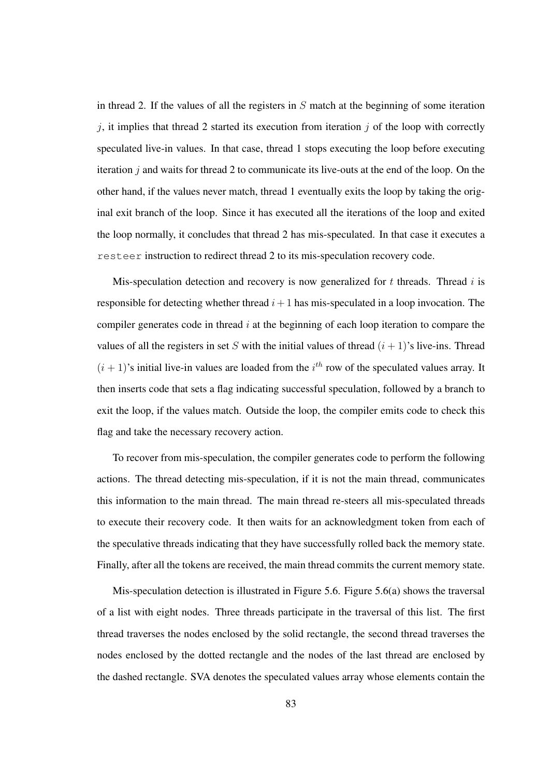in thread 2. If the values of all the registers in  $S$  match at the beginning of some iteration  $j$ , it implies that thread 2 started its execution from iteration  $j$  of the loop with correctly speculated live-in values. In that case, thread 1 stops executing the loop before executing iteration  $j$  and waits for thread 2 to communicate its live-outs at the end of the loop. On the other hand, if the values never match, thread 1 eventually exits the loop by taking the original exit branch of the loop. Since it has executed all the iterations of the loop and exited the loop normally, it concludes that thread 2 has mis-speculated. In that case it executes a resteer instruction to redirect thread 2 to its mis-speculation recovery code.

Mis-speculation detection and recovery is now generalized for  $t$  threads. Thread  $i$  is responsible for detecting whether thread  $i+1$  has mis-speculated in a loop invocation. The compiler generates code in thread  $i$  at the beginning of each loop iteration to compare the values of all the registers in set S with the initial values of thread  $(i + 1)$ 's live-ins. Thread  $(i + 1)$ 's initial live-in values are loaded from the  $i<sup>th</sup>$  row of the speculated values array. It then inserts code that sets a flag indicating successful speculation, followed by a branch to exit the loop, if the values match. Outside the loop, the compiler emits code to check this flag and take the necessary recovery action.

To recover from mis-speculation, the compiler generates code to perform the following actions. The thread detecting mis-speculation, if it is not the main thread, communicates this information to the main thread. The main thread re-steers all mis-speculated threads to execute their recovery code. It then waits for an acknowledgment token from each of the speculative threads indicating that they have successfully rolled back the memory state. Finally, after all the tokens are received, the main thread commits the current memory state.

Mis-speculation detection is illustrated in Figure 5.6. Figure 5.6(a) shows the traversal of a list with eight nodes. Three threads participate in the traversal of this list. The first thread traverses the nodes enclosed by the solid rectangle, the second thread traverses the nodes enclosed by the dotted rectangle and the nodes of the last thread are enclosed by the dashed rectangle. SVA denotes the speculated values array whose elements contain the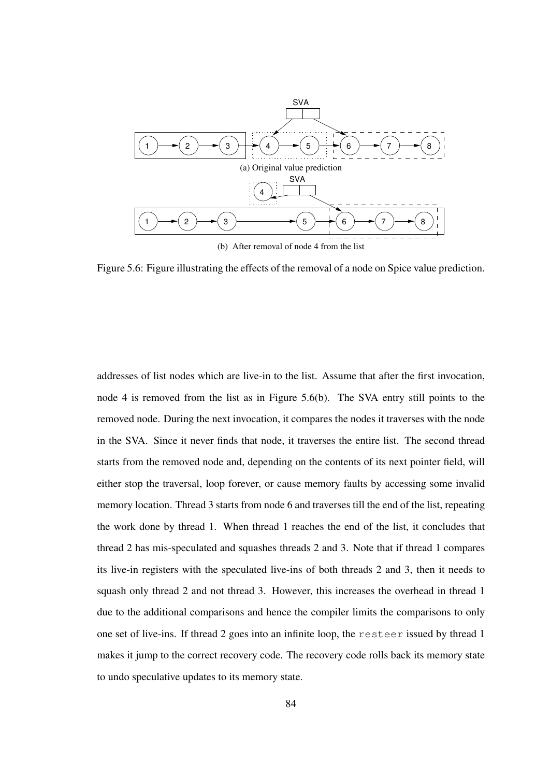

(b) After removal of node 4 from the list

Figure 5.6: Figure illustrating the effects of the removal of a node on Spice value prediction.

addresses of list nodes which are live-in to the list. Assume that after the first invocation, node 4 is removed from the list as in Figure 5.6(b). The SVA entry still points to the removed node. During the next invocation, it compares the nodes it traverses with the node in the SVA. Since it never finds that node, it traverses the entire list. The second thread starts from the removed node and, depending on the contents of its next pointer field, will either stop the traversal, loop forever, or cause memory faults by accessing some invalid memory location. Thread 3 starts from node 6 and traverses till the end of the list, repeating the work done by thread 1. When thread 1 reaches the end of the list, it concludes that thread 2 has mis-speculated and squashes threads 2 and 3. Note that if thread 1 compares its live-in registers with the speculated live-ins of both threads 2 and 3, then it needs to squash only thread 2 and not thread 3. However, this increases the overhead in thread 1 due to the additional comparisons and hence the compiler limits the comparisons to only one set of live-ins. If thread 2 goes into an infinite loop, the resteer issued by thread 1 makes it jump to the correct recovery code. The recovery code rolls back its memory state to undo speculative updates to its memory state.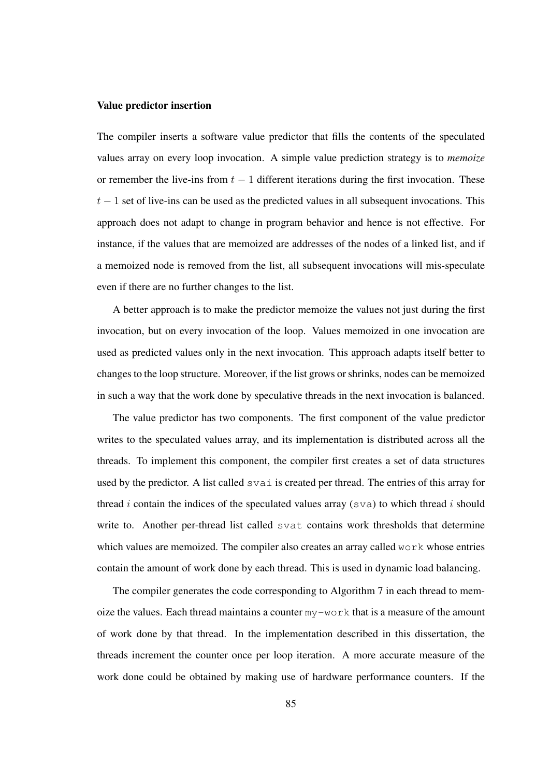#### Value predictor insertion

The compiler inserts a software value predictor that fills the contents of the speculated values array on every loop invocation. A simple value prediction strategy is to *memoize* or remember the live-ins from  $t - 1$  different iterations during the first invocation. These  $t-1$  set of live-ins can be used as the predicted values in all subsequent invocations. This approach does not adapt to change in program behavior and hence is not effective. For instance, if the values that are memoized are addresses of the nodes of a linked list, and if a memoized node is removed from the list, all subsequent invocations will mis-speculate even if there are no further changes to the list.

A better approach is to make the predictor memoize the values not just during the first invocation, but on every invocation of the loop. Values memoized in one invocation are used as predicted values only in the next invocation. This approach adapts itself better to changes to the loop structure. Moreover, if the list grows or shrinks, nodes can be memoized in such a way that the work done by speculative threads in the next invocation is balanced.

The value predictor has two components. The first component of the value predictor writes to the speculated values array, and its implementation is distributed across all the threads. To implement this component, the compiler first creates a set of data structures used by the predictor. A list called svai is created per thread. The entries of this array for thread i contain the indices of the speculated values array ( $sva$ ) to which thread i should write to. Another per-thread list called svat contains work thresholds that determine which values are memoized. The compiler also creates an array called  $w \circ r$ k whose entries contain the amount of work done by each thread. This is used in dynamic load balancing.

The compiler generates the code corresponding to Algorithm 7 in each thread to memoize the values. Each thread maintains a counter my-work that is a measure of the amount of work done by that thread. In the implementation described in this dissertation, the threads increment the counter once per loop iteration. A more accurate measure of the work done could be obtained by making use of hardware performance counters. If the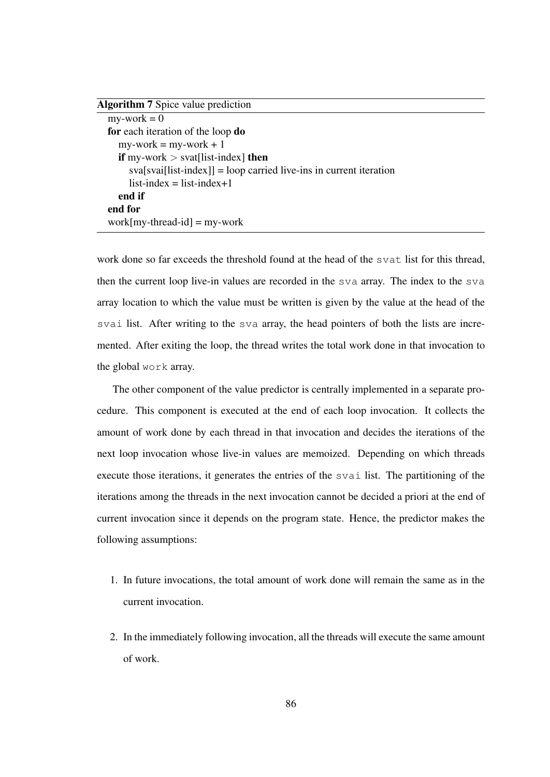| <b>Algorithm 7</b> Spice value prediction                             |
|-----------------------------------------------------------------------|
| $my$ -work = 0                                                        |
| for each iteration of the loop do                                     |
| $my$ -work = my-work + 1                                              |
| <b>if</b> my-work $>$ svat[list-index] <b>then</b>                    |
| $sval[sval[list-index]] = loop carried live-ins in current iteration$ |
| $list$ -index = list-index+1                                          |
| end if                                                                |
| end for                                                               |
| $work[my-thread-id] = my-word$                                        |

work done so far exceeds the threshold found at the head of the svat list for this thread, then the current loop live-in values are recorded in the sva array. The index to the sva array location to which the value must be written is given by the value at the head of the svai list. After writing to the sva array, the head pointers of both the lists are incremented. After exiting the loop, the thread writes the total work done in that invocation to the global work array.

The other component of the value predictor is centrally implemented in a separate procedure. This component is executed at the end of each loop invocation. It collects the amount of work done by each thread in that invocation and decides the iterations of the next loop invocation whose live-in values are memoized. Depending on which threads execute those iterations, it generates the entries of the svai list. The partitioning of the iterations among the threads in the next invocation cannot be decided a priori at the end of current invocation since it depends on the program state. Hence, the predictor makes the following assumptions:

- 1. In future invocations, the total amount of work done will remain the same as in the current invocation.
- 2. In the immediately following invocation, all the threads will execute the same amount of work.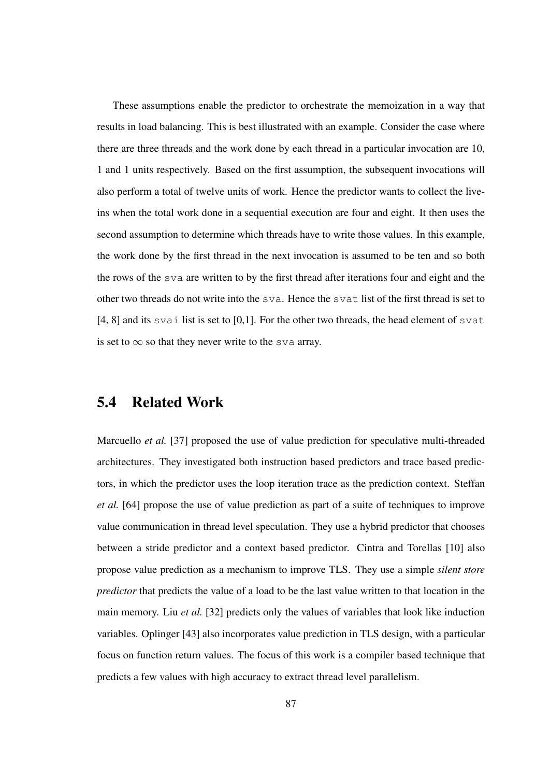These assumptions enable the predictor to orchestrate the memoization in a way that results in load balancing. This is best illustrated with an example. Consider the case where there are three threads and the work done by each thread in a particular invocation are 10, 1 and 1 units respectively. Based on the first assumption, the subsequent invocations will also perform a total of twelve units of work. Hence the predictor wants to collect the liveins when the total work done in a sequential execution are four and eight. It then uses the second assumption to determine which threads have to write those values. In this example, the work done by the first thread in the next invocation is assumed to be ten and so both the rows of the sva are written to by the first thread after iterations four and eight and the other two threads do not write into the sva. Hence the svat list of the first thread is set to [4, 8] and its svai list is set to [0,1]. For the other two threads, the head element of svat is set to  $\infty$  so that they never write to the sva array.

### 5.4 Related Work

Marcuello *et al.* [37] proposed the use of value prediction for speculative multi-threaded architectures. They investigated both instruction based predictors and trace based predictors, in which the predictor uses the loop iteration trace as the prediction context. Steffan *et al.* [64] propose the use of value prediction as part of a suite of techniques to improve value communication in thread level speculation. They use a hybrid predictor that chooses between a stride predictor and a context based predictor. Cintra and Torellas [10] also propose value prediction as a mechanism to improve TLS. They use a simple *silent store predictor* that predicts the value of a load to be the last value written to that location in the main memory. Liu *et al.* [32] predicts only the values of variables that look like induction variables. Oplinger [43] also incorporates value prediction in TLS design, with a particular focus on function return values. The focus of this work is a compiler based technique that predicts a few values with high accuracy to extract thread level parallelism.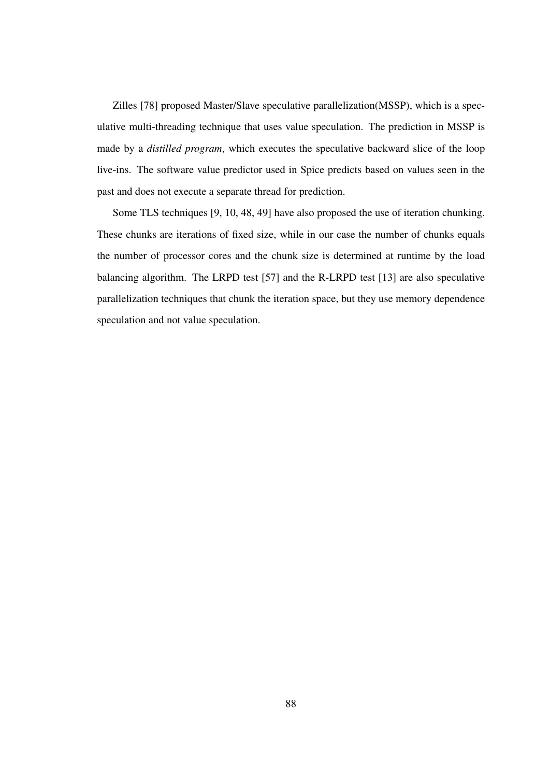Zilles [78] proposed Master/Slave speculative parallelization(MSSP), which is a speculative multi-threading technique that uses value speculation. The prediction in MSSP is made by a *distilled program*, which executes the speculative backward slice of the loop live-ins. The software value predictor used in Spice predicts based on values seen in the past and does not execute a separate thread for prediction.

Some TLS techniques [9, 10, 48, 49] have also proposed the use of iteration chunking. These chunks are iterations of fixed size, while in our case the number of chunks equals the number of processor cores and the chunk size is determined at runtime by the load balancing algorithm. The LRPD test [57] and the R-LRPD test [13] are also speculative parallelization techniques that chunk the iteration space, but they use memory dependence speculation and not value speculation.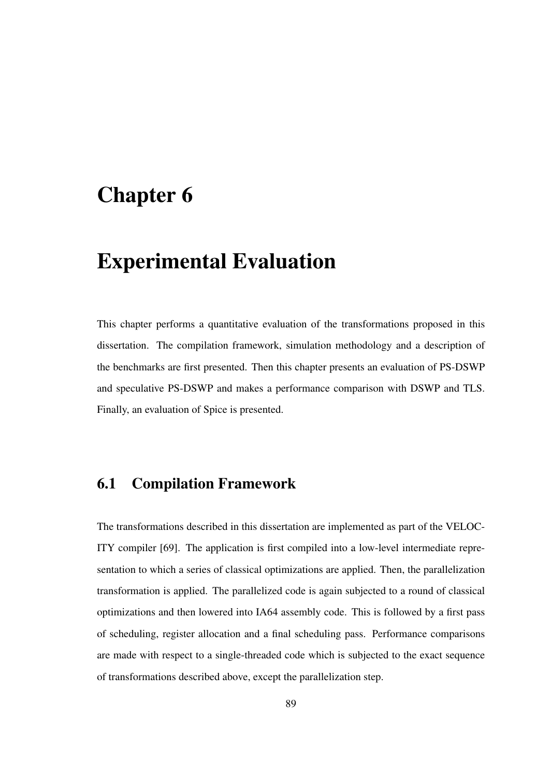# Chapter 6

# Experimental Evaluation

This chapter performs a quantitative evaluation of the transformations proposed in this dissertation. The compilation framework, simulation methodology and a description of the benchmarks are first presented. Then this chapter presents an evaluation of PS-DSWP and speculative PS-DSWP and makes a performance comparison with DSWP and TLS. Finally, an evaluation of Spice is presented.

# 6.1 Compilation Framework

The transformations described in this dissertation are implemented as part of the VELOC-ITY compiler [69]. The application is first compiled into a low-level intermediate representation to which a series of classical optimizations are applied. Then, the parallelization transformation is applied. The parallelized code is again subjected to a round of classical optimizations and then lowered into IA64 assembly code. This is followed by a first pass of scheduling, register allocation and a final scheduling pass. Performance comparisons are made with respect to a single-threaded code which is subjected to the exact sequence of transformations described above, except the parallelization step.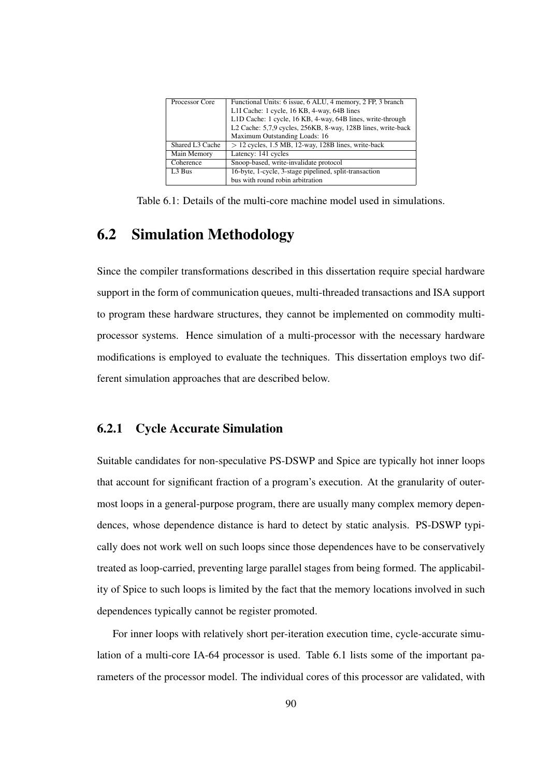| Processor Core     | Functional Units: 6 issue, 6 ALU, 4 memory, 2 FP, 3 branch   |
|--------------------|--------------------------------------------------------------|
|                    | L1I Cache: 1 cycle, 16 KB, 4-way, 64B lines                  |
|                    | L1D Cache: 1 cycle, 16 KB, 4-way, 64B lines, write-through   |
|                    | L2 Cache: 5,7,9 cycles, 256KB, 8-way, 128B lines, write-back |
|                    | Maximum Outstanding Loads: 16                                |
| Shared L3 Cache    | $> 12$ cycles, 1.5 MB, 12-way, 128B lines, write-back        |
| Main Memory        | Latency: 141 cycles                                          |
| Coherence          | Snoop-based, write-invalidate protocol                       |
| L <sub>3</sub> Bus | 16-byte, 1-cycle, 3-stage pipelined, split-transaction       |
|                    | bus with round robin arbitration                             |

Table 6.1: Details of the multi-core machine model used in simulations.

# 6.2 Simulation Methodology

Since the compiler transformations described in this dissertation require special hardware support in the form of communication queues, multi-threaded transactions and ISA support to program these hardware structures, they cannot be implemented on commodity multiprocessor systems. Hence simulation of a multi-processor with the necessary hardware modifications is employed to evaluate the techniques. This dissertation employs two different simulation approaches that are described below.

#### 6.2.1 Cycle Accurate Simulation

Suitable candidates for non-speculative PS-DSWP and Spice are typically hot inner loops that account for significant fraction of a program's execution. At the granularity of outermost loops in a general-purpose program, there are usually many complex memory dependences, whose dependence distance is hard to detect by static analysis. PS-DSWP typically does not work well on such loops since those dependences have to be conservatively treated as loop-carried, preventing large parallel stages from being formed. The applicability of Spice to such loops is limited by the fact that the memory locations involved in such dependences typically cannot be register promoted.

For inner loops with relatively short per-iteration execution time, cycle-accurate simulation of a multi-core IA-64 processor is used. Table 6.1 lists some of the important parameters of the processor model. The individual cores of this processor are validated, with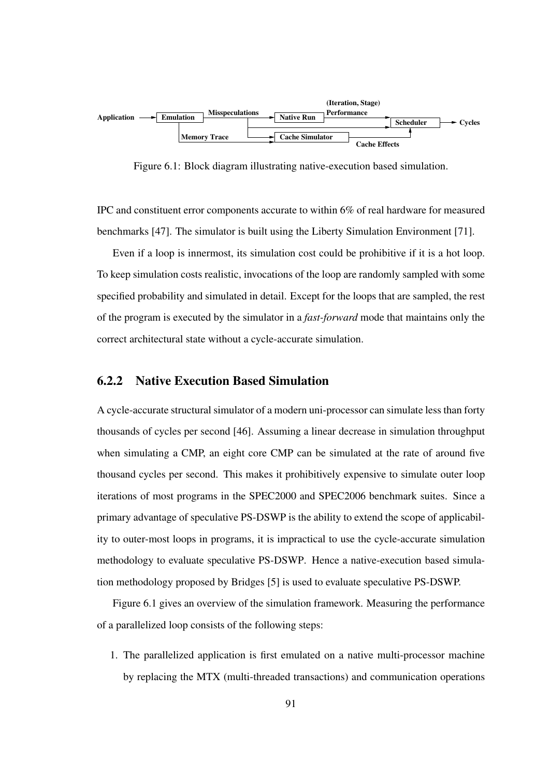

Figure 6.1: Block diagram illustrating native-execution based simulation.

IPC and constituent error components accurate to within 6% of real hardware for measured benchmarks [47]. The simulator is built using the Liberty Simulation Environment [71].

Even if a loop is innermost, its simulation cost could be prohibitive if it is a hot loop. To keep simulation costs realistic, invocations of the loop are randomly sampled with some specified probability and simulated in detail. Except for the loops that are sampled, the rest of the program is executed by the simulator in a *fast-forward* mode that maintains only the correct architectural state without a cycle-accurate simulation.

#### 6.2.2 Native Execution Based Simulation

A cycle-accurate structural simulator of a modern uni-processor can simulate less than forty thousands of cycles per second [46]. Assuming a linear decrease in simulation throughput when simulating a CMP, an eight core CMP can be simulated at the rate of around five thousand cycles per second. This makes it prohibitively expensive to simulate outer loop iterations of most programs in the SPEC2000 and SPEC2006 benchmark suites. Since a primary advantage of speculative PS-DSWP is the ability to extend the scope of applicability to outer-most loops in programs, it is impractical to use the cycle-accurate simulation methodology to evaluate speculative PS-DSWP. Hence a native-execution based simulation methodology proposed by Bridges [5] is used to evaluate speculative PS-DSWP.

Figure 6.1 gives an overview of the simulation framework. Measuring the performance of a parallelized loop consists of the following steps:

1. The parallelized application is first emulated on a native multi-processor machine by replacing the MTX (multi-threaded transactions) and communication operations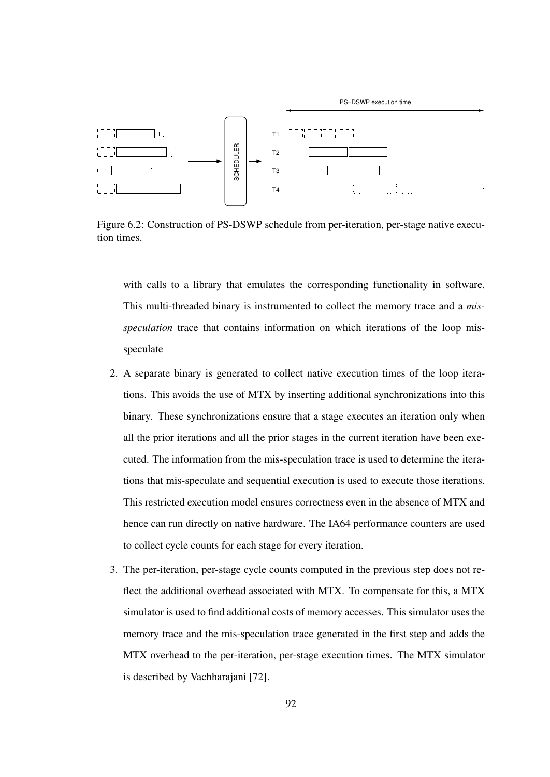

Figure 6.2: Construction of PS-DSWP schedule from per-iteration, per-stage native execution times.

with calls to a library that emulates the corresponding functionality in software. This multi-threaded binary is instrumented to collect the memory trace and a *misspeculation* trace that contains information on which iterations of the loop misspeculate

- 2. A separate binary is generated to collect native execution times of the loop iterations. This avoids the use of MTX by inserting additional synchronizations into this binary. These synchronizations ensure that a stage executes an iteration only when all the prior iterations and all the prior stages in the current iteration have been executed. The information from the mis-speculation trace is used to determine the iterations that mis-speculate and sequential execution is used to execute those iterations. This restricted execution model ensures correctness even in the absence of MTX and hence can run directly on native hardware. The IA64 performance counters are used to collect cycle counts for each stage for every iteration.
- 3. The per-iteration, per-stage cycle counts computed in the previous step does not reflect the additional overhead associated with MTX. To compensate for this, a MTX simulator is used to find additional costs of memory accesses. This simulator uses the memory trace and the mis-speculation trace generated in the first step and adds the MTX overhead to the per-iteration, per-stage execution times. The MTX simulator is described by Vachharajani [72].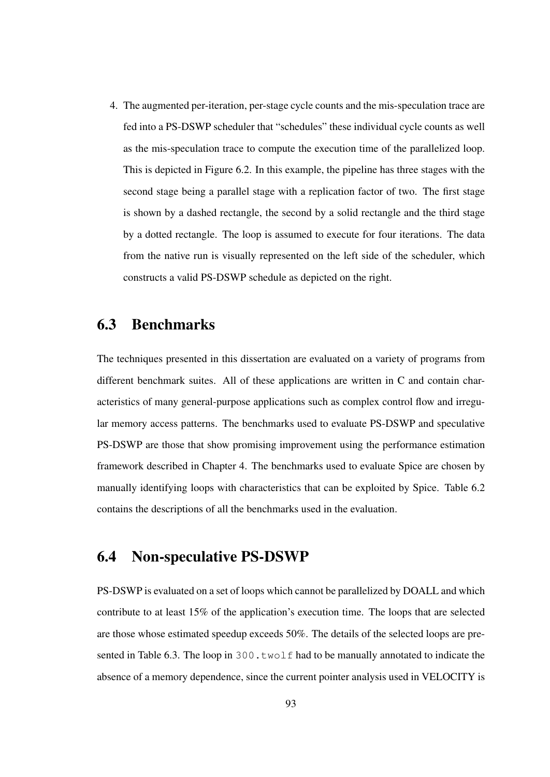4. The augmented per-iteration, per-stage cycle counts and the mis-speculation trace are fed into a PS-DSWP scheduler that "schedules" these individual cycle counts as well as the mis-speculation trace to compute the execution time of the parallelized loop. This is depicted in Figure 6.2. In this example, the pipeline has three stages with the second stage being a parallel stage with a replication factor of two. The first stage is shown by a dashed rectangle, the second by a solid rectangle and the third stage by a dotted rectangle. The loop is assumed to execute for four iterations. The data from the native run is visually represented on the left side of the scheduler, which constructs a valid PS-DSWP schedule as depicted on the right.

# 6.3 Benchmarks

The techniques presented in this dissertation are evaluated on a variety of programs from different benchmark suites. All of these applications are written in C and contain characteristics of many general-purpose applications such as complex control flow and irregular memory access patterns. The benchmarks used to evaluate PS-DSWP and speculative PS-DSWP are those that show promising improvement using the performance estimation framework described in Chapter 4. The benchmarks used to evaluate Spice are chosen by manually identifying loops with characteristics that can be exploited by Spice. Table 6.2 contains the descriptions of all the benchmarks used in the evaluation.

# 6.4 Non-speculative PS-DSWP

PS-DSWP is evaluated on a set of loops which cannot be parallelized by DOALL and which contribute to at least 15% of the application's execution time. The loops that are selected are those whose estimated speedup exceeds 50%. The details of the selected loops are presented in Table 6.3. The loop in  $300 \cdot twol \text{f}$  had to be manually annotated to indicate the absence of a memory dependence, since the current pointer analysis used in VELOCITY is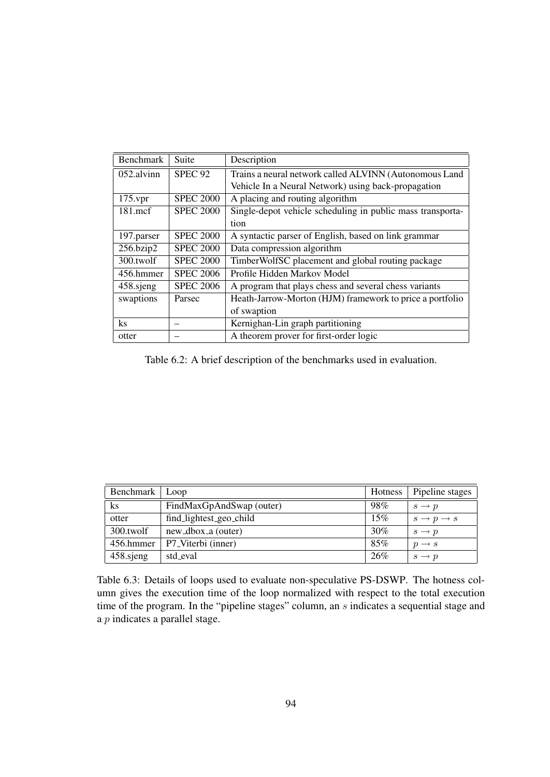| <b>Benchmark</b> | Suite            | Description                                                |  |
|------------------|------------------|------------------------------------------------------------|--|
| 052.alvinn       | <b>SPEC 92</b>   | Trains a neural network called ALVINN (Autonomous Land     |  |
|                  |                  | Vehicle In a Neural Network) using back-propagation        |  |
| $175$ .vpr       | <b>SPEC 2000</b> | A placing and routing algorithm                            |  |
| $181$ .mcf       | <b>SPEC 2000</b> | Single-depot vehicle scheduling in public mass transporta- |  |
|                  |                  | tion                                                       |  |
| 197.parser       | <b>SPEC 2000</b> | A syntactic parser of English, based on link grammar       |  |
| 256.bzip2        | <b>SPEC 2000</b> | Data compression algorithm                                 |  |
| 300.twolf        | <b>SPEC 2000</b> | TimberWolfSC placement and global routing package          |  |
| 456.hmmer        | <b>SPEC 2006</b> | Profile Hidden Markov Model                                |  |
| 458.sjeng        | <b>SPEC 2006</b> | A program that plays chess and several chess variants      |  |
| swaptions        | Parsec           | Heath-Jarrow-Morton (HJM) framework to price a portfolio   |  |
|                  |                  | of swaption                                                |  |
| ks               |                  | Kernighan-Lin graph partitioning                           |  |
| otter            |                  | A theorem prover for first-order logic                     |  |

Table 6.2: A brief description of the benchmarks used in evaluation.

| Benchmark | Loop                     | Hotness | Pipeline stages                 |
|-----------|--------------------------|---------|---------------------------------|
| $\rm ks$  | FindMaxGpAndSwap (outer) | 98%     | $s \rightarrow p$               |
| otter     | find_lightest_geo_child  | 15%     | $s \rightarrow p \rightarrow s$ |
| 300.twolf | new_dbox_a (outer)       | 30%     | $s \rightarrow p$               |
| 456.hmmer | P7_Viterbi (inner)       | 85%     | $p \rightarrow s$               |
| 458.sjeng | std_eval                 | 26%     | $s \rightarrow p$               |

Table 6.3: Details of loops used to evaluate non-speculative PS-DSWP. The hotness column gives the execution time of the loop normalized with respect to the total execution time of the program. In the "pipeline stages" column, an s indicates a sequential stage and a p indicates a parallel stage.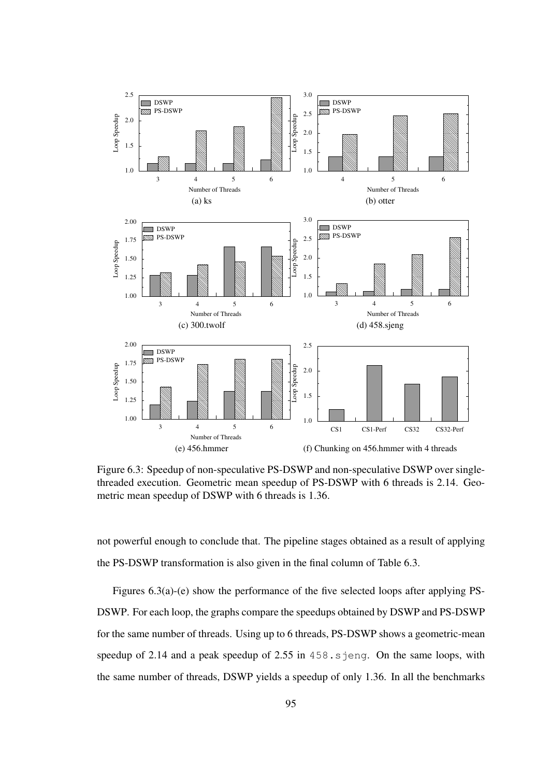

Figure 6.3: Speedup of non-speculative PS-DSWP and non-speculative DSWP over singlethreaded execution. Geometric mean speedup of PS-DSWP with 6 threads is 2.14. Geometric mean speedup of DSWP with 6 threads is 1.36.

not powerful enough to conclude that. The pipeline stages obtained as a result of applying the PS-DSWP transformation is also given in the final column of Table 6.3.

Figures 6.3(a)-(e) show the performance of the five selected loops after applying PS-DSWP. For each loop, the graphs compare the speedups obtained by DSWP and PS-DSWP for the same number of threads. Using up to 6 threads, PS-DSWP shows a geometric-mean speedup of 2.14 and a peak speedup of  $2.55$  in  $458$ . sjeng. On the same loops, with the same number of threads, DSWP yields a speedup of only 1.36. In all the benchmarks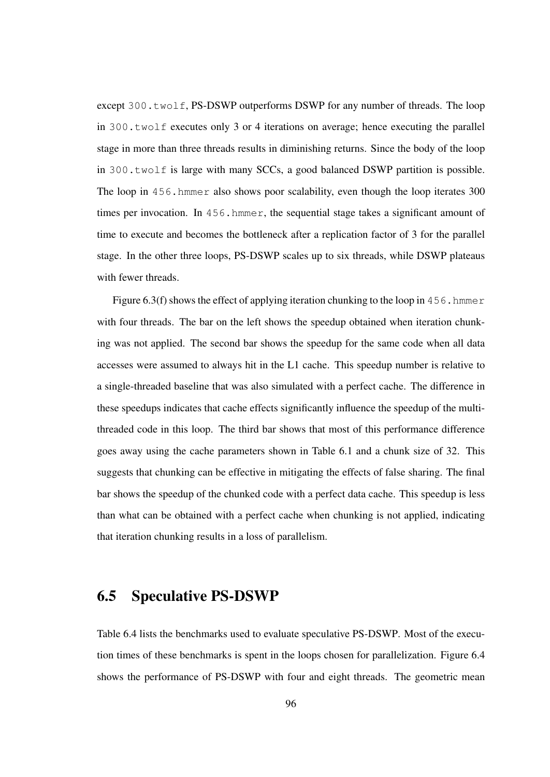except 300, twolf, PS-DSWP outperforms DSWP for any number of threads. The loop in 300.twolf executes only 3 or 4 iterations on average; hence executing the parallel stage in more than three threads results in diminishing returns. Since the body of the loop in 300.twolf is large with many SCCs, a good balanced DSWP partition is possible. The loop in 456.hmmer also shows poor scalability, even though the loop iterates 300 times per invocation. In 456.hmmer, the sequential stage takes a significant amount of time to execute and becomes the bottleneck after a replication factor of 3 for the parallel stage. In the other three loops, PS-DSWP scales up to six threads, while DSWP plateaus with fewer threads.

Figure 6.3(f) shows the effect of applying iteration chunking to the loop in 456.hmmer with four threads. The bar on the left shows the speedup obtained when iteration chunking was not applied. The second bar shows the speedup for the same code when all data accesses were assumed to always hit in the L1 cache. This speedup number is relative to a single-threaded baseline that was also simulated with a perfect cache. The difference in these speedups indicates that cache effects significantly influence the speedup of the multithreaded code in this loop. The third bar shows that most of this performance difference goes away using the cache parameters shown in Table 6.1 and a chunk size of 32. This suggests that chunking can be effective in mitigating the effects of false sharing. The final bar shows the speedup of the chunked code with a perfect data cache. This speedup is less than what can be obtained with a perfect cache when chunking is not applied, indicating that iteration chunking results in a loss of parallelism.

## 6.5 Speculative PS-DSWP

Table 6.4 lists the benchmarks used to evaluate speculative PS-DSWP. Most of the execution times of these benchmarks is spent in the loops chosen for parallelization. Figure 6.4 shows the performance of PS-DSWP with four and eight threads. The geometric mean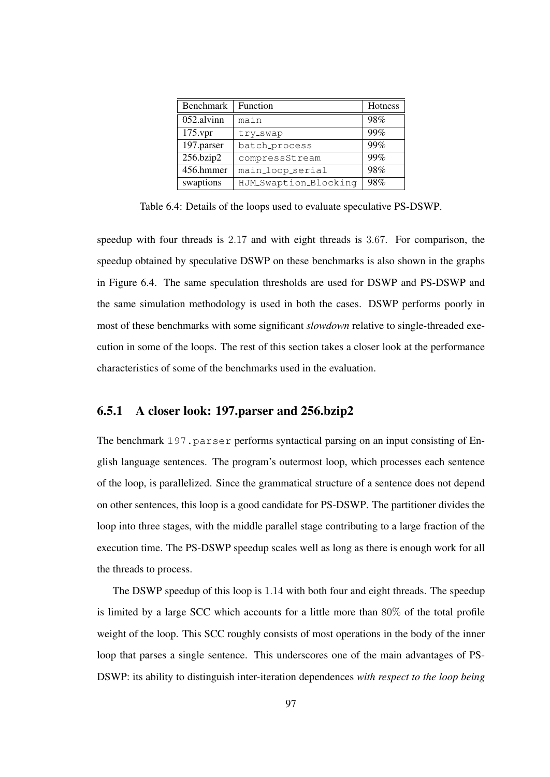| <b>Benchmark</b> | Function              | Hotness |
|------------------|-----------------------|---------|
| 052.alvinn       | main                  | 98%     |
| $175$ .vpr       | try_swap              | 99%     |
| 197.parser       | batch_process         | 99%     |
| 256.bzip2        | compressStream        | 99%     |
| 456.hmmer        | main_loop_serial      | 98%     |
| swaptions        | HJM_Swaption_Blocking | 98%     |

Table 6.4: Details of the loops used to evaluate speculative PS-DSWP.

speedup with four threads is 2.17 and with eight threads is 3.67. For comparison, the speedup obtained by speculative DSWP on these benchmarks is also shown in the graphs in Figure 6.4. The same speculation thresholds are used for DSWP and PS-DSWP and the same simulation methodology is used in both the cases. DSWP performs poorly in most of these benchmarks with some significant *slowdown* relative to single-threaded execution in some of the loops. The rest of this section takes a closer look at the performance characteristics of some of the benchmarks used in the evaluation.

#### 6.5.1 A closer look: 197.parser and 256.bzip2

The benchmark  $197$ , parser performs syntactical parsing on an input consisting of English language sentences. The program's outermost loop, which processes each sentence of the loop, is parallelized. Since the grammatical structure of a sentence does not depend on other sentences, this loop is a good candidate for PS-DSWP. The partitioner divides the loop into three stages, with the middle parallel stage contributing to a large fraction of the execution time. The PS-DSWP speedup scales well as long as there is enough work for all the threads to process.

The DSWP speedup of this loop is 1.14 with both four and eight threads. The speedup is limited by a large SCC which accounts for a little more than 80% of the total profile weight of the loop. This SCC roughly consists of most operations in the body of the inner loop that parses a single sentence. This underscores one of the main advantages of PS-DSWP: its ability to distinguish inter-iteration dependences *with respect to the loop being*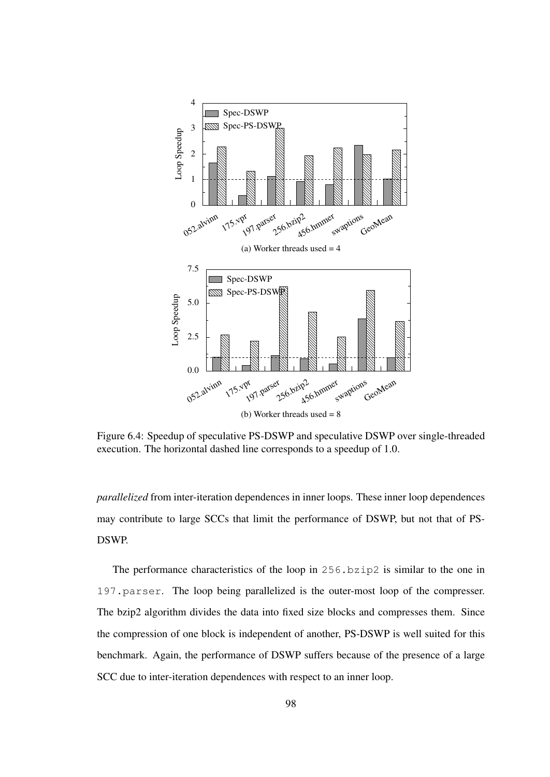

Figure 6.4: Speedup of speculative PS-DSWP and speculative DSWP over single-threaded execution. The horizontal dashed line corresponds to a speedup of 1.0.

*parallelized* from inter-iteration dependences in inner loops. These inner loop dependences may contribute to large SCCs that limit the performance of DSWP, but not that of PS-DSWP.

The performance characteristics of the loop in 256.bzip2 is similar to the one in 197.parser. The loop being parallelized is the outer-most loop of the compresser. The bzip2 algorithm divides the data into fixed size blocks and compresses them. Since the compression of one block is independent of another, PS-DSWP is well suited for this benchmark. Again, the performance of DSWP suffers because of the presence of a large SCC due to inter-iteration dependences with respect to an inner loop.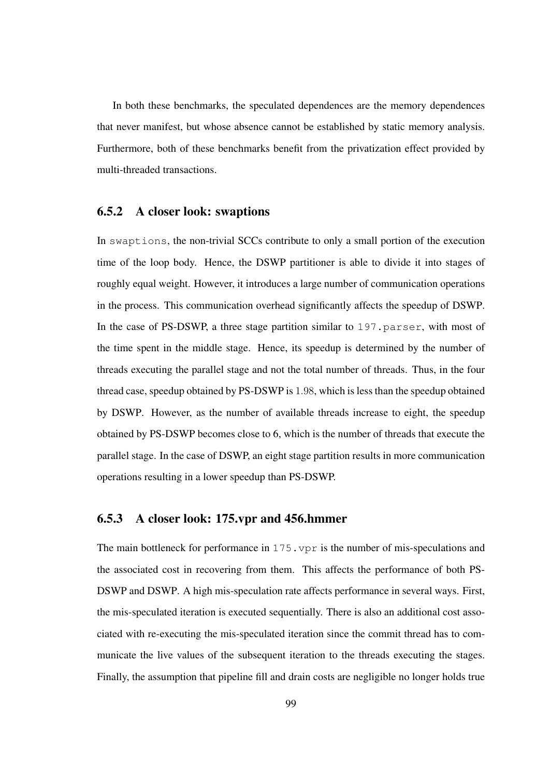In both these benchmarks, the speculated dependences are the memory dependences that never manifest, but whose absence cannot be established by static memory analysis. Furthermore, both of these benchmarks benefit from the privatization effect provided by multi-threaded transactions.

#### 6.5.2 A closer look: swaptions

In swaptions, the non-trivial SCCs contribute to only a small portion of the execution time of the loop body. Hence, the DSWP partitioner is able to divide it into stages of roughly equal weight. However, it introduces a large number of communication operations in the process. This communication overhead significantly affects the speedup of DSWP. In the case of PS-DSWP, a three stage partition similar to 197. parser, with most of the time spent in the middle stage. Hence, its speedup is determined by the number of threads executing the parallel stage and not the total number of threads. Thus, in the four thread case, speedup obtained by PS-DSWP is 1.98, which is less than the speedup obtained by DSWP. However, as the number of available threads increase to eight, the speedup obtained by PS-DSWP becomes close to 6, which is the number of threads that execute the parallel stage. In the case of DSWP, an eight stage partition results in more communication operations resulting in a lower speedup than PS-DSWP.

#### 6.5.3 A closer look: 175.vpr and 456.hmmer

The main bottleneck for performance in 175. vpr is the number of mis-speculations and the associated cost in recovering from them. This affects the performance of both PS-DSWP and DSWP. A high mis-speculation rate affects performance in several ways. First, the mis-speculated iteration is executed sequentially. There is also an additional cost associated with re-executing the mis-speculated iteration since the commit thread has to communicate the live values of the subsequent iteration to the threads executing the stages. Finally, the assumption that pipeline fill and drain costs are negligible no longer holds true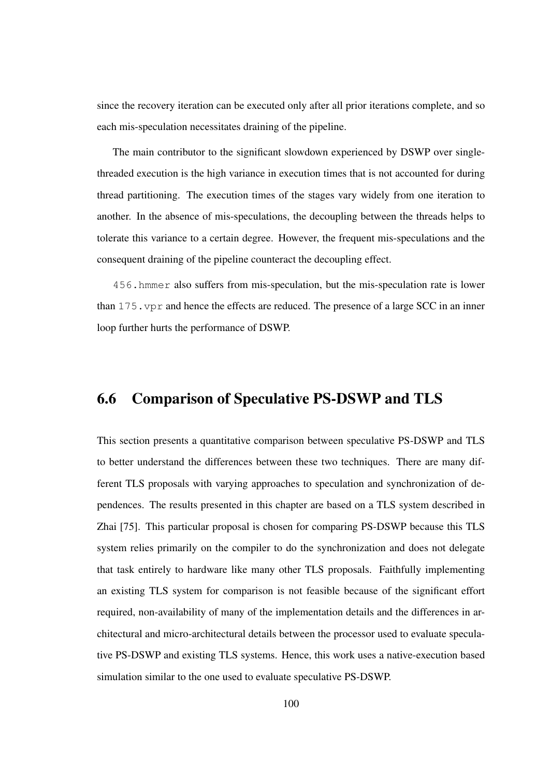since the recovery iteration can be executed only after all prior iterations complete, and so each mis-speculation necessitates draining of the pipeline.

The main contributor to the significant slowdown experienced by DSWP over singlethreaded execution is the high variance in execution times that is not accounted for during thread partitioning. The execution times of the stages vary widely from one iteration to another. In the absence of mis-speculations, the decoupling between the threads helps to tolerate this variance to a certain degree. However, the frequent mis-speculations and the consequent draining of the pipeline counteract the decoupling effect.

456.hmmer also suffers from mis-speculation, but the mis-speculation rate is lower than 175.vpr and hence the effects are reduced. The presence of a large SCC in an inner loop further hurts the performance of DSWP.

## 6.6 Comparison of Speculative PS-DSWP and TLS

This section presents a quantitative comparison between speculative PS-DSWP and TLS to better understand the differences between these two techniques. There are many different TLS proposals with varying approaches to speculation and synchronization of dependences. The results presented in this chapter are based on a TLS system described in Zhai [75]. This particular proposal is chosen for comparing PS-DSWP because this TLS system relies primarily on the compiler to do the synchronization and does not delegate that task entirely to hardware like many other TLS proposals. Faithfully implementing an existing TLS system for comparison is not feasible because of the significant effort required, non-availability of many of the implementation details and the differences in architectural and micro-architectural details between the processor used to evaluate speculative PS-DSWP and existing TLS systems. Hence, this work uses a native-execution based simulation similar to the one used to evaluate speculative PS-DSWP.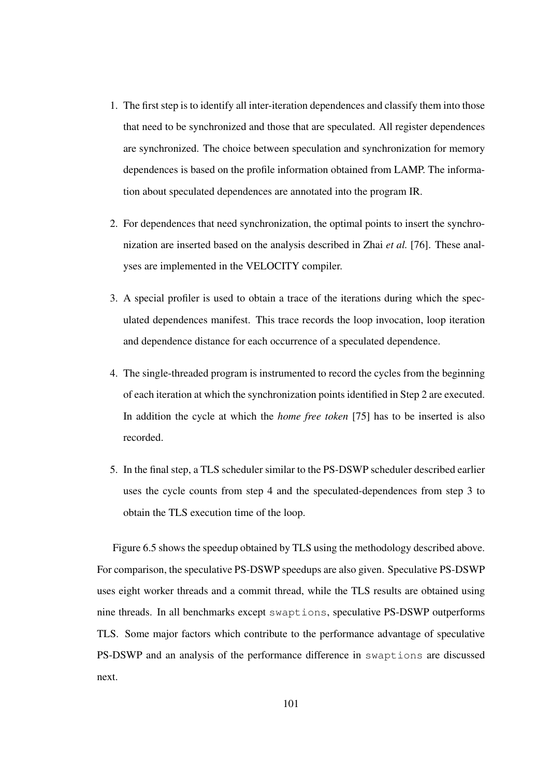- 1. The first step is to identify all inter-iteration dependences and classify them into those that need to be synchronized and those that are speculated. All register dependences are synchronized. The choice between speculation and synchronization for memory dependences is based on the profile information obtained from LAMP. The information about speculated dependences are annotated into the program IR.
- 2. For dependences that need synchronization, the optimal points to insert the synchronization are inserted based on the analysis described in Zhai *et al.* [76]. These analyses are implemented in the VELOCITY compiler.
- 3. A special profiler is used to obtain a trace of the iterations during which the speculated dependences manifest. This trace records the loop invocation, loop iteration and dependence distance for each occurrence of a speculated dependence.
- 4. The single-threaded program is instrumented to record the cycles from the beginning of each iteration at which the synchronization points identified in Step 2 are executed. In addition the cycle at which the *home free token* [75] has to be inserted is also recorded.
- 5. In the final step, a TLS scheduler similar to the PS-DSWP scheduler described earlier uses the cycle counts from step 4 and the speculated-dependences from step 3 to obtain the TLS execution time of the loop.

Figure 6.5 shows the speedup obtained by TLS using the methodology described above. For comparison, the speculative PS-DSWP speedups are also given. Speculative PS-DSWP uses eight worker threads and a commit thread, while the TLS results are obtained using nine threads. In all benchmarks except swaptions, speculative PS-DSWP outperforms TLS. Some major factors which contribute to the performance advantage of speculative PS-DSWP and an analysis of the performance difference in swaptions are discussed next.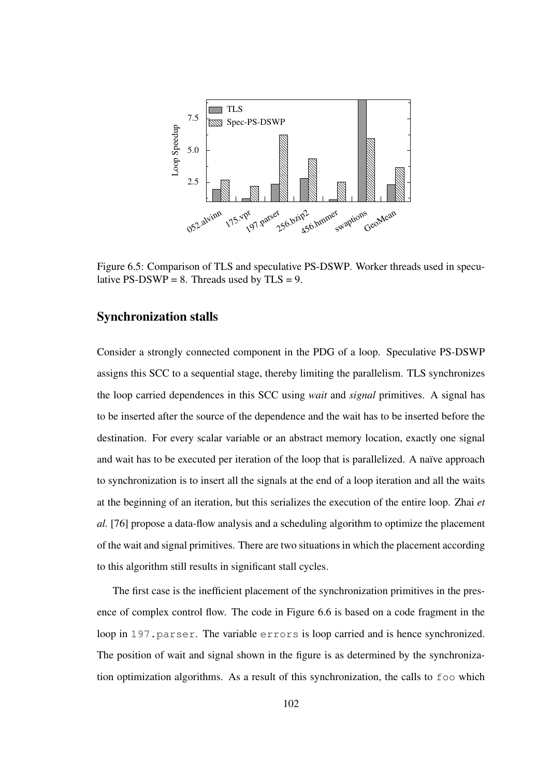

Figure 6.5: Comparison of TLS and speculative PS-DSWP. Worker threads used in speculative PS-DSWP = 8. Threads used by  $TLS = 9$ .

### Synchronization stalls

Consider a strongly connected component in the PDG of a loop. Speculative PS-DSWP assigns this SCC to a sequential stage, thereby limiting the parallelism. TLS synchronizes the loop carried dependences in this SCC using *wait* and *signal* primitives. A signal has to be inserted after the source of the dependence and the wait has to be inserted before the destination. For every scalar variable or an abstract memory location, exactly one signal and wait has to be executed per iteration of the loop that is parallelized. A naïve approach to synchronization is to insert all the signals at the end of a loop iteration and all the waits at the beginning of an iteration, but this serializes the execution of the entire loop. Zhai *et al.* [76] propose a data-flow analysis and a scheduling algorithm to optimize the placement of the wait and signal primitives. There are two situations in which the placement according to this algorithm still results in significant stall cycles.

The first case is the inefficient placement of the synchronization primitives in the presence of complex control flow. The code in Figure 6.6 is based on a code fragment in the loop in 197. parser. The variable errors is loop carried and is hence synchronized. The position of wait and signal shown in the figure is as determined by the synchronization optimization algorithms. As a result of this synchronization, the calls to foo which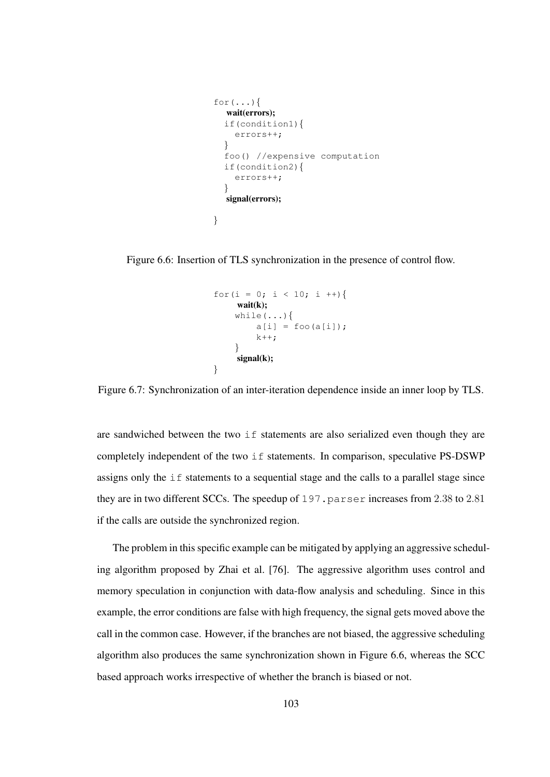```
for (\ldots) {
  wait(errors);
  if(condition1){
    errors++;
  }
  foo() //expensive computation
  if(condition2){
    errors++;
  }
  signal(errors);
}
```
Figure 6.6: Insertion of TLS synchronization in the presence of control flow.

```
for(i = 0; i < 10; i ++){
    wait(k);
    while(...){
         a[i] = foo(a[i]);
        k++;}
    signal(k);
}
```
Figure 6.7: Synchronization of an inter-iteration dependence inside an inner loop by TLS.

are sandwiched between the two if statements are also serialized even though they are completely independent of the two if statements. In comparison, speculative PS-DSWP assigns only the if statements to a sequential stage and the calls to a parallel stage since they are in two different SCCs. The speedup of  $197$ , parser increases from 2.38 to 2.81 if the calls are outside the synchronized region.

The problem in this specific example can be mitigated by applying an aggressive scheduling algorithm proposed by Zhai et al. [76]. The aggressive algorithm uses control and memory speculation in conjunction with data-flow analysis and scheduling. Since in this example, the error conditions are false with high frequency, the signal gets moved above the call in the common case. However, if the branches are not biased, the aggressive scheduling algorithm also produces the same synchronization shown in Figure 6.6, whereas the SCC based approach works irrespective of whether the branch is biased or not.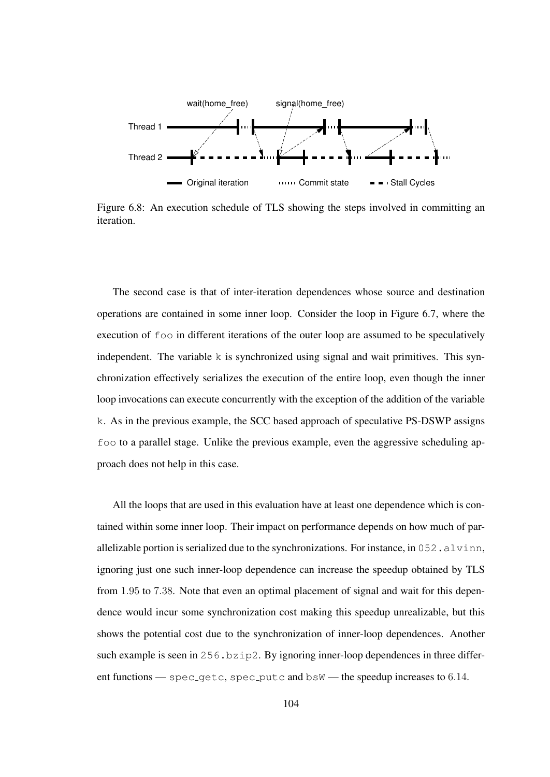

Figure 6.8: An execution schedule of TLS showing the steps involved in committing an iteration.

The second case is that of inter-iteration dependences whose source and destination operations are contained in some inner loop. Consider the loop in Figure 6.7, where the execution of foo in different iterations of the outer loop are assumed to be speculatively independent. The variable  $k$  is synchronized using signal and wait primitives. This synchronization effectively serializes the execution of the entire loop, even though the inner loop invocations can execute concurrently with the exception of the addition of the variable k. As in the previous example, the SCC based approach of speculative PS-DSWP assigns foo to a parallel stage. Unlike the previous example, even the aggressive scheduling approach does not help in this case.

All the loops that are used in this evaluation have at least one dependence which is contained within some inner loop. Their impact on performance depends on how much of parallelizable portion is serialized due to the synchronizations. For instance, in  $052$ . alvinn, ignoring just one such inner-loop dependence can increase the speedup obtained by TLS from 1.95 to 7.38. Note that even an optimal placement of signal and wait for this dependence would incur some synchronization cost making this speedup unrealizable, but this shows the potential cost due to the synchronization of inner-loop dependences. Another such example is seen in 256.bzip2. By ignoring inner-loop dependences in three different functions  $-$  spec qetc, spec putc and  $bsW$  — the speedup increases to 6.14.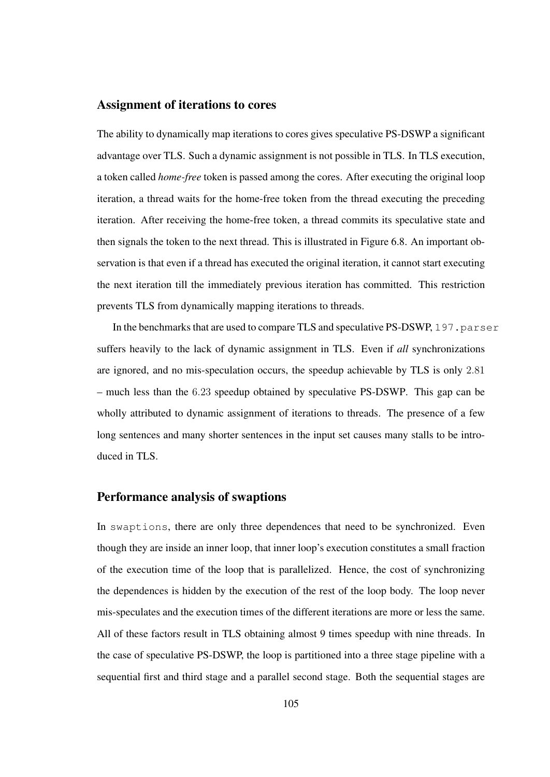#### Assignment of iterations to cores

The ability to dynamically map iterations to cores gives speculative PS-DSWP a significant advantage over TLS. Such a dynamic assignment is not possible in TLS. In TLS execution, a token called *home-free* token is passed among the cores. After executing the original loop iteration, a thread waits for the home-free token from the thread executing the preceding iteration. After receiving the home-free token, a thread commits its speculative state and then signals the token to the next thread. This is illustrated in Figure 6.8. An important observation is that even if a thread has executed the original iteration, it cannot start executing the next iteration till the immediately previous iteration has committed. This restriction prevents TLS from dynamically mapping iterations to threads.

In the benchmarks that are used to compare TLS and speculative PS-DSWP, 197.parser suffers heavily to the lack of dynamic assignment in TLS. Even if *all* synchronizations are ignored, and no mis-speculation occurs, the speedup achievable by TLS is only 2.81 – much less than the 6.23 speedup obtained by speculative PS-DSWP. This gap can be wholly attributed to dynamic assignment of iterations to threads. The presence of a few long sentences and many shorter sentences in the input set causes many stalls to be introduced in TLS.

#### Performance analysis of swaptions

In swaptions, there are only three dependences that need to be synchronized. Even though they are inside an inner loop, that inner loop's execution constitutes a small fraction of the execution time of the loop that is parallelized. Hence, the cost of synchronizing the dependences is hidden by the execution of the rest of the loop body. The loop never mis-speculates and the execution times of the different iterations are more or less the same. All of these factors result in TLS obtaining almost 9 times speedup with nine threads. In the case of speculative PS-DSWP, the loop is partitioned into a three stage pipeline with a sequential first and third stage and a parallel second stage. Both the sequential stages are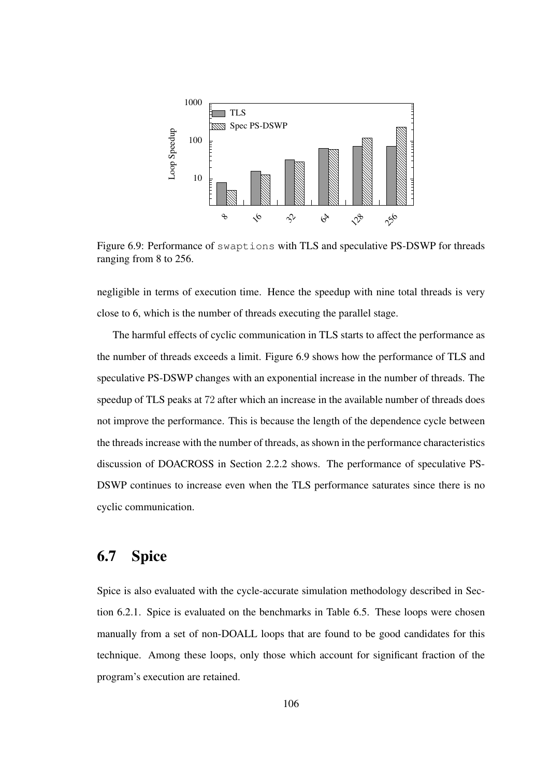

Figure 6.9: Performance of swaptions with TLS and speculative PS-DSWP for threads ranging from 8 to 256.

negligible in terms of execution time. Hence the speedup with nine total threads is very close to 6, which is the number of threads executing the parallel stage.

The harmful effects of cyclic communication in TLS starts to affect the performance as the number of threads exceeds a limit. Figure 6.9 shows how the performance of TLS and speculative PS-DSWP changes with an exponential increase in the number of threads. The speedup of TLS peaks at 72 after which an increase in the available number of threads does not improve the performance. This is because the length of the dependence cycle between the threadsincrease with the number of threads, asshown in the performance characteristics discussion of DOACROSS in Section 2.2.2 shows. The performance of speculative PS-DSWP continues to increase even when the TLS performance saturates since there is no cyclic communication.

## 6.7 Spice

Spice is also evaluated with the cycle-accurate simulation methodology described in Section 6.2.1. Spice is evaluated on the benchmarks in Table 6.5. These loops were chosen manually from a set of non-DOALL loops that are found to be good candidates for this technique. Among these loops, only those which account for significant fraction of the program's execution are retained.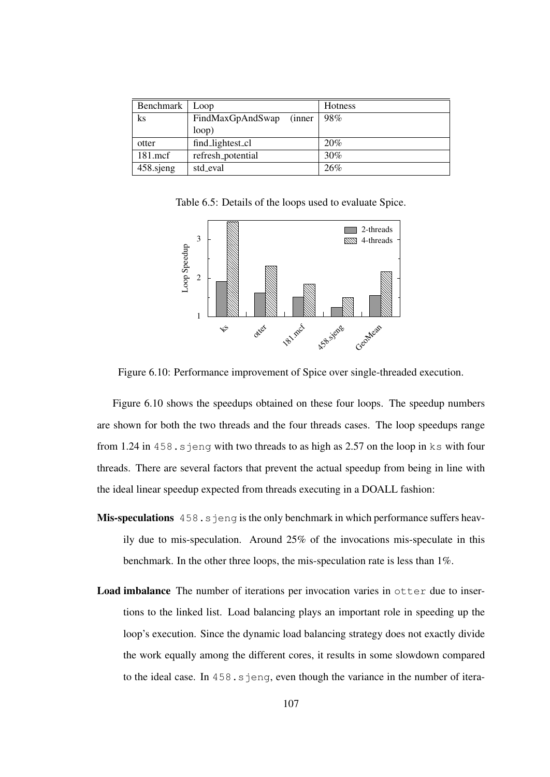| Benchmark   Loop |                         | <b>Hotness</b> |
|------------------|-------------------------|----------------|
| ks               | FindMaxGpAndSwap (inner | 98%            |
|                  | loop)                   |                |
| otter            | find_lightest_cl        | 20%            |
| $181$ .mcf       | refresh_potential       | 30%            |
| 458 sjeng        | std eval                | 26%            |

Table 6.5: Details of the loops used to evaluate Spice.



Figure 6.10: Performance improvement of Spice over single-threaded execution.

Figure 6.10 shows the speedups obtained on these four loops. The speedup numbers are shown for both the two threads and the four threads cases. The loop speedups range from 1.24 in 458.sjeng with two threads to as high as 2.57 on the loop in ks with four threads. There are several factors that prevent the actual speedup from being in line with the ideal linear speedup expected from threads executing in a DOALL fashion:

- Mis-speculations 458.sjeng is the only benchmark in which performance suffers heavily due to mis-speculation. Around 25% of the invocations mis-speculate in this benchmark. In the other three loops, the mis-speculation rate is less than 1%.
- Load imbalance The number of iterations per invocation varies in otter due to insertions to the linked list. Load balancing plays an important role in speeding up the loop's execution. Since the dynamic load balancing strategy does not exactly divide the work equally among the different cores, it results in some slowdown compared to the ideal case. In 458.s jeng, even though the variance in the number of itera-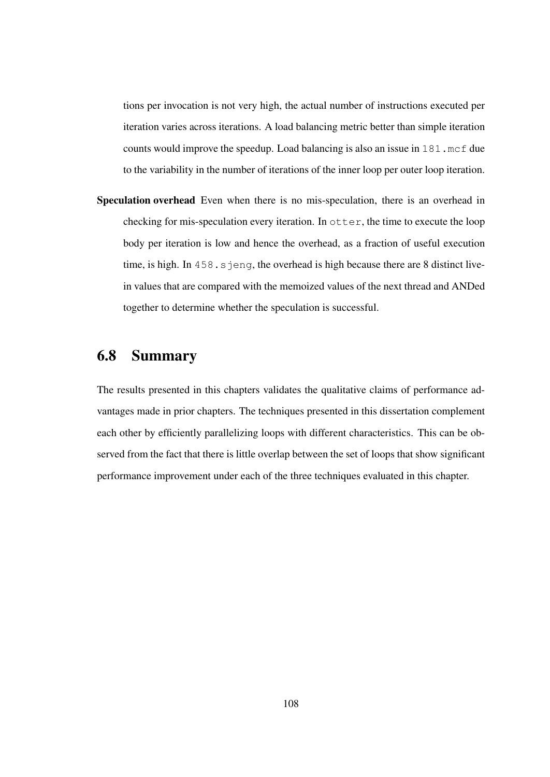tions per invocation is not very high, the actual number of instructions executed per iteration varies across iterations. A load balancing metric better than simple iteration counts would improve the speedup. Load balancing is also an issue in 181.mcf due to the variability in the number of iterations of the inner loop per outer loop iteration.

Speculation overhead Even when there is no mis-speculation, there is an overhead in checking for mis-speculation every iteration. In otter, the time to execute the loop body per iteration is low and hence the overhead, as a fraction of useful execution time, is high. In  $458 \cdot s$  jeng, the overhead is high because there are 8 distinct livein values that are compared with the memoized values of the next thread and ANDed together to determine whether the speculation is successful.

# 6.8 Summary

The results presented in this chapters validates the qualitative claims of performance advantages made in prior chapters. The techniques presented in this dissertation complement each other by efficiently parallelizing loops with different characteristics. This can be observed from the fact that there is little overlap between the set of loops that show significant performance improvement under each of the three techniques evaluated in this chapter.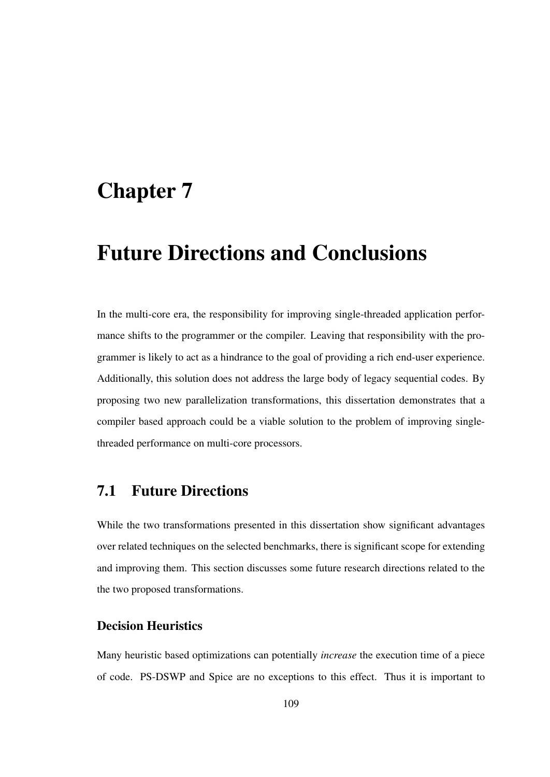# Chapter 7

# Future Directions and Conclusions

In the multi-core era, the responsibility for improving single-threaded application performance shifts to the programmer or the compiler. Leaving that responsibility with the programmer is likely to act as a hindrance to the goal of providing a rich end-user experience. Additionally, this solution does not address the large body of legacy sequential codes. By proposing two new parallelization transformations, this dissertation demonstrates that a compiler based approach could be a viable solution to the problem of improving singlethreaded performance on multi-core processors.

## 7.1 Future Directions

While the two transformations presented in this dissertation show significant advantages over related techniques on the selected benchmarks, there is significant scope for extending and improving them. This section discusses some future research directions related to the the two proposed transformations.

### Decision Heuristics

Many heuristic based optimizations can potentially *increase* the execution time of a piece of code. PS-DSWP and Spice are no exceptions to this effect. Thus it is important to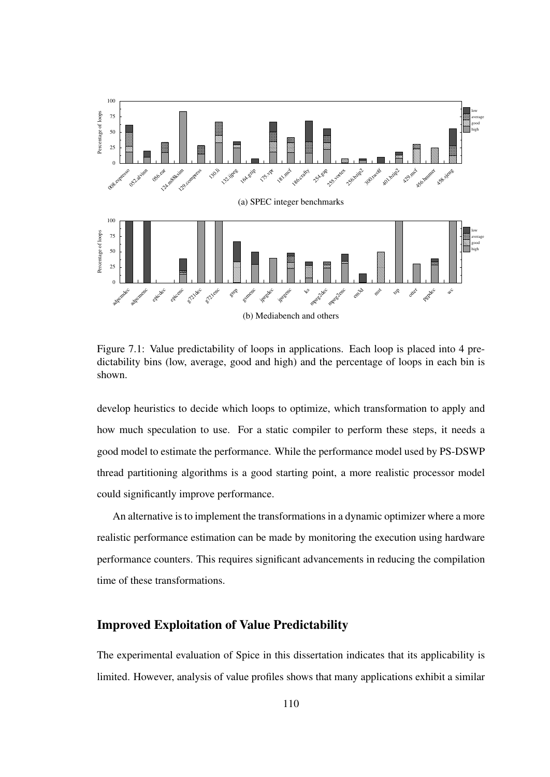

Figure 7.1: Value predictability of loops in applications. Each loop is placed into 4 predictability bins (low, average, good and high) and the percentage of loops in each bin is shown.

develop heuristics to decide which loops to optimize, which transformation to apply and how much speculation to use. For a static compiler to perform these steps, it needs a good model to estimate the performance. While the performance model used by PS-DSWP thread partitioning algorithms is a good starting point, a more realistic processor model could significantly improve performance.

An alternative is to implement the transformations in a dynamic optimizer where a more realistic performance estimation can be made by monitoring the execution using hardware performance counters. This requires significant advancements in reducing the compilation time of these transformations.

### Improved Exploitation of Value Predictability

The experimental evaluation of Spice in this dissertation indicates that its applicability is limited. However, analysis of value profiles shows that many applications exhibit a similar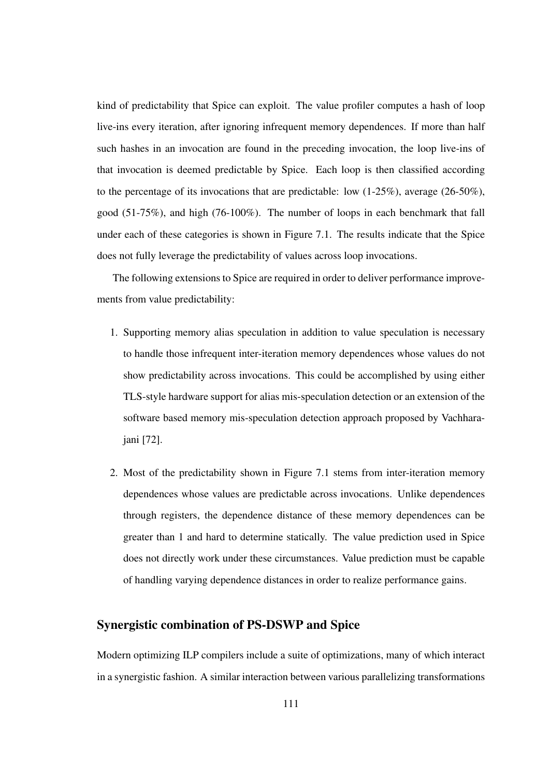kind of predictability that Spice can exploit. The value profiler computes a hash of loop live-ins every iteration, after ignoring infrequent memory dependences. If more than half such hashes in an invocation are found in the preceding invocation, the loop live-ins of that invocation is deemed predictable by Spice. Each loop is then classified according to the percentage of its invocations that are predictable: low  $(1-25\%)$ , average  $(26-50\%)$ , good (51-75%), and high (76-100%). The number of loops in each benchmark that fall under each of these categories is shown in Figure 7.1. The results indicate that the Spice does not fully leverage the predictability of values across loop invocations.

The following extensions to Spice are required in order to deliver performance improvements from value predictability:

- 1. Supporting memory alias speculation in addition to value speculation is necessary to handle those infrequent inter-iteration memory dependences whose values do not show predictability across invocations. This could be accomplished by using either TLS-style hardware support for alias mis-speculation detection or an extension of the software based memory mis-speculation detection approach proposed by Vachharajani [72].
- 2. Most of the predictability shown in Figure 7.1 stems from inter-iteration memory dependences whose values are predictable across invocations. Unlike dependences through registers, the dependence distance of these memory dependences can be greater than 1 and hard to determine statically. The value prediction used in Spice does not directly work under these circumstances. Value prediction must be capable of handling varying dependence distances in order to realize performance gains.

### Synergistic combination of PS-DSWP and Spice

Modern optimizing ILP compilers include a suite of optimizations, many of which interact in a synergistic fashion. A similar interaction between various parallelizing transformations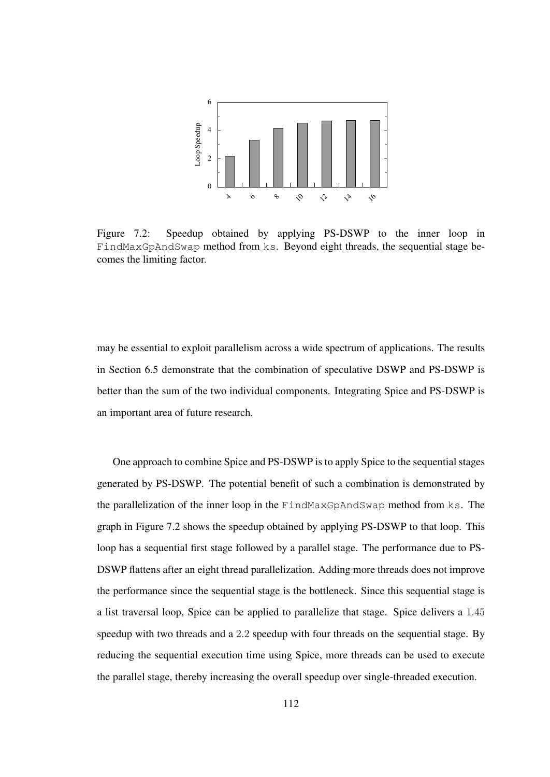

Figure 7.2: Speedup obtained by applying PS-DSWP to the inner loop in FindMaxGpAndSwap method from ks. Beyond eight threads, the sequential stage becomes the limiting factor.

may be essential to exploit parallelism across a wide spectrum of applications. The results in Section 6.5 demonstrate that the combination of speculative DSWP and PS-DSWP is better than the sum of the two individual components. Integrating Spice and PS-DSWP is an important area of future research.

One approach to combine Spice and PS-DSWP is to apply Spice to the sequential stages generated by PS-DSWP. The potential benefit of such a combination is demonstrated by the parallelization of the inner loop in the FindMaxGpAndSwap method from ks. The graph in Figure 7.2 shows the speedup obtained by applying PS-DSWP to that loop. This loop has a sequential first stage followed by a parallel stage. The performance due to PS-DSWP flattens after an eight thread parallelization. Adding more threads does not improve the performance since the sequential stage is the bottleneck. Since this sequential stage is a list traversal loop, Spice can be applied to parallelize that stage. Spice delivers a 1.45 speedup with two threads and a 2.2 speedup with four threads on the sequential stage. By reducing the sequential execution time using Spice, more threads can be used to execute the parallel stage, thereby increasing the overall speedup over single-threaded execution.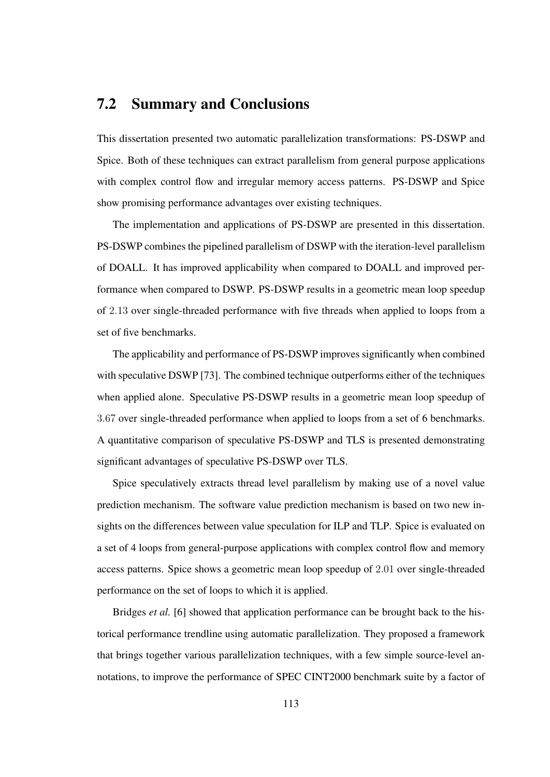## 7.2 Summary and Conclusions

This dissertation presented two automatic parallelization transformations: PS-DSWP and Spice. Both of these techniques can extract parallelism from general purpose applications with complex control flow and irregular memory access patterns. PS-DSWP and Spice show promising performance advantages over existing techniques.

The implementation and applications of PS-DSWP are presented in this dissertation. PS-DSWP combines the pipelined parallelism of DSWP with the iteration-level parallelism of DOALL. It has improved applicability when compared to DOALL and improved performance when compared to DSWP. PS-DSWP results in a geometric mean loop speedup of 2.13 over single-threaded performance with five threads when applied to loops from a set of five benchmarks.

The applicability and performance of PS-DSWP improves significantly when combined with speculative DSWP [73]. The combined technique outperforms either of the techniques when applied alone. Speculative PS-DSWP results in a geometric mean loop speedup of 3.67 over single-threaded performance when applied to loops from a set of 6 benchmarks. A quantitative comparison of speculative PS-DSWP and TLS is presented demonstrating significant advantages of speculative PS-DSWP over TLS.

Spice speculatively extracts thread level parallelism by making use of a novel value prediction mechanism. The software value prediction mechanism is based on two new insights on the differences between value speculation for ILP and TLP. Spice is evaluated on a set of 4 loops from general-purpose applications with complex control flow and memory access patterns. Spice shows a geometric mean loop speedup of 2.01 over single-threaded performance on the set of loops to which it is applied.

Bridges *et al.* [6] showed that application performance can be brought back to the historical performance trendline using automatic parallelization. They proposed a framework that brings together various parallelization techniques, with a few simple source-level annotations, to improve the performance of SPEC CINT2000 benchmark suite by a factor of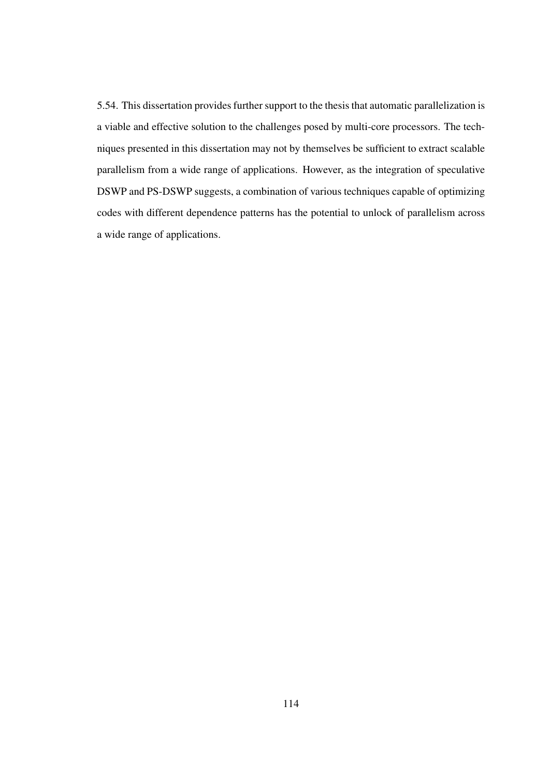5.54. This dissertation provides further support to the thesis that automatic parallelization is a viable and effective solution to the challenges posed by multi-core processors. The techniques presented in this dissertation may not by themselves be sufficient to extract scalable parallelism from a wide range of applications. However, as the integration of speculative DSWP and PS-DSWP suggests, a combination of various techniques capable of optimizing codes with different dependence patterns has the potential to unlock of parallelism across a wide range of applications.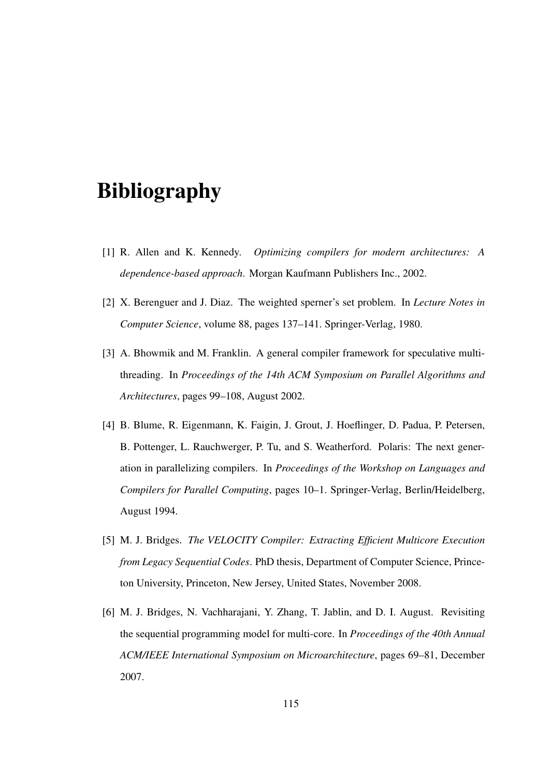# Bibliography

- [1] R. Allen and K. Kennedy. *Optimizing compilers for modern architectures: A dependence-based approach*. Morgan Kaufmann Publishers Inc., 2002.
- [2] X. Berenguer and J. Diaz. The weighted sperner's set problem. In *Lecture Notes in Computer Science*, volume 88, pages 137–141. Springer-Verlag, 1980.
- [3] A. Bhowmik and M. Franklin. A general compiler framework for speculative multithreading. In *Proceedings of the 14th ACM Symposium on Parallel Algorithms and Architectures*, pages 99–108, August 2002.
- [4] B. Blume, R. Eigenmann, K. Faigin, J. Grout, J. Hoeflinger, D. Padua, P. Petersen, B. Pottenger, L. Rauchwerger, P. Tu, and S. Weatherford. Polaris: The next generation in parallelizing compilers. In *Proceedings of the Workshop on Languages and Compilers for Parallel Computing*, pages 10–1. Springer-Verlag, Berlin/Heidelberg, August 1994.
- [5] M. J. Bridges. *The VELOCITY Compiler: Extracting Efficient Multicore Execution from Legacy Sequential Codes*. PhD thesis, Department of Computer Science, Princeton University, Princeton, New Jersey, United States, November 2008.
- [6] M. J. Bridges, N. Vachharajani, Y. Zhang, T. Jablin, and D. I. August. Revisiting the sequential programming model for multi-core. In *Proceedings of the 40th Annual ACM/IEEE International Symposium on Microarchitecture*, pages 69–81, December 2007.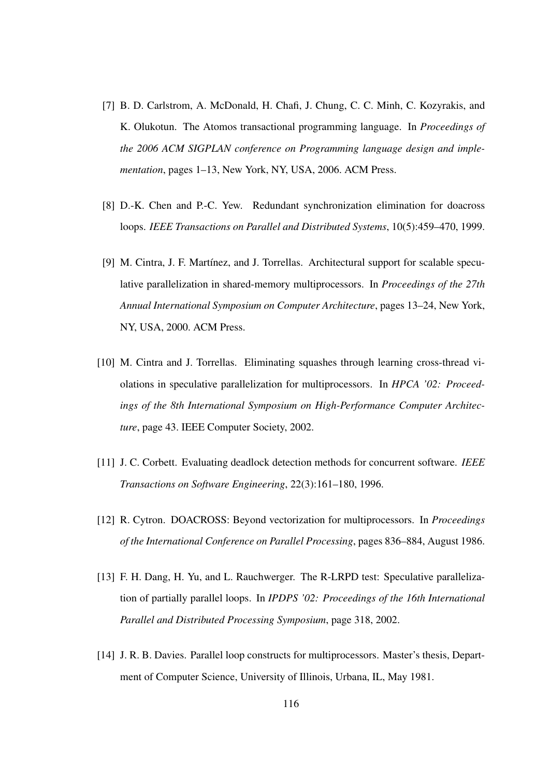- [7] B. D. Carlstrom, A. McDonald, H. Chafi, J. Chung, C. C. Minh, C. Kozyrakis, and K. Olukotun. The Atomos transactional programming language. In *Proceedings of the 2006 ACM SIGPLAN conference on Programming language design and implementation*, pages 1–13, New York, NY, USA, 2006. ACM Press.
- [8] D.-K. Chen and P.-C. Yew. Redundant synchronization elimination for doacross loops. *IEEE Transactions on Parallel and Distributed Systems*, 10(5):459–470, 1999.
- [9] M. Cintra, J. F. Martínez, and J. Torrellas. Architectural support for scalable speculative parallelization in shared-memory multiprocessors. In *Proceedings of the 27th Annual International Symposium on Computer Architecture*, pages 13–24, New York, NY, USA, 2000. ACM Press.
- [10] M. Cintra and J. Torrellas. Eliminating squashes through learning cross-thread violations in speculative parallelization for multiprocessors. In *HPCA '02: Proceedings of the 8th International Symposium on High-Performance Computer Architecture*, page 43. IEEE Computer Society, 2002.
- [11] J. C. Corbett. Evaluating deadlock detection methods for concurrent software. *IEEE Transactions on Software Engineering*, 22(3):161–180, 1996.
- [12] R. Cytron. DOACROSS: Beyond vectorization for multiprocessors. In *Proceedings of the International Conference on Parallel Processing*, pages 836–884, August 1986.
- [13] F. H. Dang, H. Yu, and L. Rauchwerger. The R-LRPD test: Speculative parallelization of partially parallel loops. In *IPDPS '02: Proceedings of the 16th International Parallel and Distributed Processing Symposium*, page 318, 2002.
- [14] J. R. B. Davies. Parallel loop constructs for multiprocessors. Master's thesis, Department of Computer Science, University of Illinois, Urbana, IL, May 1981.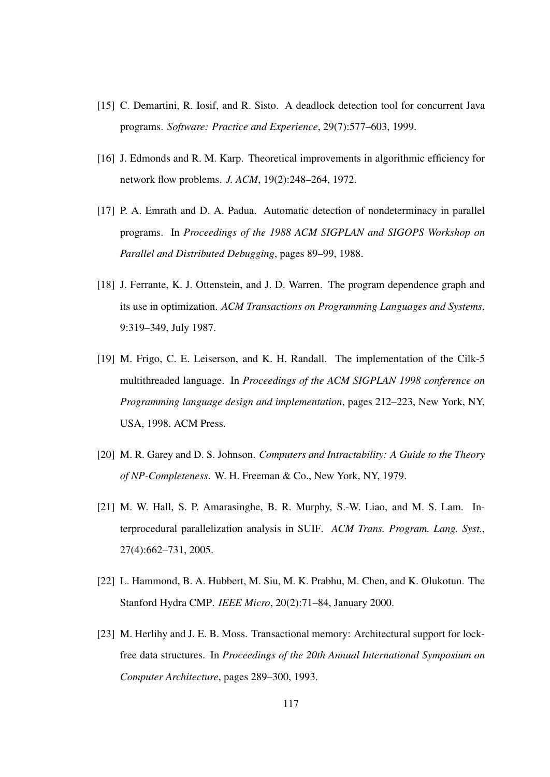- [15] C. Demartini, R. Iosif, and R. Sisto. A deadlock detection tool for concurrent Java programs. *Software: Practice and Experience*, 29(7):577–603, 1999.
- [16] J. Edmonds and R. M. Karp. Theoretical improvements in algorithmic efficiency for network flow problems. *J. ACM*, 19(2):248–264, 1972.
- [17] P. A. Emrath and D. A. Padua. Automatic detection of nondeterminacy in parallel programs. In *Proceedings of the 1988 ACM SIGPLAN and SIGOPS Workshop on Parallel and Distributed Debugging*, pages 89–99, 1988.
- [18] J. Ferrante, K. J. Ottenstein, and J. D. Warren. The program dependence graph and its use in optimization. *ACM Transactions on Programming Languages and Systems*, 9:319–349, July 1987.
- [19] M. Frigo, C. E. Leiserson, and K. H. Randall. The implementation of the Cilk-5 multithreaded language. In *Proceedings of the ACM SIGPLAN 1998 conference on Programming language design and implementation*, pages 212–223, New York, NY, USA, 1998. ACM Press.
- [20] M. R. Garey and D. S. Johnson. *Computers and Intractability: A Guide to the Theory of NP-Completeness*. W. H. Freeman & Co., New York, NY, 1979.
- [21] M. W. Hall, S. P. Amarasinghe, B. R. Murphy, S.-W. Liao, and M. S. Lam. Interprocedural parallelization analysis in SUIF. *ACM Trans. Program. Lang. Syst.*, 27(4):662–731, 2005.
- [22] L. Hammond, B. A. Hubbert, M. Siu, M. K. Prabhu, M. Chen, and K. Olukotun. The Stanford Hydra CMP. *IEEE Micro*, 20(2):71–84, January 2000.
- [23] M. Herlihy and J. E. B. Moss. Transactional memory: Architectural support for lockfree data structures. In *Proceedings of the 20th Annual International Symposium on Computer Architecture*, pages 289–300, 1993.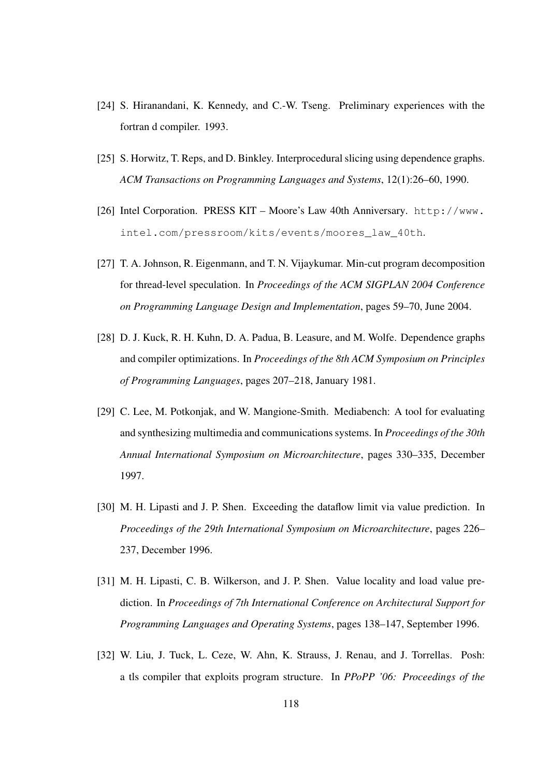- [24] S. Hiranandani, K. Kennedy, and C.-W. Tseng. Preliminary experiences with the fortran d compiler. 1993.
- [25] S. Horwitz, T. Reps, and D. Binkley. Interprocedural slicing using dependence graphs. *ACM Transactions on Programming Languages and Systems*, 12(1):26–60, 1990.
- [26] Intel Corporation. PRESS KIT Moore's Law 40th Anniversary. http://www. intel.com/pressroom/kits/events/moores\_law\_40th.
- [27] T. A. Johnson, R. Eigenmann, and T. N. Vijaykumar. Min-cut program decomposition for thread-level speculation. In *Proceedings of the ACM SIGPLAN 2004 Conference on Programming Language Design and Implementation*, pages 59–70, June 2004.
- [28] D. J. Kuck, R. H. Kuhn, D. A. Padua, B. Leasure, and M. Wolfe. Dependence graphs and compiler optimizations. In *Proceedings of the 8th ACM Symposium on Principles of Programming Languages*, pages 207–218, January 1981.
- [29] C. Lee, M. Potkonjak, and W. Mangione-Smith. Mediabench: A tool for evaluating and synthesizing multimedia and communicationssystems. In *Proceedings of the 30th Annual International Symposium on Microarchitecture*, pages 330–335, December 1997.
- [30] M. H. Lipasti and J. P. Shen. Exceeding the dataflow limit via value prediction. In *Proceedings of the 29th International Symposium on Microarchitecture*, pages 226– 237, December 1996.
- [31] M. H. Lipasti, C. B. Wilkerson, and J. P. Shen. Value locality and load value prediction. In *Proceedings of 7th International Conference on Architectural Support for Programming Languages and Operating Systems*, pages 138–147, September 1996.
- [32] W. Liu, J. Tuck, L. Ceze, W. Ahn, K. Strauss, J. Renau, and J. Torrellas. Posh: a tls compiler that exploits program structure. In *PPoPP '06: Proceedings of the*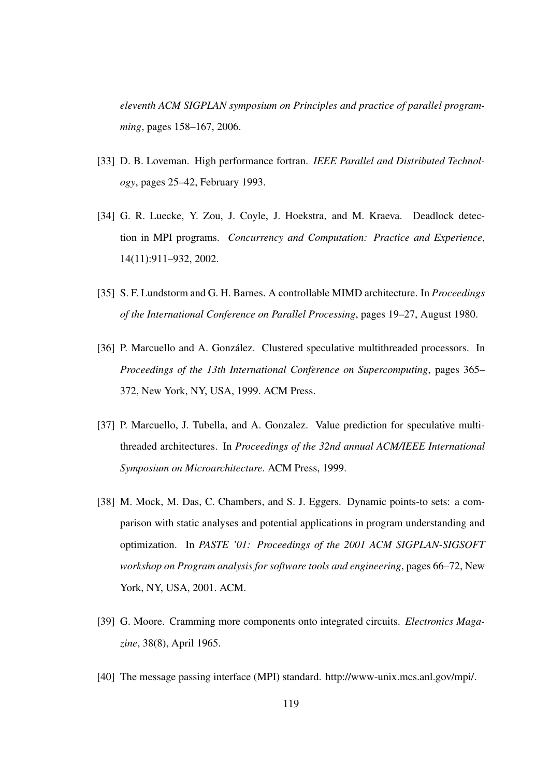*eleventh ACM SIGPLAN symposium on Principles and practice of parallel programming*, pages 158–167, 2006.

- [33] D. B. Loveman. High performance fortran. *IEEE Parallel and Distributed Technology*, pages 25–42, February 1993.
- [34] G. R. Luecke, Y. Zou, J. Coyle, J. Hoekstra, and M. Kraeva. Deadlock detection in MPI programs. *Concurrency and Computation: Practice and Experience*, 14(11):911–932, 2002.
- [35] S. F. Lundstorm and G. H. Barnes. A controllable MIMD architecture. In *Proceedings of the International Conference on Parallel Processing*, pages 19–27, August 1980.
- [36] P. Marcuello and A. González. Clustered speculative multithreaded processors. In *Proceedings of the 13th International Conference on Supercomputing*, pages 365– 372, New York, NY, USA, 1999. ACM Press.
- [37] P. Marcuello, J. Tubella, and A. Gonzalez. Value prediction for speculative multithreaded architectures. In *Proceedings of the 32nd annual ACM/IEEE International Symposium on Microarchitecture*. ACM Press, 1999.
- [38] M. Mock, M. Das, C. Chambers, and S. J. Eggers. Dynamic points-to sets: a comparison with static analyses and potential applications in program understanding and optimization. In *PASTE '01: Proceedings of the 2001 ACM SIGPLAN-SIGSOFT workshop on Program analysis for software tools and engineering*, pages 66–72, New York, NY, USA, 2001. ACM.
- [39] G. Moore. Cramming more components onto integrated circuits. *Electronics Magazine*, 38(8), April 1965.
- [40] The message passing interface (MPI) standard. http://www-unix.mcs.anl.gov/mpi/.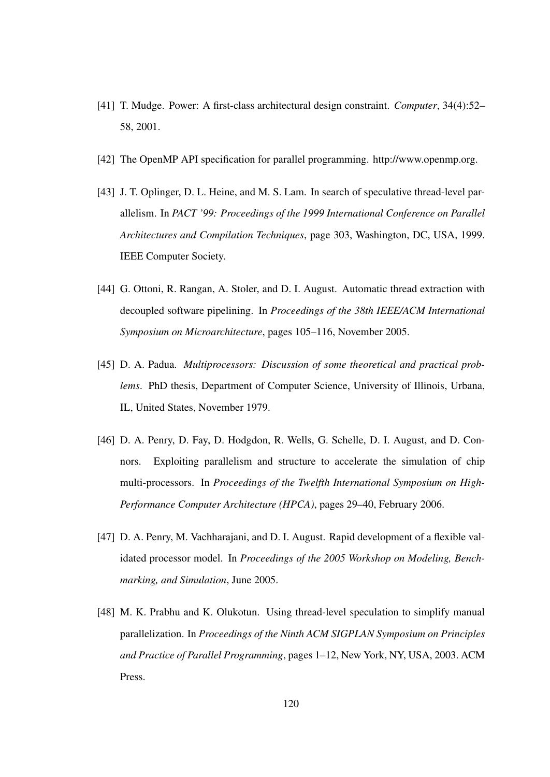- [41] T. Mudge. Power: A first-class architectural design constraint. *Computer*, 34(4):52– 58, 2001.
- [42] The OpenMP API specification for parallel programming. http://www.openmp.org.
- [43] J. T. Oplinger, D. L. Heine, and M. S. Lam. In search of speculative thread-level parallelism. In *PACT '99: Proceedings of the 1999 International Conference on Parallel Architectures and Compilation Techniques*, page 303, Washington, DC, USA, 1999. IEEE Computer Society.
- [44] G. Ottoni, R. Rangan, A. Stoler, and D. I. August. Automatic thread extraction with decoupled software pipelining. In *Proceedings of the 38th IEEE/ACM International Symposium on Microarchitecture*, pages 105–116, November 2005.
- [45] D. A. Padua. *Multiprocessors: Discussion of some theoretical and practical problems*. PhD thesis, Department of Computer Science, University of Illinois, Urbana, IL, United States, November 1979.
- [46] D. A. Penry, D. Fay, D. Hodgdon, R. Wells, G. Schelle, D. I. August, and D. Connors. Exploiting parallelism and structure to accelerate the simulation of chip multi-processors. In *Proceedings of the Twelfth International Symposium on High-Performance Computer Architecture (HPCA)*, pages 29–40, February 2006.
- [47] D. A. Penry, M. Vachharajani, and D. I. August. Rapid development of a flexible validated processor model. In *Proceedings of the 2005 Workshop on Modeling, Benchmarking, and Simulation*, June 2005.
- [48] M. K. Prabhu and K. Olukotun. Using thread-level speculation to simplify manual parallelization. In *Proceedings of the Ninth ACM SIGPLAN Symposium on Principles and Practice of Parallel Programming*, pages 1–12, New York, NY, USA, 2003. ACM Press.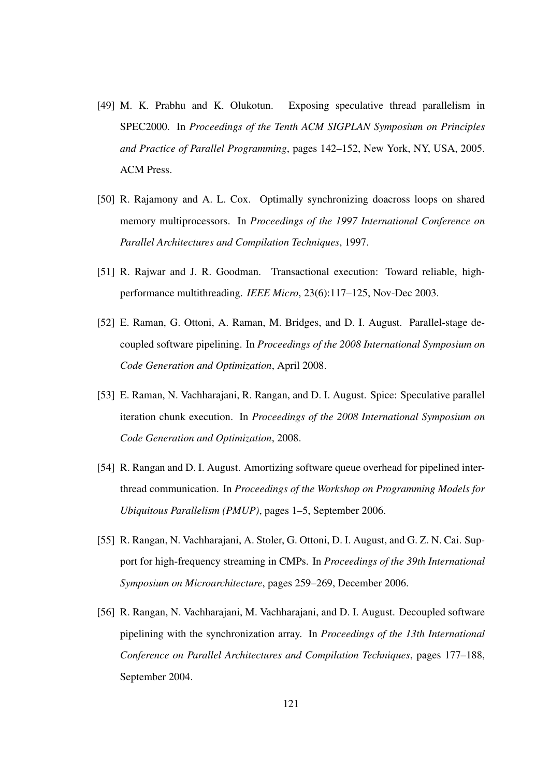- [49] M. K. Prabhu and K. Olukotun. Exposing speculative thread parallelism in SPEC2000. In *Proceedings of the Tenth ACM SIGPLAN Symposium on Principles and Practice of Parallel Programming*, pages 142–152, New York, NY, USA, 2005. ACM Press.
- [50] R. Rajamony and A. L. Cox. Optimally synchronizing doacross loops on shared memory multiprocessors. In *Proceedings of the 1997 International Conference on Parallel Architectures and Compilation Techniques*, 1997.
- [51] R. Rajwar and J. R. Goodman. Transactional execution: Toward reliable, highperformance multithreading. *IEEE Micro*, 23(6):117–125, Nov-Dec 2003.
- [52] E. Raman, G. Ottoni, A. Raman, M. Bridges, and D. I. August. Parallel-stage decoupled software pipelining. In *Proceedings of the 2008 International Symposium on Code Generation and Optimization*, April 2008.
- [53] E. Raman, N. Vachharajani, R. Rangan, and D. I. August. Spice: Speculative parallel iteration chunk execution. In *Proceedings of the 2008 International Symposium on Code Generation and Optimization*, 2008.
- [54] R. Rangan and D. I. August. Amortizing software queue overhead for pipelined interthread communication. In *Proceedings of the Workshop on Programming Models for Ubiquitous Parallelism (PMUP)*, pages 1–5, September 2006.
- [55] R. Rangan, N. Vachharajani, A. Stoler, G. Ottoni, D. I. August, and G. Z. N. Cai. Support for high-frequency streaming in CMPs. In *Proceedings of the 39th International Symposium on Microarchitecture*, pages 259–269, December 2006.
- [56] R. Rangan, N. Vachharajani, M. Vachharajani, and D. I. August. Decoupled software pipelining with the synchronization array. In *Proceedings of the 13th International Conference on Parallel Architectures and Compilation Techniques*, pages 177–188, September 2004.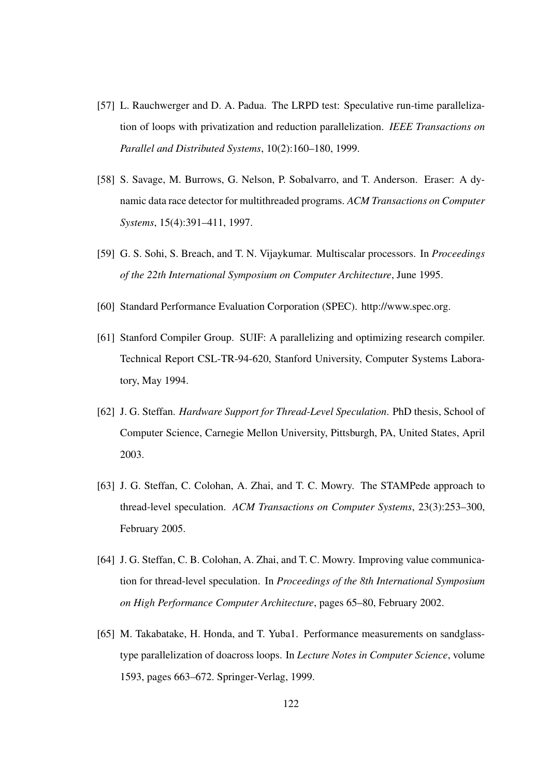- [57] L. Rauchwerger and D. A. Padua. The LRPD test: Speculative run-time parallelization of loops with privatization and reduction parallelization. *IEEE Transactions on Parallel and Distributed Systems*, 10(2):160–180, 1999.
- [58] S. Savage, M. Burrows, G. Nelson, P. Sobalvarro, and T. Anderson. Eraser: A dynamic data race detector for multithreaded programs. *ACM Transactions on Computer Systems*, 15(4):391–411, 1997.
- [59] G. S. Sohi, S. Breach, and T. N. Vijaykumar. Multiscalar processors. In *Proceedings of the 22th International Symposium on Computer Architecture*, June 1995.
- [60] Standard Performance Evaluation Corporation (SPEC). http://www.spec.org.
- [61] Stanford Compiler Group. SUIF: A parallelizing and optimizing research compiler. Technical Report CSL-TR-94-620, Stanford University, Computer Systems Laboratory, May 1994.
- [62] J. G. Steffan. *Hardware Support for Thread-Level Speculation*. PhD thesis, School of Computer Science, Carnegie Mellon University, Pittsburgh, PA, United States, April 2003.
- [63] J. G. Steffan, C. Colohan, A. Zhai, and T. C. Mowry. The STAMPede approach to thread-level speculation. *ACM Transactions on Computer Systems*, 23(3):253–300, February 2005.
- [64] J. G. Steffan, C. B. Colohan, A. Zhai, and T. C. Mowry. Improving value communication for thread-level speculation. In *Proceedings of the 8th International Symposium on High Performance Computer Architecture*, pages 65–80, February 2002.
- [65] M. Takabatake, H. Honda, and T. Yuba1. Performance measurements on sandglasstype parallelization of doacross loops. In *Lecture Notes in Computer Science*, volume 1593, pages 663–672. Springer-Verlag, 1999.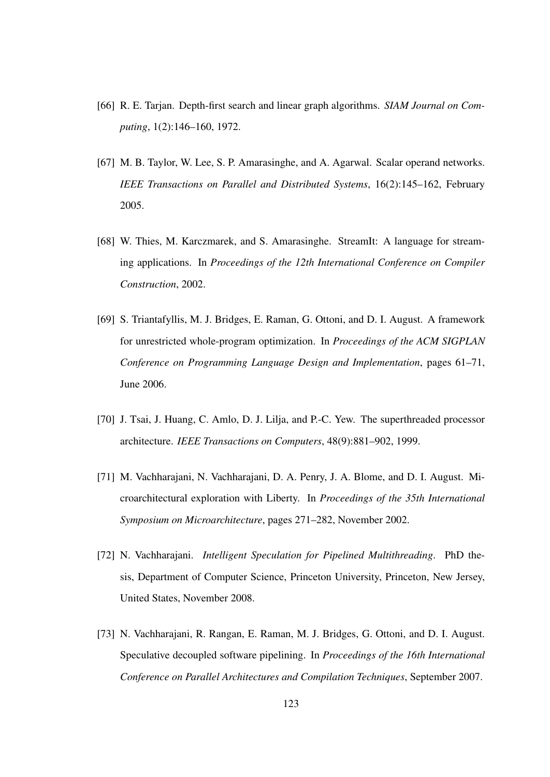- [66] R. E. Tarjan. Depth-first search and linear graph algorithms. *SIAM Journal on Computing*, 1(2):146–160, 1972.
- [67] M. B. Taylor, W. Lee, S. P. Amarasinghe, and A. Agarwal. Scalar operand networks. *IEEE Transactions on Parallel and Distributed Systems*, 16(2):145–162, February 2005.
- [68] W. Thies, M. Karczmarek, and S. Amarasinghe. StreamIt: A language for streaming applications. In *Proceedings of the 12th International Conference on Compiler Construction*, 2002.
- [69] S. Triantafyllis, M. J. Bridges, E. Raman, G. Ottoni, and D. I. August. A framework for unrestricted whole-program optimization. In *Proceedings of the ACM SIGPLAN Conference on Programming Language Design and Implementation*, pages 61–71, June 2006.
- [70] J. Tsai, J. Huang, C. Amlo, D. J. Lilja, and P.-C. Yew. The superthreaded processor architecture. *IEEE Transactions on Computers*, 48(9):881–902, 1999.
- [71] M. Vachharajani, N. Vachharajani, D. A. Penry, J. A. Blome, and D. I. August. Microarchitectural exploration with Liberty. In *Proceedings of the 35th International Symposium on Microarchitecture*, pages 271–282, November 2002.
- [72] N. Vachharajani. *Intelligent Speculation for Pipelined Multithreading*. PhD thesis, Department of Computer Science, Princeton University, Princeton, New Jersey, United States, November 2008.
- [73] N. Vachharajani, R. Rangan, E. Raman, M. J. Bridges, G. Ottoni, and D. I. August. Speculative decoupled software pipelining. In *Proceedings of the 16th International Conference on Parallel Architectures and Compilation Techniques*, September 2007.